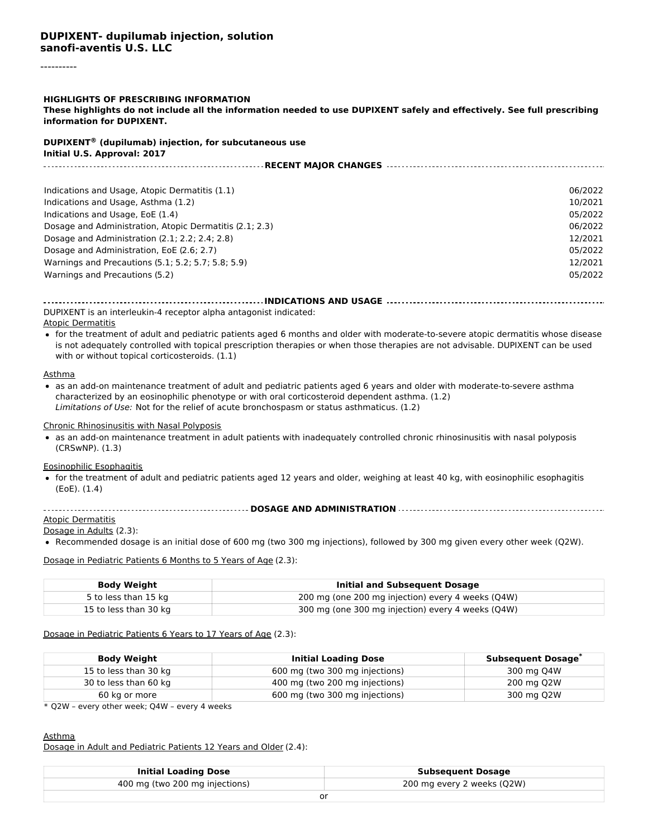#### ----------

#### **HIGHLIGHTS OF PRESCRIBING INFORMATION**

These highlights do not include all the information needed to use DUPIXENT safely and effectively. See full prescribing **information for DUPIXENT.**

# **DUPIXENT (dupilumab) injection, for subcutaneous use ®**

| Initial U.S. Approval: 2017                             |         |
|---------------------------------------------------------|---------|
| <b>RECENT MAJOR CHANGES </b>                            |         |
|                                                         |         |
| Indications and Usage, Atopic Dermatitis (1.1)          | 06/2022 |
| Indications and Usage, Asthma (1.2)                     | 10/2021 |
| Indications and Usage, EoE (1.4)                        | 05/2022 |
| Dosage and Administration, Atopic Dermatitis (2.1; 2.3) | 06/2022 |
| Dosage and Administration $(2.1; 2.2; 2.4; 2.8)$        | 12/2021 |
| Dosage and Administration, EoE (2.6; 2.7)               | 05/2022 |
| Warnings and Precautions (5.1; 5.2; 5.7; 5.8; 5.9)      | 12/2021 |
| Warnings and Precautions (5.2)                          | 05/2022 |

#### **INDICATIONS AND USAGE** DUPIXENT is an interleukin-4 receptor alpha antagonist indicated:

Atopic Dermatitis

for the treatment of adult and pediatric patients aged 6 months and older with moderate-to-severe atopic dermatitis whose disease is not adequately controlled with topical prescription therapies or when those therapies are not advisable. DUPIXENT can be used with or without topical corticosteroids. (1.1)

#### Asthma

as an add-on maintenance treatment of adult and pediatric patients aged 6 years and older with moderate-to-severe asthma characterized by an eosinophilic phenotype or with oral corticosteroid dependent asthma. (1.2) Limitations of Use: Not for the relief of acute bronchospasm or status asthmaticus. (1.2)

#### Chronic Rhinosinusitis with Nasal Polyposis

as an add-on maintenance treatment in adult patients with inadequately controlled chronic rhinosinusitis with nasal polyposis (CRSwNP). (1.3)

#### Eosinophilic Esophagitis

for the treatment of adult and pediatric patients aged 12 years and older, weighing at least 40 kg, with eosinophilic esophagitis (EoE). (1.4)

#### **DOSAGE AND ADMINISTRATION**

#### **Atopic Dermatitis** Dosage in Adults (2.3):

Recommended dosage is an initial dose of 600 mg (two 300 mg injections), followed by 300 mg given every other week (Q2W).

Dosage in Pediatric Patients 6 Months to 5 Years of Age (2.3):

| <b>Body Weight</b>    | Initial and Subsequent Dosage                     |
|-----------------------|---------------------------------------------------|
| 5 to less than 15 kg  | 200 mg (one 200 mg injection) every 4 weeks (Q4W) |
| 15 to less than 30 kg | 300 mg (one 300 mg injection) every 4 weeks (Q4W) |

#### Dosage in Pediatric Patients 6 Years to 17 Years of Age (2.3):

| <b>Body Weight</b>    | <b>Initial Loading Dose</b>    | <b>Subsequent Dosage</b> |
|-----------------------|--------------------------------|--------------------------|
| 15 to less than 30 kg | 600 mg (two 300 mg injections) | 300 mg Q4W               |
| 30 to less than 60 kg | 400 mg (two 200 mg injections) | 200 mg Q2W               |
| 60 kg or more         | 600 mg (two 300 mg injections) | 300 mg Q2W               |

\* Q2W – every other week; Q4W – every 4 weeks

#### Asthma

Dosage in Adult and Pediatric Patients 12 Years and Older (2.4):

| <b>Initial Loading Dose</b>    | <b>Subsequent Dosage</b>   |
|--------------------------------|----------------------------|
| 400 mg (two 200 mg injections) | 200 mg every 2 weeks (Q2W) |
| nı                             |                            |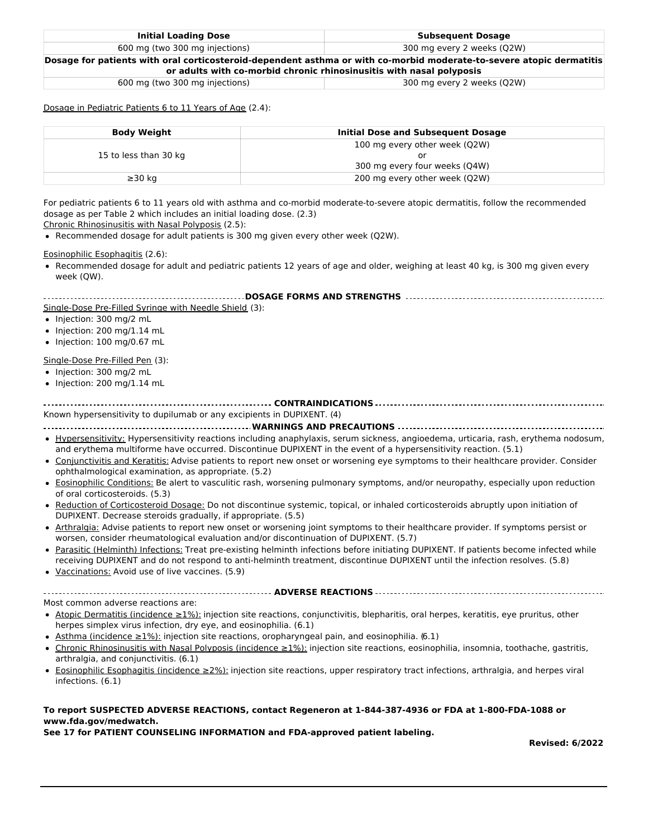| <b>Initial Loading Dose</b>                                                                                          | <b>Subsequent Dosage</b>                                             |
|----------------------------------------------------------------------------------------------------------------------|----------------------------------------------------------------------|
| 600 mg (two 300 mg injections)                                                                                       | 300 mg every 2 weeks (Q2W)                                           |
| Dosage for patients with oral corticosteroid-dependent asthma or with co-morbid moderate-to-severe atopic dermatitis |                                                                      |
|                                                                                                                      | or adults with co-morbid chronic rhinosinusitis with nasal polyposis |

600 mg (two 300 mg injections) 300 mg every 2 weeks (Q2W)

Dosage in Pediatric Patients 6 to 11 Years of Age (2.4):

| Body Weight           | Initial Dose and Subsequent Dosage |
|-----------------------|------------------------------------|
|                       | 100 mg every other week (Q2W)      |
| 15 to less than 30 kg | or                                 |
|                       | 300 mg every four weeks (Q4W)      |
| $\geq$ 30 ka          | 200 mg every other week (Q2W)      |

For pediatric patients 6 to 11 years old with asthma and co-morbid moderate-to-severe atopic dermatitis, follow the recommended dosage as per Table 2 which includes an initial loading dose. (2.3)

Chronic Rhinosinusitis with Nasal Polyposis (2.5):

Recommended dosage for adult patients is 300 mg given every other week (Q2W).

Eosinophilic Esophagitis (2.6):

Recommended dosage for adult and pediatric patients 12 years of age and older, weighing at least 40 kg, is 300 mg given every week (QW).

| Single-Dose Pre-Filled Syringe with Needle Shield (3):                                                                                                                                                                                                                |
|-----------------------------------------------------------------------------------------------------------------------------------------------------------------------------------------------------------------------------------------------------------------------|
| • Injection: 300 mg/2 mL                                                                                                                                                                                                                                              |
| $\bullet$ Injection: 200 mg/1.14 mL                                                                                                                                                                                                                                   |
| $\bullet$ Injection: 100 mg/0.67 mL                                                                                                                                                                                                                                   |
| Single-Dose Pre-Filled Pen (3):                                                                                                                                                                                                                                       |
| • Injection: 300 mg/2 mL                                                                                                                                                                                                                                              |
| $\bullet$ Injection: 200 mg/1.14 mL                                                                                                                                                                                                                                   |
|                                                                                                                                                                                                                                                                       |
| Known hypersensitivity to dupilumab or any excipients in DUPIXENT. (4)                                                                                                                                                                                                |
|                                                                                                                                                                                                                                                                       |
| • Hypersensitivity: Hypersensitivity reactions including anaphylaxis, serum sickness, angioedema, urticaria, rash, erythema nodosum,<br>and erythema multiforme have occurred. Discontinue DUPIXENT in the event of a hypersensitivity reaction. (5.1)                |
| • Conjunctivitis and Keratitis: Advise patients to report new onset or worsening eye symptoms to their healthcare provider. Consider<br>ophthalmological examination, as appropriate. (5.2)                                                                           |
| • Eosinophilic Conditions: Be alert to vasculitic rash, worsening pulmonary symptoms, and/or neuropathy, especially upon reduction<br>of oral corticosteroids. (5.3)                                                                                                  |
| • Reduction of Corticosteroid Dosage: Do not discontinue systemic, topical, or inhaled corticosteroids abruptly upon initiation of<br>DUPIXENT. Decrease steroids gradually, if appropriate. (5.5)                                                                    |
| • Arthralgia: Advise patients to report new onset or worsening joint symptoms to their healthcare provider. If symptoms persist or<br>worsen, consider rheumatological evaluation and/or discontinuation of DUPIXENT. (5.7)                                           |
| • Parasitic (Helminth) Infections: Treat pre-existing helminth infections before initiating DUPIXENT. If patients become infected while<br>receiving DUPIXENT and do not respond to anti-helminth treatment, discontinue DUPIXENT until the infection resolves. (5.8) |
| • Vaccinations: Avoid use of live vaccines. (5.9)                                                                                                                                                                                                                     |
|                                                                                                                                                                                                                                                                       |
| Most common adverse reactions are:                                                                                                                                                                                                                                    |
| • Atopic Dermatitis (incidence $\geq 1\%$ ): injection site reactions, conjunctivitis, blepharitis, oral herpes, keratitis, eye pruritus, other<br>herpes simplex virus infection, dry eye, and eosinophilia. (6.1)                                                   |
| • Asthma (incidence $\geq 1\%$ ): injection site reactions, oropharyngeal pain, and eosinophilia. (6.1)                                                                                                                                                               |
| • Chronic Rhinosinusitis with Nasal Polyposis (incidence ≥1%); injection site reactions, eosinophilia, insomnia, toothache, gastritis,<br>arthralgia, and conjunctivitis. (6.1)                                                                                       |
| • Eosinophilic Esophagitis (incidence ≥2%): injection site reactions, upper respiratory tract infections, arthralgia, and herpes viral<br>infections. (6.1)                                                                                                           |

#### **To report SUSPECTED ADVERSE REACTIONS, contact Regeneron at 1-844-387-4936 or FDA at 1-800-FDA-1088 or www.fda.gov/medwatch.**

**See 17 for PATIENT COUNSELING INFORMATION and FDA-approved patient labeling.**

**Revised: 6/2022**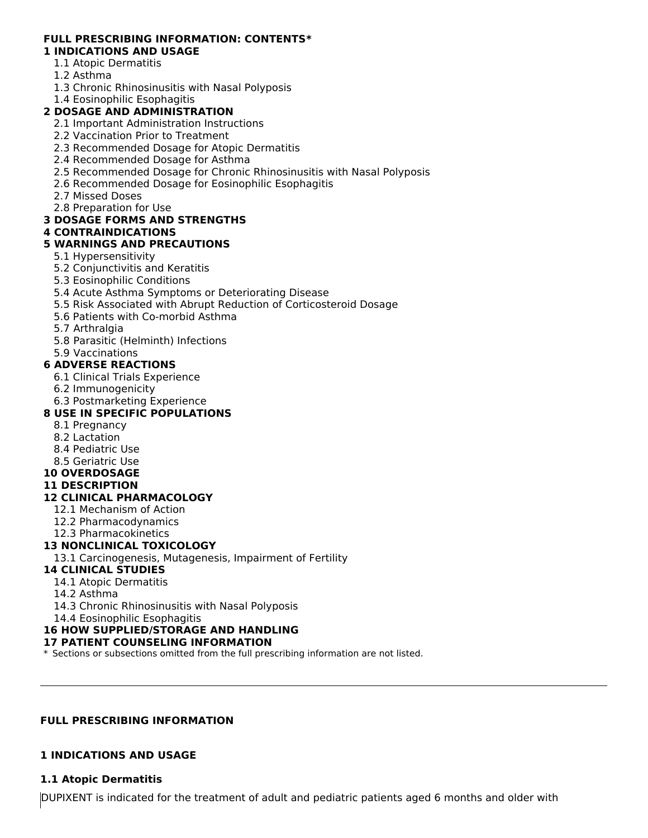#### **FULL PRESCRIBING INFORMATION: CONTENTS\* 1 INDICATIONS AND USAGE**

# 1.1 Atopic Dermatitis

- 1.2 Asthma
- 
- 1.3 Chronic Rhinosinusitis with Nasal Polyposis

# 1.4 Eosinophilic Esophagitis

# **2 DOSAGE AND ADMINISTRATION**

- 2.1 Important Administration Instructions
- 2.2 Vaccination Prior to Treatment
- 2.3 Recommended Dosage for Atopic Dermatitis
- 2.4 Recommended Dosage for Asthma
- 2.5 Recommended Dosage for Chronic Rhinosinusitis with Nasal Polyposis
- 2.6 Recommended Dosage for Eosinophilic Esophagitis
- 2.7 Missed Doses
- 2.8 Preparation for Use

### **3 DOSAGE FORMS AND STRENGTHS**

### **4 CONTRAINDICATIONS**

### **5 WARNINGS AND PRECAUTIONS**

- 5.1 Hypersensitivity
- 5.2 Conjunctivitis and Keratitis
- 5.3 Eosinophilic Conditions
- 5.4 Acute Asthma Symptoms or Deteriorating Disease
- 5.5 Risk Associated with Abrupt Reduction of Corticosteroid Dosage
- 5.6 Patients with Co-morbid Asthma
- 5.7 Arthralgia
- 5.8 Parasitic (Helminth) Infections
- 5.9 Vaccinations

### **6 ADVERSE REACTIONS**

- 6.1 Clinical Trials Experience
- 6.2 Immunogenicity
- 6.3 Postmarketing Experience

### **8 USE IN SPECIFIC POPULATIONS**

- 8.1 Pregnancy
- 8.2 Lactation
- 8.4 Pediatric Use
- 8.5 Geriatric Use

### **10 OVERDOSAGE**

### **11 DESCRIPTION**

### **12 CLINICAL PHARMACOLOGY**

- 12.1 Mechanism of Action
- 12.2 Pharmacodynamics
- 12.3 Pharmacokinetics

### **13 NONCLINICAL TOXICOLOGY**

13.1 Carcinogenesis, Mutagenesis, Impairment of Fertility

### **14 CLINICAL STUDIES**

- 14.1 Atopic Dermatitis
- 14.2 Asthma
- 14.3 Chronic Rhinosinusitis with Nasal Polyposis

14.4 Eosinophilic Esophagitis

### **16 HOW SUPPLIED/STORAGE AND HANDLING**

### **17 PATIENT COUNSELING INFORMATION**

\* Sections or subsections omitted from the full prescribing information are not listed.

### **FULL PRESCRIBING INFORMATION**

### **1 INDICATIONS AND USAGE**

### **1.1 Atopic Dermatitis**

DUPIXENT is indicated for the treatment of adult and pediatric patients aged 6 months and older with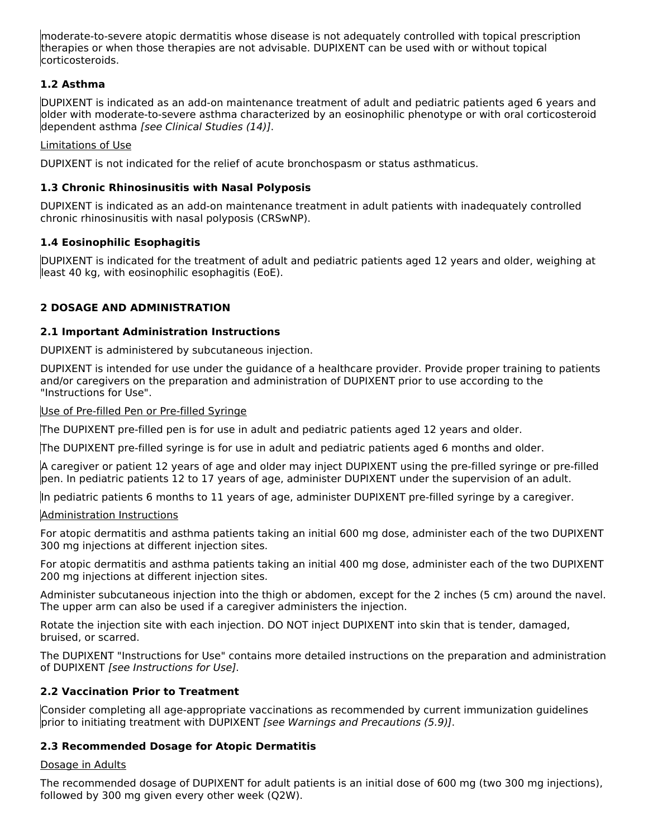moderate-to-severe atopic dermatitis whose disease is not adequately controlled with topical prescription therapies or when those therapies are not advisable. DUPIXENT can be used with or without topical corticosteroids.

### **1.2 Asthma**

DUPIXENT is indicated as an add-on maintenance treatment of adult and pediatric patients aged 6 years and older with moderate-to-severe asthma characterized by an eosinophilic phenotype or with oral corticosteroid dependent asthma [see Clinical Studies (14)].

### Limitations of Use

DUPIXENT is not indicated for the relief of acute bronchospasm or status asthmaticus.

### **1.3 Chronic Rhinosinusitis with Nasal Polyposis**

DUPIXENT is indicated as an add-on maintenance treatment in adult patients with inadequately controlled chronic rhinosinusitis with nasal polyposis (CRSwNP).

### **1.4 Eosinophilic Esophagitis**

DUPIXENT is indicated for the treatment of adult and pediatric patients aged 12 years and older, weighing at least 40 kg, with eosinophilic esophagitis (EoE).

### **2 DOSAGE AND ADMINISTRATION**

### **2.1 Important Administration Instructions**

DUPIXENT is administered by subcutaneous injection.

DUPIXENT is intended for use under the guidance of a healthcare provider. Provide proper training to patients and/or caregivers on the preparation and administration of DUPIXENT prior to use according to the "Instructions for Use".

Use of Pre-filled Pen or Pre-filled Syringe

The DUPIXENT pre-filled pen is for use in adult and pediatric patients aged 12 years and older.

The DUPIXENT pre-filled syringe is for use in adult and pediatric patients aged 6 months and older.

A caregiver or patient 12 years of age and older may inject DUPIXENT using the pre-filled syringe or pre-filled pen. In pediatric patients 12 to 17 years of age, administer DUPIXENT under the supervision of an adult.

In pediatric patients 6 months to 11 years of age, administer DUPIXENT pre-filled syringe by a caregiver.

### Administration Instructions

For atopic dermatitis and asthma patients taking an initial 600 mg dose, administer each of the two DUPIXENT 300 mg injections at different injection sites.

For atopic dermatitis and asthma patients taking an initial 400 mg dose, administer each of the two DUPIXENT 200 mg injections at different injection sites.

Administer subcutaneous injection into the thigh or abdomen, except for the 2 inches (5 cm) around the navel. The upper arm can also be used if a caregiver administers the injection.

Rotate the injection site with each injection. DO NOT inject DUPIXENT into skin that is tender, damaged, bruised, or scarred.

The DUPIXENT "Instructions for Use" contains more detailed instructions on the preparation and administration of DUPIXENT [see Instructions for Use].

### **2.2 Vaccination Prior to Treatment**

Consider completing all age-appropriate vaccinations as recommended by current immunization guidelines prior to initiating treatment with DUPIXENT [see Warnings and Precautions (5.9)].

### **2.3 Recommended Dosage for Atopic Dermatitis**

### Dosage in Adults

The recommended dosage of DUPIXENT for adult patients is an initial dose of 600 mg (two 300 mg injections), followed by 300 mg given every other week (Q2W).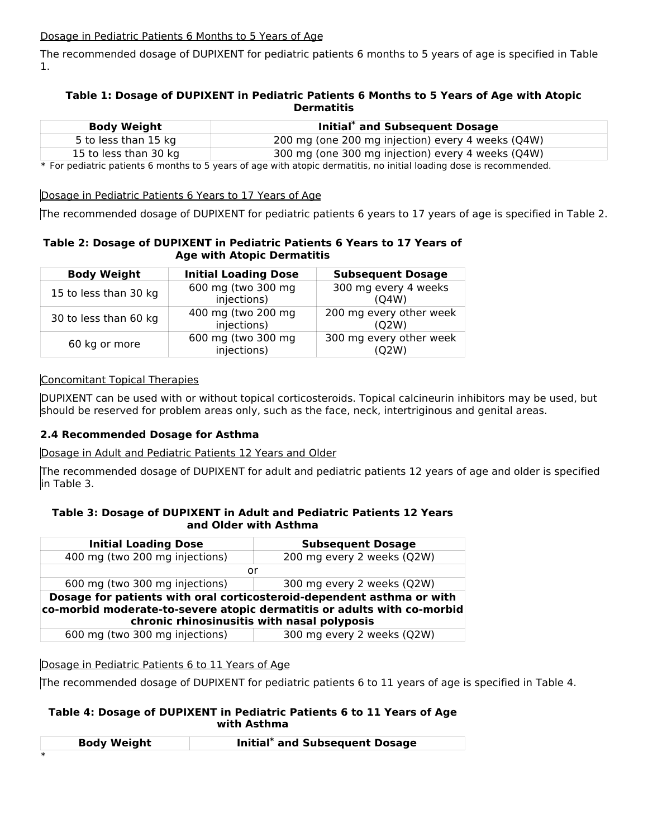### Dosage in Pediatric Patients 6 Months to 5 Years of Age

The recommended dosage of DUPIXENT for pediatric patients 6 months to 5 years of age is specified in Table 1.

### **Table 1: Dosage of DUPIXENT in Pediatric Patients 6 Months to 5 Years of Age with Atopic Dermatitis**

| <b>Body Weight</b>    | Initial* and Subsequent Dosage                    |
|-----------------------|---------------------------------------------------|
| 5 to less than 15 kg  | 200 mg (one 200 mg injection) every 4 weeks (Q4W) |
| 15 to less than 30 kg | 300 mg (one 300 mg injection) every 4 weeks (Q4W) |

\* For pediatric patients 6 months to 5 years of age with atopic dermatitis, no initial loading dose is recommended.

### Dosage in Pediatric Patients 6 Years to 17 Years of Age

The recommended dosage of DUPIXENT for pediatric patients 6 years to 17 years of age is specified in Table 2.

### **Table 2: Dosage of DUPIXENT in Pediatric Patients 6 Years to 17 Years of Age with Atopic Dermatitis**

| <b>Body Weight</b>    | <b>Initial Loading Dose</b>       | <b>Subsequent Dosage</b>         |
|-----------------------|-----------------------------------|----------------------------------|
| 15 to less than 30 kg | 600 mg (two 300 mg<br>injections) | 300 mg every 4 weeks<br>(04W)    |
| 30 to less than 60 kg | 400 mg (two 200 mg<br>injections) | 200 mg every other week<br>(Q2W) |
| 60 kg or more         | 600 mg (two 300 mg<br>injections) | 300 mg every other week<br>(Q2W) |

### Concomitant Topical Therapies

DUPIXENT can be used with or without topical corticosteroids. Topical calcineurin inhibitors may be used, but should be reserved for problem areas only, such as the face, neck, intertriginous and genital areas.

### **2.4 Recommended Dosage for Asthma**

### Dosage in Adult and Pediatric Patients 12 Years and Older

The recommended dosage of DUPIXENT for adult and pediatric patients 12 years of age and older is specified in Table 3.

### **Table 3: Dosage of DUPIXENT in Adult and Pediatric Patients 12 Years and Older with Asthma**

| <b>Initial Loading Dose</b>    | <b>Subsequent Dosage</b>                                                                                                                                                                        |
|--------------------------------|-------------------------------------------------------------------------------------------------------------------------------------------------------------------------------------------------|
| 400 mg (two 200 mg injections) | 200 mg every 2 weeks (Q2W)                                                                                                                                                                      |
|                                | or                                                                                                                                                                                              |
| 600 mg (two 300 mg injections) | 300 mg every 2 weeks (Q2W)                                                                                                                                                                      |
|                                | Dosage for patients with oral corticosteroid-dependent asthma or with<br>co-morbid moderate-to-severe atopic dermatitis or adults with co-morbid<br>chronic rhinosinusitis with nasal polyposis |
| 600 mg (two 300 mg injections) | 300 mg every 2 weeks (Q2W)                                                                                                                                                                      |

### Dosage in Pediatric Patients 6 to 11 Years of Age

The recommended dosage of DUPIXENT for pediatric patients 6 to 11 years of age is specified in Table 4.

### **Table 4: Dosage of DUPIXENT in Pediatric Patients 6 to 11 Years of Age with Asthma**

| <b>Body Weight</b> | Initial* and Subsequent Dosage |
|--------------------|--------------------------------|
|                    |                                |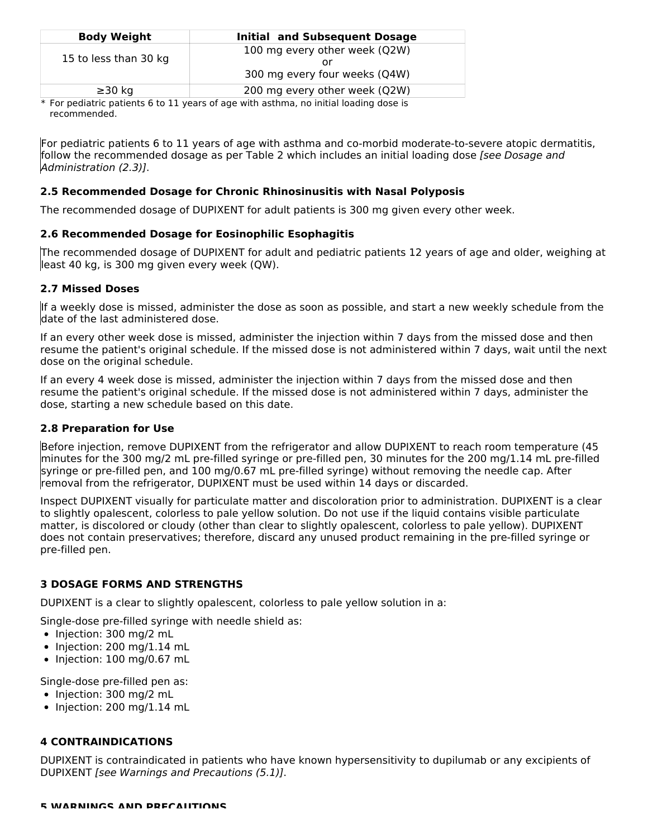| <b>Body Weight</b>    | <b>Initial and Subsequent Dosage</b> |
|-----------------------|--------------------------------------|
| 15 to less than 30 kg | 100 mg every other week (Q2W)        |
|                       |                                      |
|                       | 300 mg every four weeks (Q4W)        |
| $\geq$ 30 kg          | 200 mg every other week (Q2W)        |

\* For pediatric patients 6 to 11 years of age with asthma, no initial loading dose is recommended.

For pediatric patients 6 to 11 years of age with asthma and co-morbid moderate-to-severe atopic dermatitis, follow the recommended dosage as per Table 2 which includes an initial loading dose *[see Dosage and* Administration (2.3)].

### **2.5 Recommended Dosage for Chronic Rhinosinusitis with Nasal Polyposis**

The recommended dosage of DUPIXENT for adult patients is 300 mg given every other week.

### **2.6 Recommended Dosage for Eosinophilic Esophagitis**

The recommended dosage of DUPIXENT for adult and pediatric patients 12 years of age and older, weighing at least 40 kg, is 300 mg given every week (QW).

### **2.7 Missed Doses**

If a weekly dose is missed, administer the dose as soon as possible, and start a new weekly schedule from the date of the last administered dose.

If an every other week dose is missed, administer the injection within 7 days from the missed dose and then resume the patient's original schedule. If the missed dose is not administered within 7 days, wait until the next dose on the original schedule.

If an every 4 week dose is missed, administer the injection within 7 days from the missed dose and then resume the patient's original schedule. If the missed dose is not administered within 7 days, administer the dose, starting a new schedule based on this date.

### **2.8 Preparation for Use**

Before injection, remove DUPIXENT from the refrigerator and allow DUPIXENT to reach room temperature (45 minutes for the 300 mg/2 mL pre-filled syringe or pre-filled pen, 30 minutes for the 200 mg/1.14 mL pre-filled syringe or pre-filled pen, and 100 mg/0.67 mL pre-filled syringe) without removing the needle cap. After removal from the refrigerator, DUPIXENT must be used within 14 days or discarded.

Inspect DUPIXENT visually for particulate matter and discoloration prior to administration. DUPIXENT is a clear to slightly opalescent, colorless to pale yellow solution. Do not use if the liquid contains visible particulate matter, is discolored or cloudy (other than clear to slightly opalescent, colorless to pale yellow). DUPIXENT does not contain preservatives; therefore, discard any unused product remaining in the pre-filled syringe or pre-filled pen.

### **3 DOSAGE FORMS AND STRENGTHS**

DUPIXENT is a clear to slightly opalescent, colorless to pale yellow solution in a:

Single-dose pre-filled syringe with needle shield as:

- Injection: 300 mg/2 mL
- $\bullet$  Injection: 200 mg/1.14 mL
- $\bullet$  Injection: 100 mg/0.67 mL

Single-dose pre-filled pen as:

- Injection: 300 mg/2 mL
- $\bullet$  Injection: 200 mg/1.14 mL

### **4 CONTRAINDICATIONS**

DUPIXENT is contraindicated in patients who have known hypersensitivity to dupilumab or any excipients of DUPIXENT [see Warnings and Precautions (5.1)].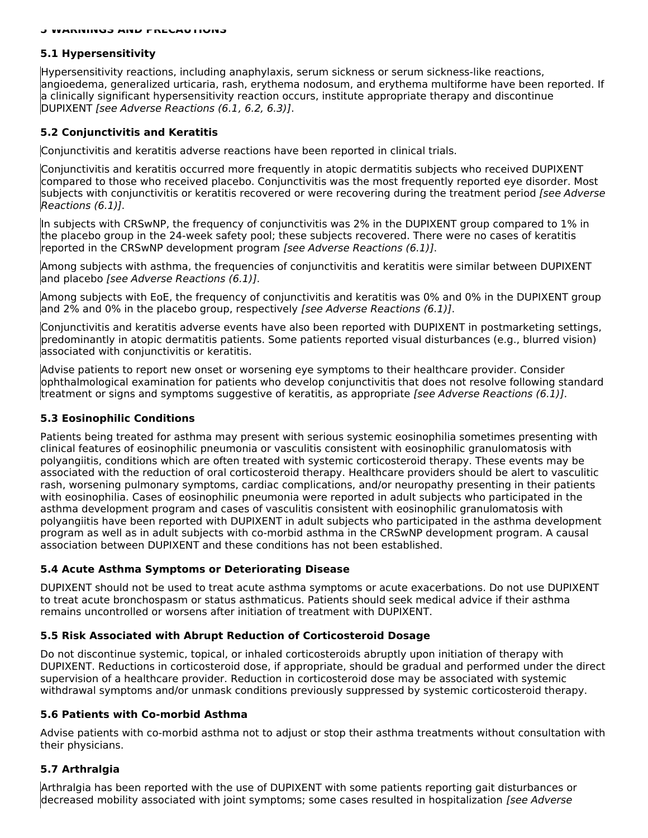### **5.1 Hypersensitivity**

Hypersensitivity reactions, including anaphylaxis, serum sickness or serum sickness-like reactions, angioedema, generalized urticaria, rash, erythema nodosum, and erythema multiforme have been reported. If a clinically significant hypersensitivity reaction occurs, institute appropriate therapy and discontinue DUPIXENT [see Adverse Reactions (6.1, 6.2, 6.3)].

### **5.2 Conjunctivitis and Keratitis**

Conjunctivitis and keratitis adverse reactions have been reported in clinical trials.

Conjunctivitis and keratitis occurred more frequently in atopic dermatitis subjects who received DUPIXENT compared to those who received placebo. Conjunctivitis was the most frequently reported eye disorder. Most subjects with conjunctivitis or keratitis recovered or were recovering during the treatment period *[see Adverse* Reactions (6.1)].

In subjects with CRSwNP, the frequency of conjunctivitis was 2% in the DUPIXENT group compared to 1% in the placebo group in the 24-week safety pool; these subjects recovered. There were no cases of keratitis reported in the CRSwNP development program *[see Adverse Reactions (6.1)]*.

Among subjects with asthma, the frequencies of conjunctivitis and keratitis were similar between DUPIXENT and placebo [see Adverse Reactions (6.1)].

Among subjects with EoE, the frequency of conjunctivitis and keratitis was 0% and 0% in the DUPIXENT group and 2% and 0% in the placebo group, respectively [see Adverse Reactions (6.1)].

Conjunctivitis and keratitis adverse events have also been reported with DUPIXENT in postmarketing settings, predominantly in atopic dermatitis patients. Some patients reported visual disturbances (e.g., blurred vision) associated with conjunctivitis or keratitis.

Advise patients to report new onset or worsening eye symptoms to their healthcare provider. Consider ophthalmological examination for patients who develop conjunctivitis that does not resolve following standard treatment or signs and symptoms suggestive of keratitis, as appropriate [see Adverse Reactions (6.1)].

### **5.3 Eosinophilic Conditions**

Patients being treated for asthma may present with serious systemic eosinophilia sometimes presenting with clinical features of eosinophilic pneumonia or vasculitis consistent with eosinophilic granulomatosis with polyangiitis, conditions which are often treated with systemic corticosteroid therapy. These events may be associated with the reduction of oral corticosteroid therapy. Healthcare providers should be alert to vasculitic rash, worsening pulmonary symptoms, cardiac complications, and/or neuropathy presenting in their patients with eosinophilia. Cases of eosinophilic pneumonia were reported in adult subjects who participated in the asthma development program and cases of vasculitis consistent with eosinophilic granulomatosis with polyangiitis have been reported with DUPIXENT in adult subjects who participated in the asthma development program as well as in adult subjects with co-morbid asthma in the CRSwNP development program. A causal association between DUPIXENT and these conditions has not been established.

### **5.4 Acute Asthma Symptoms or Deteriorating Disease**

DUPIXENT should not be used to treat acute asthma symptoms or acute exacerbations. Do not use DUPIXENT to treat acute bronchospasm or status asthmaticus. Patients should seek medical advice if their asthma remains uncontrolled or worsens after initiation of treatment with DUPIXENT.

### **5.5 Risk Associated with Abrupt Reduction of Corticosteroid Dosage**

Do not discontinue systemic, topical, or inhaled corticosteroids abruptly upon initiation of therapy with DUPIXENT. Reductions in corticosteroid dose, if appropriate, should be gradual and performed under the direct supervision of a healthcare provider. Reduction in corticosteroid dose may be associated with systemic withdrawal symptoms and/or unmask conditions previously suppressed by systemic corticosteroid therapy.

### **5.6 Patients with Co-morbid Asthma**

Advise patients with co-morbid asthma not to adjust or stop their asthma treatments without consultation with their physicians.

### **5.7 Arthralgia**

Arthralgia has been reported with the use of DUPIXENT with some patients reporting gait disturbances or decreased mobility associated with joint symptoms; some cases resulted in hospitalization *[see Adverse*]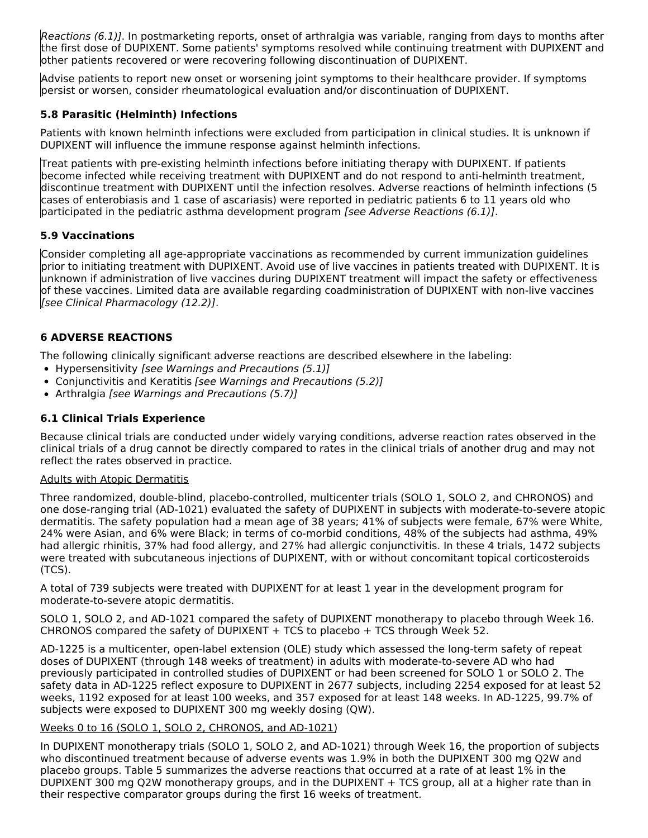Reactions (6.1)]. In postmarketing reports, onset of arthralgia was variable, ranging from days to months after the first dose of DUPIXENT. Some patients' symptoms resolved while continuing treatment with DUPIXENT and other patients recovered or were recovering following discontinuation of DUPIXENT.

Advise patients to report new onset or worsening joint symptoms to their healthcare provider. If symptoms persist or worsen, consider rheumatological evaluation and/or discontinuation of DUPIXENT.

### **5.8 Parasitic (Helminth) Infections**

Patients with known helminth infections were excluded from participation in clinical studies. It is unknown if DUPIXENT will influence the immune response against helminth infections.

Treat patients with pre-existing helminth infections before initiating therapy with DUPIXENT. If patients become infected while receiving treatment with DUPIXENT and do not respond to anti-helminth treatment, discontinue treatment with DUPIXENT until the infection resolves. Adverse reactions of helminth infections (5 cases of enterobiasis and 1 case of ascariasis) were reported in pediatric patients 6 to 11 years old who participated in the pediatric asthma development program *[see Adverse Reactions (6.1)]*.

### **5.9 Vaccinations**

Consider completing all age-appropriate vaccinations as recommended by current immunization guidelines prior to initiating treatment with DUPIXENT. Avoid use of live vaccines in patients treated with DUPIXENT. It is unknown if administration of live vaccines during DUPIXENT treatment will impact the safety or effectiveness of these vaccines. Limited data are available regarding coadministration of DUPIXENT with non-live vaccines [see Clinical Pharmacology (12.2)].

### **6 ADVERSE REACTIONS**

The following clinically significant adverse reactions are described elsewhere in the labeling:

- Hypersensitivity [see Warnings and Precautions (5.1)]
- Conjunctivitis and Keratitis [see Warnings and Precautions (5.2)]
- Arthralgia [see Warnings and Precautions (5.7)]

### **6.1 Clinical Trials Experience**

Because clinical trials are conducted under widely varying conditions, adverse reaction rates observed in the clinical trials of a drug cannot be directly compared to rates in the clinical trials of another drug and may not reflect the rates observed in practice.

### Adults with Atopic Dermatitis

Three randomized, double-blind, placebo-controlled, multicenter trials (SOLO 1, SOLO 2, and CHRONOS) and one dose-ranging trial (AD-1021) evaluated the safety of DUPIXENT in subjects with moderate-to-severe atopic dermatitis. The safety population had a mean age of 38 years; 41% of subjects were female, 67% were White, 24% were Asian, and 6% were Black; in terms of co-morbid conditions, 48% of the subjects had asthma, 49% had allergic rhinitis, 37% had food allergy, and 27% had allergic conjunctivitis. In these 4 trials, 1472 subjects were treated with subcutaneous injections of DUPIXENT, with or without concomitant topical corticosteroids (TCS).

A total of 739 subjects were treated with DUPIXENT for at least 1 year in the development program for moderate-to-severe atopic dermatitis.

SOLO 1, SOLO 2, and AD-1021 compared the safety of DUPIXENT monotherapy to placebo through Week 16. CHRONOS compared the safety of DUPIXENT + TCS to placebo + TCS through Week 52.

AD-1225 is a multicenter, open-label extension (OLE) study which assessed the long-term safety of repeat doses of DUPIXENT (through 148 weeks of treatment) in adults with moderate-to-severe AD who had previously participated in controlled studies of DUPIXENT or had been screened for SOLO 1 or SOLO 2. The safety data in AD-1225 reflect exposure to DUPIXENT in 2677 subjects, including 2254 exposed for at least 52 weeks, 1192 exposed for at least 100 weeks, and 357 exposed for at least 148 weeks. In AD-1225, 99.7% of subjects were exposed to DUPIXENT 300 mg weekly dosing (QW).

### Weeks 0 to 16 (SOLO 1, SOLO 2, CHRONOS, and AD-1021)

In DUPIXENT monotherapy trials (SOLO 1, SOLO 2, and AD-1021) through Week 16, the proportion of subjects who discontinued treatment because of adverse events was 1.9% in both the DUPIXENT 300 mg Q2W and placebo groups. Table 5 summarizes the adverse reactions that occurred at a rate of at least 1% in the DUPIXENT 300 mg Q2W monotherapy groups, and in the DUPIXENT + TCS group, all at a higher rate than in their respective comparator groups during the first 16 weeks of treatment.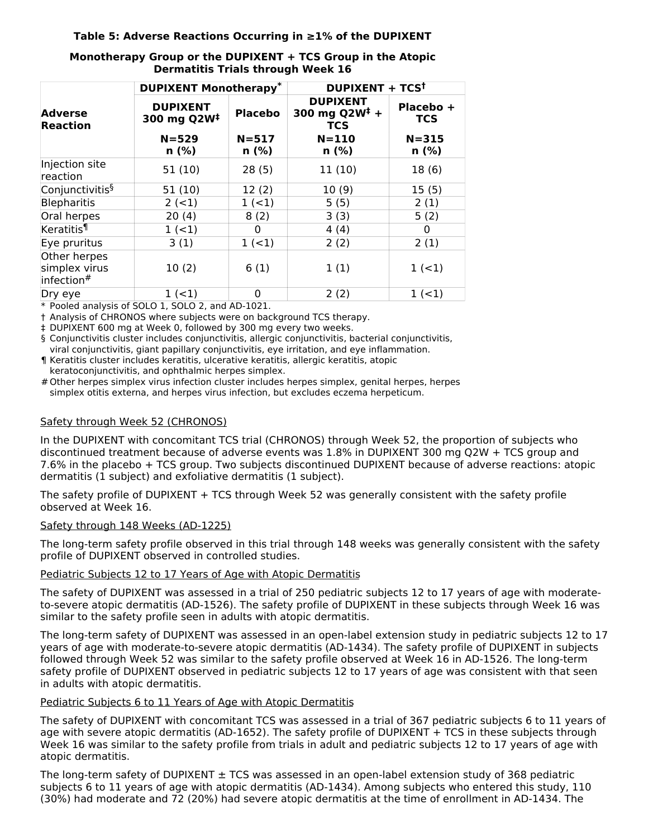### **Table 5: Adverse Reactions Occurring in ≥1% of the DUPIXENT**

|                                             | <b>DUPIXENT Monotherapy*</b>                                 |                    | <b>DUPIXENT + TCS<sup>t</sup></b>                          |                         |  |
|---------------------------------------------|--------------------------------------------------------------|--------------------|------------------------------------------------------------|-------------------------|--|
| <b>Adverse</b><br><b>Reaction</b>           | <b>DUPIXENT</b><br><b>Placebo</b><br>300 mg Q2W <sup>‡</sup> |                    | <b>DUPIXENT</b><br>300 mg Q2W <sup>‡</sup> +<br><b>TCS</b> | Placebo +<br><b>TCS</b> |  |
|                                             | $N = 529$<br>$n$ (%)                                         | $N = 517$<br>n (%) | $N = 110$<br>$n$ (%)                                       | $N = 315$<br>n (%)      |  |
| Injection site<br>reaction                  | 51(10)                                                       | 28(5)              | 11(10)                                                     | 18(6)                   |  |
| Conjunctivitis <sup>§</sup>                 | 51(10)                                                       | 12(2)              | 10(9)                                                      | 15(5)                   |  |
| <b>Blepharitis</b>                          | $2 (-1)$                                                     | $1 (-1)$           | 5(5)                                                       | 2(1)                    |  |
| Oral herpes                                 | 20(4)                                                        | 8(2)               | 3(3)                                                       | 5(2)                    |  |
| Keratitis <sup>¶</sup>                      | $1 (-1)$                                                     | 0                  | 4(4)                                                       | $\Omega$                |  |
| Eye pruritus                                | 3(1)                                                         | $1 (-1)$           | 2(2)                                                       | 2(1)                    |  |
| Other herpes<br>simplex virus<br>infection# | 10(2)                                                        | 6(1)               | 1(1)                                                       | $1 (-1)$                |  |
| Dry eye                                     | $1 (-1)$                                                     | 0                  | 2(2)                                                       | $1 (-1)$                |  |

### **Monotherapy Group or the DUPIXENT + TCS Group in the Atopic Dermatitis Trials through Week 16**

\* Pooled analysis of SOLO 1, SOLO 2, and AD-1021.

† Analysis of CHRONOS where subjects were on background TCS therapy.

‡ DUPIXENT 600 mg at Week 0, followed by 300 mg every two weeks.

§ Conjunctivitis cluster includes conjunctivitis, allergic conjunctivitis, bacterial conjunctivitis,

viral conjunctivitis, giant papillary conjunctivitis, eye irritation, and eye inflammation.

¶ Keratitis cluster includes keratitis, ulcerative keratitis, allergic keratitis, atopic keratoconjunctivitis, and ophthalmic herpes simplex.

# Other herpes simplex virus infection cluster includes herpes simplex, genital herpes, herpes simplex otitis externa, and herpes virus infection, but excludes eczema herpeticum.

### Safety through Week 52 (CHRONOS)

In the DUPIXENT with concomitant TCS trial (CHRONOS) through Week 52, the proportion of subjects who discontinued treatment because of adverse events was 1.8% in DUPIXENT 300 mg Q2W + TCS group and 7.6% in the placebo + TCS group. Two subjects discontinued DUPIXENT because of adverse reactions: atopic dermatitis (1 subject) and exfoliative dermatitis (1 subject).

The safety profile of DUPIXENT + TCS through Week 52 was generally consistent with the safety profile observed at Week 16.

### Safety through 148 Weeks (AD-1225)

The long-term safety profile observed in this trial through 148 weeks was generally consistent with the safety profile of DUPIXENT observed in controlled studies.

### Pediatric Subjects 12 to 17 Years of Age with Atopic Dermatitis

The safety of DUPIXENT was assessed in a trial of 250 pediatric subjects 12 to 17 years of age with moderateto-severe atopic dermatitis (AD-1526). The safety profile of DUPIXENT in these subjects through Week 16 was similar to the safety profile seen in adults with atopic dermatitis.

The long-term safety of DUPIXENT was assessed in an open-label extension study in pediatric subjects 12 to 17 years of age with moderate-to-severe atopic dermatitis (AD-1434). The safety profile of DUPIXENT in subjects followed through Week 52 was similar to the safety profile observed at Week 16 in AD-1526. The long-term safety profile of DUPIXENT observed in pediatric subjects 12 to 17 years of age was consistent with that seen in adults with atopic dermatitis.

### Pediatric Subjects 6 to 11 Years of Age with Atopic Dermatitis

The safety of DUPIXENT with concomitant TCS was assessed in a trial of 367 pediatric subjects 6 to 11 years of age with severe atopic dermatitis (AD-1652). The safety profile of DUPIXENT + TCS in these subjects through Week 16 was similar to the safety profile from trials in adult and pediatric subjects 12 to 17 years of age with atopic dermatitis.

The long-term safety of DUPIXENT  $\pm$  TCS was assessed in an open-label extension study of 368 pediatric subjects 6 to 11 years of age with atopic dermatitis (AD-1434). Among subjects who entered this study, 110 (30%) had moderate and 72 (20%) had severe atopic dermatitis at the time of enrollment in AD-1434. The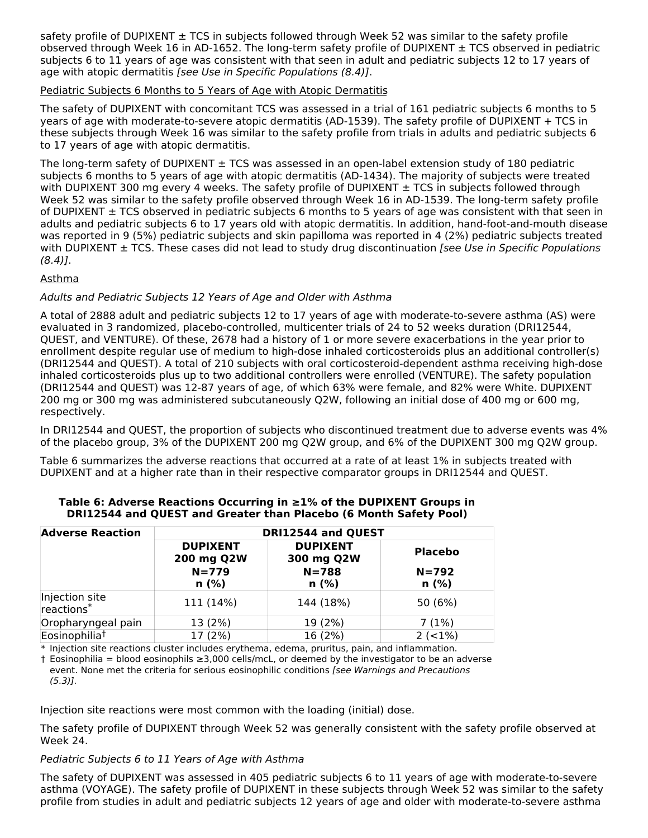safety profile of DUPIXENT  $\pm$  TCS in subjects followed through Week 52 was similar to the safety profile observed through Week 16 in AD-1652. The long-term safety profile of DUPIXENT  $\pm$  TCS observed in pediatric subjects 6 to 11 years of age was consistent with that seen in adult and pediatric subjects 12 to 17 years of age with atopic dermatitis [see Use in Specific Populations (8.4)].

### Pediatric Subjects 6 Months to 5 Years of Age with Atopic Dermatitis

The safety of DUPIXENT with concomitant TCS was assessed in a trial of 161 pediatric subjects 6 months to 5 years of age with moderate-to-severe atopic dermatitis (AD-1539). The safety profile of DUPIXENT + TCS in these subjects through Week 16 was similar to the safety profile from trials in adults and pediatric subjects 6 to 17 years of age with atopic dermatitis.

The long-term safety of DUPIXENT  $\pm$  TCS was assessed in an open-label extension study of 180 pediatric subjects 6 months to 5 years of age with atopic dermatitis (AD-1434). The majority of subjects were treated with DUPIXENT 300 mg every 4 weeks. The safety profile of DUPIXENT  $\pm$  TCS in subjects followed through Week 52 was similar to the safety profile observed through Week 16 in AD-1539. The long-term safety profile of DUPIXENT  $\pm$  TCS observed in pediatric subjects 6 months to 5 years of age was consistent with that seen in adults and pediatric subjects 6 to 17 years old with atopic dermatitis. In addition, hand-foot-and-mouth disease was reported in 9 (5%) pediatric subjects and skin papilloma was reported in 4 (2%) pediatric subjects treated with DUPIXENT  $\pm$  TCS. These cases did not lead to study drug discontinuation [see Use in Specific Populations  $(8.4)$ .

### Asthma

### Adults and Pediatric Subjects 12 Years of Age and Older with Asthma

A total of 2888 adult and pediatric subjects 12 to 17 years of age with moderate-to-severe asthma (AS) were evaluated in 3 randomized, placebo-controlled, multicenter trials of 24 to 52 weeks duration (DRI12544, QUEST, and VENTURE). Of these, 2678 had a history of 1 or more severe exacerbations in the year prior to enrollment despite regular use of medium to high-dose inhaled corticosteroids plus an additional controller(s) (DRI12544 and QUEST). A total of 210 subjects with oral corticosteroid-dependent asthma receiving high-dose inhaled corticosteroids plus up to two additional controllers were enrolled (VENTURE). The safety population (DRI12544 and QUEST) was 12-87 years of age, of which 63% were female, and 82% were White. DUPIXENT 200 mg or 300 mg was administered subcutaneously Q2W, following an initial dose of 400 mg or 600 mg, respectively.

In DRI12544 and QUEST, the proportion of subjects who discontinued treatment due to adverse events was 4% of the placebo group, 3% of the DUPIXENT 200 mg Q2W group, and 6% of the DUPIXENT 300 mg Q2W group.

Table 6 summarizes the adverse reactions that occurred at a rate of at least 1% in subjects treated with DUPIXENT and at a higher rate than in their respective comparator groups in DRI12544 and QUEST.

| <b>Adverse Reaction</b>      | DRI12544 and QUEST                                    |                                                    |                                     |  |  |
|------------------------------|-------------------------------------------------------|----------------------------------------------------|-------------------------------------|--|--|
|                              | <b>DUPIXENT</b><br>200 mg Q2W<br>$N = 779$<br>$n$ (%) | <b>DUPIXENT</b><br>300 mg Q2W<br>$N = 788$<br>n(%) | <b>Placebo</b><br>$N = 792$<br>n(%) |  |  |
| Injection site<br>reactions* | 111 (14%)                                             | 144 (18%)                                          | 50 (6%)                             |  |  |
| Oropharyngeal pain           | 13 (2%)                                               | 19 (2%)                                            | 7(1%)                               |  |  |
| Eosinophilia <sup>†</sup>    | 17 (2%)                                               | 16 (2%)                                            | $2 (-1%)$                           |  |  |

### **Table 6: Adverse Reactions Occurring in ≥1% of the DUPIXENT Groups in DRI12544 and QUEST and Greater than Placebo (6 Month Safety Pool)**

\* Injection site reactions cluster includes erythema, edema, pruritus, pain, and inflammation.

† Eosinophilia = blood eosinophils ≥3,000 cells/mcL, or deemed by the investigator to be an adverse event. None met the criteria for serious eosinophilic conditions [see Warnings and Precautions  $(5.3)$ ].

Injection site reactions were most common with the loading (initial) dose.

The safety profile of DUPIXENT through Week 52 was generally consistent with the safety profile observed at Week 24.

### Pediatric Subjects 6 to 11 Years of Age with Asthma

The safety of DUPIXENT was assessed in 405 pediatric subjects 6 to 11 years of age with moderate-to-severe asthma (VOYAGE). The safety profile of DUPIXENT in these subjects through Week 52 was similar to the safety profile from studies in adult and pediatric subjects 12 years of age and older with moderate-to-severe asthma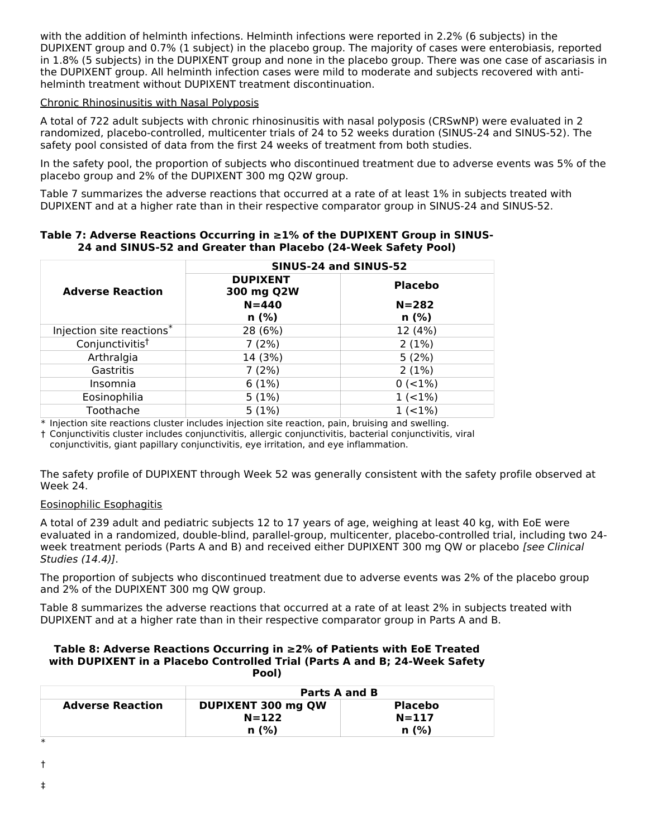with the addition of helminth infections. Helminth infections were reported in 2.2% (6 subjects) in the DUPIXENT group and 0.7% (1 subject) in the placebo group. The majority of cases were enterobiasis, reported in 1.8% (5 subjects) in the DUPIXENT group and none in the placebo group. There was one case of ascariasis in the DUPIXENT group. All helminth infection cases were mild to moderate and subjects recovered with antihelminth treatment without DUPIXENT treatment discontinuation.

#### Chronic Rhinosinusitis with Nasal Polyposis

A total of 722 adult subjects with chronic rhinosinusitis with nasal polyposis (CRSwNP) were evaluated in 2 randomized, placebo-controlled, multicenter trials of 24 to 52 weeks duration (SINUS-24 and SINUS-52). The safety pool consisted of data from the first 24 weeks of treatment from both studies.

In the safety pool, the proportion of subjects who discontinued treatment due to adverse events was 5% of the placebo group and 2% of the DUPIXENT 300 mg Q2W group.

Table 7 summarizes the adverse reactions that occurred at a rate of at least 1% in subjects treated with DUPIXENT and at a higher rate than in their respective comparator group in SINUS-24 and SINUS-52.

|                           | SINUS-24 and SINUS-52         |                |  |
|---------------------------|-------------------------------|----------------|--|
| <b>Adverse Reaction</b>   | <b>DUPIXENT</b><br>300 mg Q2W | <b>Placebo</b> |  |
|                           | $N = 440$                     | $N = 282$      |  |
|                           | n(%)                          | n(%)           |  |
| Injection site reactions* | 28 (6%)                       | 12 (4%)        |  |
| Conjunctivitist           | 7(2%)                         | 2(1%)          |  |
| Arthralgia                | 14 (3%)                       | 5(2%)          |  |
| Gastritis                 | 7(2%)                         | 2(1%)          |  |
| Insomnia                  | 6(1%)                         | $0 (< 1\%)$    |  |
| Eosinophilia              | 5(1%)                         | $1 (-1%)$      |  |
| Toothache                 | 5(1%)                         | $1( < 1\%)$    |  |

#### **Table 7: Adverse Reactions Occurring in ≥1% of the DUPIXENT Group in SINUS-24 and SINUS-52 and Greater than Placebo (24-Week Safety Pool)**

\* Injection site reactions cluster includes injection site reaction, pain, bruising and swelling.

† Conjunctivitis cluster includes conjunctivitis, allergic conjunctivitis, bacterial conjunctivitis, viral

conjunctivitis, giant papillary conjunctivitis, eye irritation, and eye inflammation.

The safety profile of DUPIXENT through Week 52 was generally consistent with the safety profile observed at Week 24.

#### Eosinophilic Esophagitis

A total of 239 adult and pediatric subjects 12 to 17 years of age, weighing at least 40 kg, with EoE were evaluated in a randomized, double-blind, parallel-group, multicenter, placebo-controlled trial, including two 24 week treatment periods (Parts A and B) and received either DUPIXENT 300 mg QW or placebo [see Clinical Studies (14.4)].

The proportion of subjects who discontinued treatment due to adverse events was 2% of the placebo group and 2% of the DUPIXENT 300 mg QW group.

Table 8 summarizes the adverse reactions that occurred at a rate of at least 2% in subjects treated with DUPIXENT and at a higher rate than in their respective comparator group in Parts A and B.

#### **Table 8: Adverse Reactions Occurring in ≥2% of Patients with EoE Treated with DUPIXENT in a Placebo Controlled Trial (Parts A and B; 24-Week Safety Pool)**

|                         | Parts A and B      |                |  |
|-------------------------|--------------------|----------------|--|
| <b>Adverse Reaction</b> | DUPIXENT 300 mg QW | <b>Placebo</b> |  |
|                         | $N = 122$          | $N = 117$      |  |
|                         | n(%)               | n(%)           |  |

†

‡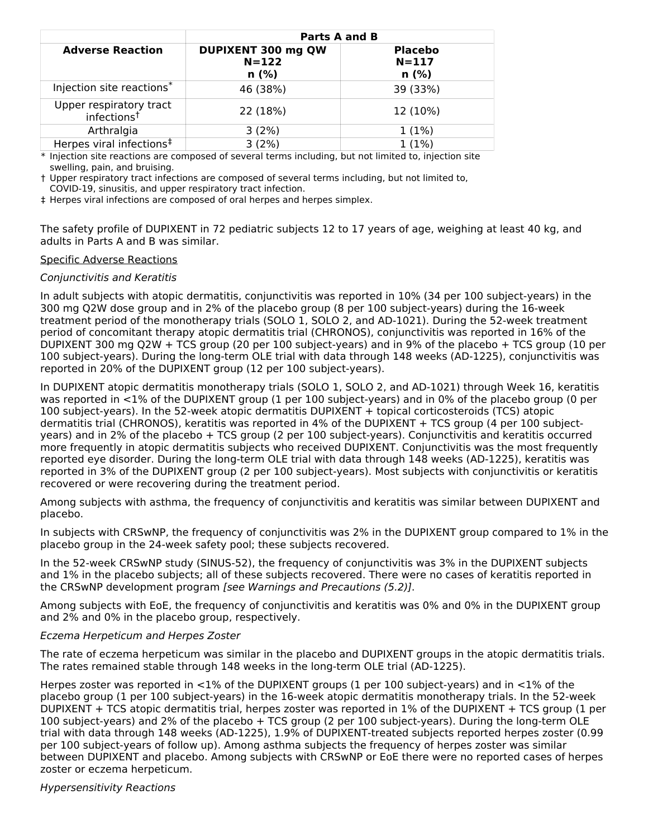|                                                    | <b>Parts A and B</b>                    |                                     |  |  |
|----------------------------------------------------|-----------------------------------------|-------------------------------------|--|--|
| <b>Adverse Reaction</b>                            | DUPIXENT 300 mg QW<br>$N = 122$<br>n(%) | <b>Placebo</b><br>$N = 117$<br>n(%) |  |  |
| Injection site reactions*                          | 46 (38%)                                | 39 (33%)                            |  |  |
| Upper respiratory tract<br>infections <sup>t</sup> | 22 (18%)                                | 12 (10%)                            |  |  |
| Arthralgia                                         | 3(2%)                                   | 1(1%)                               |  |  |
| Herpes viral infections <sup>‡</sup>               | 3(2%)                                   | 1(1%)                               |  |  |

\* Injection site reactions are composed of several terms including, but not limited to, injection site swelling, pain, and bruising.

† Upper respiratory tract infections are composed of several terms including, but not limited to, COVID-19, sinusitis, and upper respiratory tract infection.

‡ Herpes viral infections are composed of oral herpes and herpes simplex.

The safety profile of DUPIXENT in 72 pediatric subjects 12 to 17 years of age, weighing at least 40 kg, and adults in Parts A and B was similar.

### Specific Adverse Reactions

### Conjunctivitis and Keratitis

In adult subjects with atopic dermatitis, conjunctivitis was reported in 10% (34 per 100 subject-years) in the 300 mg Q2W dose group and in 2% of the placebo group (8 per 100 subject-years) during the 16-week treatment period of the monotherapy trials (SOLO 1, SOLO 2, and AD-1021). During the 52-week treatment period of concomitant therapy atopic dermatitis trial (CHRONOS), conjunctivitis was reported in 16% of the DUPIXENT 300 mg Q2W + TCS group (20 per 100 subject-years) and in 9% of the placebo + TCS group (10 per 100 subject-years). During the long-term OLE trial with data through 148 weeks (AD-1225), conjunctivitis was reported in 20% of the DUPIXENT group (12 per 100 subject-years).

In DUPIXENT atopic dermatitis monotherapy trials (SOLO 1, SOLO 2, and AD-1021) through Week 16, keratitis was reported in <1% of the DUPIXENT group (1 per 100 subject-years) and in 0% of the placebo group (0 per 100 subject-years). In the 52-week atopic dermatitis DUPIXENT + topical corticosteroids (TCS) atopic dermatitis trial (CHRONOS), keratitis was reported in 4% of the DUPIXENT + TCS group (4 per 100 subjectyears) and in 2% of the placebo + TCS group (2 per 100 subject-years). Conjunctivitis and keratitis occurred more frequently in atopic dermatitis subjects who received DUPIXENT. Conjunctivitis was the most frequently reported eye disorder. During the long-term OLE trial with data through 148 weeks (AD-1225), keratitis was reported in 3% of the DUPIXENT group (2 per 100 subject-years). Most subjects with conjunctivitis or keratitis recovered or were recovering during the treatment period.

Among subjects with asthma, the frequency of conjunctivitis and keratitis was similar between DUPIXENT and placebo.

In subjects with CRSwNP, the frequency of conjunctivitis was 2% in the DUPIXENT group compared to 1% in the placebo group in the 24-week safety pool; these subjects recovered.

In the 52-week CRSwNP study (SINUS-52), the frequency of conjunctivitis was 3% in the DUPIXENT subjects and 1% in the placebo subjects; all of these subjects recovered. There were no cases of keratitis reported in the CRSwNP development program [see Warnings and Precautions (5.2)].

Among subjects with EoE, the frequency of conjunctivitis and keratitis was 0% and 0% in the DUPIXENT group and 2% and 0% in the placebo group, respectively.

#### Eczema Herpeticum and Herpes Zoster

The rate of eczema herpeticum was similar in the placebo and DUPIXENT groups in the atopic dermatitis trials. The rates remained stable through 148 weeks in the long-term OLE trial (AD-1225).

Herpes zoster was reported in <1% of the DUPIXENT groups (1 per 100 subject-years) and in <1% of the placebo group (1 per 100 subject-years) in the 16-week atopic dermatitis monotherapy trials. In the 52-week DUPIXENT + TCS atopic dermatitis trial, herpes zoster was reported in 1% of the DUPIXENT + TCS group (1 per 100 subject-years) and 2% of the placebo + TCS group (2 per 100 subject-years). During the long-term OLE trial with data through 148 weeks (AD-1225), 1.9% of DUPIXENT-treated subjects reported herpes zoster (0.99 per 100 subject-years of follow up). Among asthma subjects the frequency of herpes zoster was similar between DUPIXENT and placebo. Among subjects with CRSwNP or EoE there were no reported cases of herpes zoster or eczema herpeticum.

#### Hypersensitivity Reactions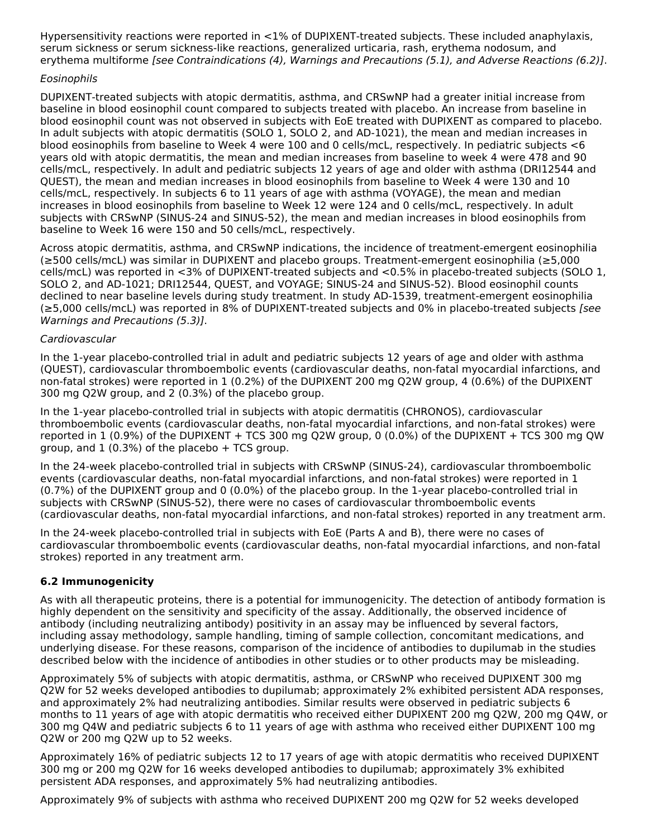Hypersensitivity reactions were reported in <1% of DUPIXENT-treated subjects. These included anaphylaxis, serum sickness or serum sickness-like reactions, generalized urticaria, rash, erythema nodosum, and erythema multiforme [see Contraindications (4), Warnings and Precautions (5.1), and Adverse Reactions (6.2)].

### Eosinophils

DUPIXENT-treated subjects with atopic dermatitis, asthma, and CRSwNP had a greater initial increase from baseline in blood eosinophil count compared to subjects treated with placebo. An increase from baseline in blood eosinophil count was not observed in subjects with EoE treated with DUPIXENT as compared to placebo. In adult subjects with atopic dermatitis (SOLO 1, SOLO 2, and AD-1021), the mean and median increases in blood eosinophils from baseline to Week 4 were 100 and 0 cells/mcL, respectively. In pediatric subjects <6 years old with atopic dermatitis, the mean and median increases from baseline to week 4 were 478 and 90 cells/mcL, respectively. In adult and pediatric subjects 12 years of age and older with asthma (DRI12544 and QUEST), the mean and median increases in blood eosinophils from baseline to Week 4 were 130 and 10 cells/mcL, respectively. In subjects 6 to 11 years of age with asthma (VOYAGE), the mean and median increases in blood eosinophils from baseline to Week 12 were 124 and 0 cells/mcL, respectively. In adult subjects with CRSwNP (SINUS-24 and SINUS-52), the mean and median increases in blood eosinophils from baseline to Week 16 were 150 and 50 cells/mcL, respectively.

Across atopic dermatitis, asthma, and CRSwNP indications, the incidence of treatment-emergent eosinophilia (≥500 cells/mcL) was similar in DUPIXENT and placebo groups. Treatment-emergent eosinophilia (≥5,000 cells/mcL) was reported in <3% of DUPIXENT-treated subjects and <0.5% in placebo-treated subjects (SOLO 1, SOLO 2, and AD-1021; DRI12544, QUEST, and VOYAGE; SINUS-24 and SINUS-52). Blood eosinophil counts declined to near baseline levels during study treatment. In study AD-1539, treatment-emergent eosinophilia (≥5,000 cells/mcL) was reported in 8% of DUPIXENT-treated subjects and 0% in placebo-treated subjects [see Warnings and Precautions (5.3)].

### Cardiovascular

In the 1-year placebo-controlled trial in adult and pediatric subjects 12 years of age and older with asthma (QUEST), cardiovascular thromboembolic events (cardiovascular deaths, non-fatal myocardial infarctions, and non-fatal strokes) were reported in 1 (0.2%) of the DUPIXENT 200 mg Q2W group, 4 (0.6%) of the DUPIXENT 300 mg Q2W group, and 2 (0.3%) of the placebo group.

In the 1-year placebo-controlled trial in subjects with atopic dermatitis (CHRONOS), cardiovascular thromboembolic events (cardiovascular deaths, non-fatal myocardial infarctions, and non-fatal strokes) were reported in 1 (0.9%) of the DUPIXENT + TCS 300 mg Q2W group, 0 (0.0%) of the DUPIXENT + TCS 300 mg QW group, and  $1$  (0.3%) of the placebo + TCS group.

In the 24-week placebo-controlled trial in subjects with CRSwNP (SINUS-24), cardiovascular thromboembolic events (cardiovascular deaths, non-fatal myocardial infarctions, and non-fatal strokes) were reported in 1 (0.7%) of the DUPIXENT group and 0 (0.0%) of the placebo group. In the 1-year placebo-controlled trial in subjects with CRSwNP (SINUS-52), there were no cases of cardiovascular thromboembolic events (cardiovascular deaths, non-fatal myocardial infarctions, and non-fatal strokes) reported in any treatment arm.

In the 24-week placebo-controlled trial in subjects with EoE (Parts A and B), there were no cases of cardiovascular thromboembolic events (cardiovascular deaths, non-fatal myocardial infarctions, and non-fatal strokes) reported in any treatment arm.

### **6.2 Immunogenicity**

As with all therapeutic proteins, there is a potential for immunogenicity. The detection of antibody formation is highly dependent on the sensitivity and specificity of the assay. Additionally, the observed incidence of antibody (including neutralizing antibody) positivity in an assay may be influenced by several factors, including assay methodology, sample handling, timing of sample collection, concomitant medications, and underlying disease. For these reasons, comparison of the incidence of antibodies to dupilumab in the studies described below with the incidence of antibodies in other studies or to other products may be misleading.

Approximately 5% of subjects with atopic dermatitis, asthma, or CRSwNP who received DUPIXENT 300 mg Q2W for 52 weeks developed antibodies to dupilumab; approximately 2% exhibited persistent ADA responses, and approximately 2% had neutralizing antibodies. Similar results were observed in pediatric subjects 6 months to 11 years of age with atopic dermatitis who received either DUPIXENT 200 mg Q2W, 200 mg Q4W, or 300 mg Q4W and pediatric subjects 6 to 11 years of age with asthma who received either DUPIXENT 100 mg Q2W or 200 mg Q2W up to 52 weeks.

Approximately 16% of pediatric subjects 12 to 17 years of age with atopic dermatitis who received DUPIXENT 300 mg or 200 mg Q2W for 16 weeks developed antibodies to dupilumab; approximately 3% exhibited persistent ADA responses, and approximately 5% had neutralizing antibodies.

Approximately 9% of subjects with asthma who received DUPIXENT 200 mg Q2W for 52 weeks developed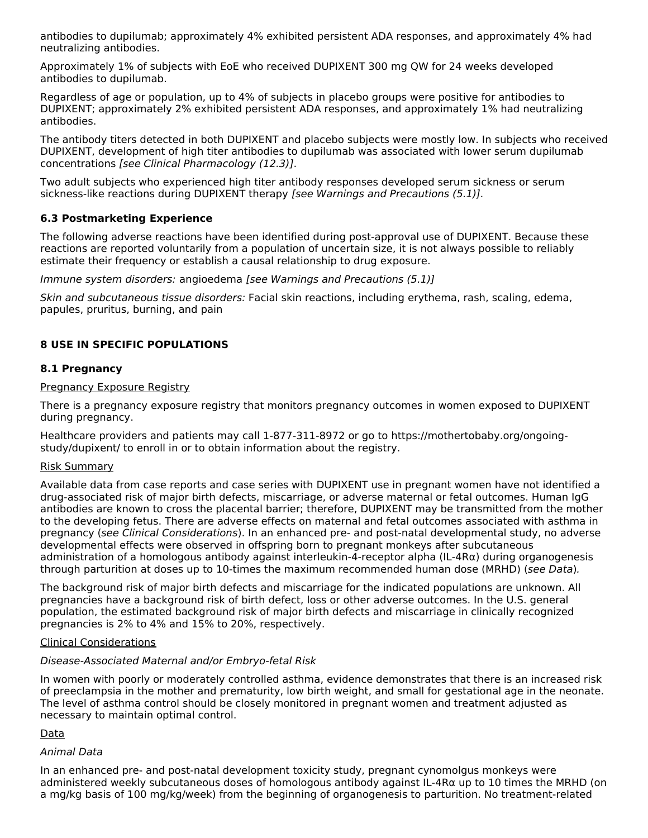antibodies to dupilumab; approximately 4% exhibited persistent ADA responses, and approximately 4% had neutralizing antibodies.

Approximately 1% of subjects with EoE who received DUPIXENT 300 mg QW for 24 weeks developed antibodies to dupilumab.

Regardless of age or population, up to 4% of subjects in placebo groups were positive for antibodies to DUPIXENT; approximately 2% exhibited persistent ADA responses, and approximately 1% had neutralizing antibodies.

The antibody titers detected in both DUPIXENT and placebo subjects were mostly low. In subjects who received DUPIXENT, development of high titer antibodies to dupilumab was associated with lower serum dupilumab concentrations [see Clinical Pharmacology (12.3)].

Two adult subjects who experienced high titer antibody responses developed serum sickness or serum sickness-like reactions during DUPIXENT therapy [see Warnings and Precautions (5.1)].

### **6.3 Postmarketing Experience**

The following adverse reactions have been identified during post-approval use of DUPIXENT. Because these reactions are reported voluntarily from a population of uncertain size, it is not always possible to reliably estimate their frequency or establish a causal relationship to drug exposure.

Immune system disorders: angioedema [see Warnings and Precautions (5.1)]

Skin and subcutaneous tissue disorders: Facial skin reactions, including erythema, rash, scaling, edema, papules, pruritus, burning, and pain

### **8 USE IN SPECIFIC POPULATIONS**

#### **8.1 Pregnancy**

#### Pregnancy Exposure Registry

There is a pregnancy exposure registry that monitors pregnancy outcomes in women exposed to DUPIXENT during pregnancy.

Healthcare providers and patients may call 1-877-311-8972 or go to https://mothertobaby.org/ongoingstudy/dupixent/ to enroll in or to obtain information about the registry.

#### Risk Summary

Available data from case reports and case series with DUPIXENT use in pregnant women have not identified a drug-associated risk of major birth defects, miscarriage, or adverse maternal or fetal outcomes. Human IgG antibodies are known to cross the placental barrier; therefore, DUPIXENT may be transmitted from the mother to the developing fetus. There are adverse effects on maternal and fetal outcomes associated with asthma in pregnancy (see Clinical Considerations). In an enhanced pre- and post-natal developmental study, no adverse developmental effects were observed in offspring born to pregnant monkeys after subcutaneous administration of a homologous antibody against interleukin-4-receptor alpha (IL-4Rα) during organogenesis through parturition at doses up to 10-times the maximum recommended human dose (MRHD) (see Data).

The background risk of major birth defects and miscarriage for the indicated populations are unknown. All pregnancies have a background risk of birth defect, loss or other adverse outcomes. In the U.S. general population, the estimated background risk of major birth defects and miscarriage in clinically recognized pregnancies is 2% to 4% and 15% to 20%, respectively.

#### Clinical Considerations

#### Disease-Associated Maternal and/or Embryo-fetal Risk

In women with poorly or moderately controlled asthma, evidence demonstrates that there is an increased risk of preeclampsia in the mother and prematurity, low birth weight, and small for gestational age in the neonate. The level of asthma control should be closely monitored in pregnant women and treatment adjusted as necessary to maintain optimal control.

#### Data

#### Animal Data

In an enhanced pre- and post-natal development toxicity study, pregnant cynomolgus monkeys were administered weekly subcutaneous doses of homologous antibody against IL-4Rα up to 10 times the MRHD (on a mg/kg basis of 100 mg/kg/week) from the beginning of organogenesis to parturition. No treatment-related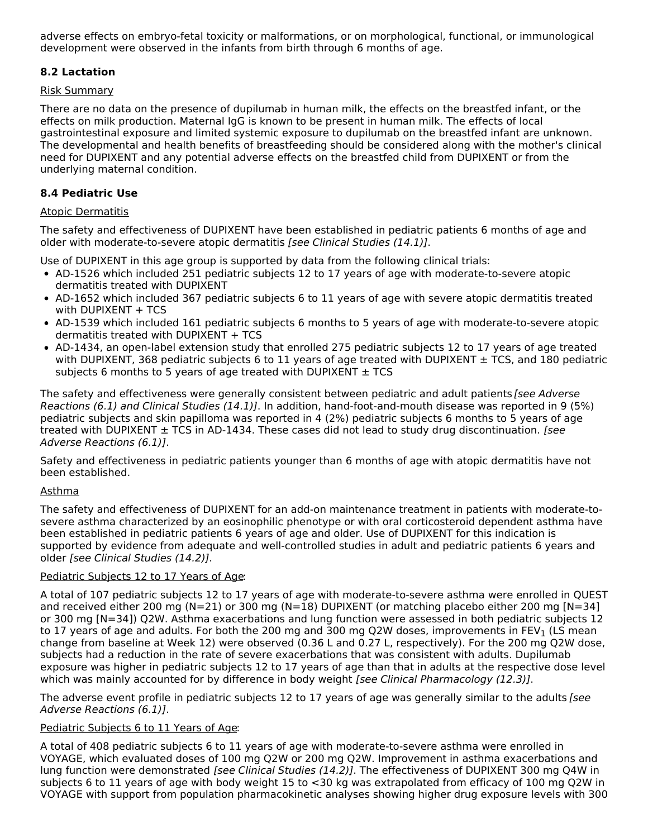adverse effects on embryo-fetal toxicity or malformations, or on morphological, functional, or immunological development were observed in the infants from birth through 6 months of age.

### **8.2 Lactation**

### Risk Summary

There are no data on the presence of dupilumab in human milk, the effects on the breastfed infant, or the effects on milk production. Maternal IgG is known to be present in human milk. The effects of local gastrointestinal exposure and limited systemic exposure to dupilumab on the breastfed infant are unknown. The developmental and health benefits of breastfeeding should be considered along with the mother's clinical need for DUPIXENT and any potential adverse effects on the breastfed child from DUPIXENT or from the underlying maternal condition.

### **8.4 Pediatric Use**

### Atopic Dermatitis

The safety and effectiveness of DUPIXENT have been established in pediatric patients 6 months of age and older with moderate-to-severe atopic dermatitis [see Clinical Studies (14.1)].

Use of DUPIXENT in this age group is supported by data from the following clinical trials:

- AD-1526 which included 251 pediatric subjects 12 to 17 years of age with moderate-to-severe atopic dermatitis treated with DUPIXENT
- AD-1652 which included 367 pediatric subjects 6 to 11 years of age with severe atopic dermatitis treated with DUPIXENT  $+$  TCS
- AD-1539 which included 161 pediatric subjects 6 months to 5 years of age with moderate-to-severe atopic dermatitis treated with DUPIXENT + TCS
- AD-1434, an open-label extension study that enrolled 275 pediatric subjects 12 to 17 years of age treated with DUPIXENT, 368 pediatric subjects 6 to 11 years of age treated with DUPIXENT  $\pm$  TCS, and 180 pediatric subjects 6 months to 5 years of age treated with DUPIXENT  $\pm$  TCS

The safety and effectiveness were generally consistent between pediatric and adult patients [see Adverse] Reactions (6.1) and Clinical Studies (14.1)]. In addition, hand-foot-and-mouth disease was reported in 9 (5%) pediatric subjects and skin papilloma was reported in 4 (2%) pediatric subjects 6 months to 5 years of age treated with DUPIXENT  $\pm$  TCS in AD-1434. These cases did not lead to study drug discontinuation. [see Adverse Reactions (6.1)].

Safety and effectiveness in pediatric patients younger than 6 months of age with atopic dermatitis have not been established.

### Asthma

The safety and effectiveness of DUPIXENT for an add-on maintenance treatment in patients with moderate-tosevere asthma characterized by an eosinophilic phenotype or with oral corticosteroid dependent asthma have been established in pediatric patients 6 years of age and older. Use of DUPIXENT for this indication is supported by evidence from adequate and well-controlled studies in adult and pediatric patients 6 years and older [see Clinical Studies (14.2)].

### Pediatric Subjects 12 to 17 Years of Age:

A total of 107 pediatric subjects 12 to 17 years of age with moderate-to-severe asthma were enrolled in QUEST and received either 200 mg (N=21) or 300 mg (N=18) DUPIXENT (or matching placebo either 200 mg [N=34] or 300 mg [N=34]) Q2W. Asthma exacerbations and lung function were assessed in both pediatric subjects 12 to 17 years of age and adults. For both the 200 mg and 300 mg Q2W doses, improvements in FEV<sub>1</sub> (LS mean change from baseline at Week 12) were observed (0.36 L and 0.27 L, respectively). For the 200 mg Q2W dose, subjects had a reduction in the rate of severe exacerbations that was consistent with adults. Dupilumab exposure was higher in pediatric subjects 12 to 17 years of age than that in adults at the respective dose level which was mainly accounted for by difference in body weight [see Clinical Pharmacology (12.3)].

The adverse event profile in pediatric subjects 12 to 17 years of age was generally similar to the adults [see Adverse Reactions (6.1)].

### Pediatric Subjects 6 to 11 Years of Age:

A total of 408 pediatric subjects 6 to 11 years of age with moderate-to-severe asthma were enrolled in VOYAGE, which evaluated doses of 100 mg Q2W or 200 mg Q2W. Improvement in asthma exacerbations and lung function were demonstrated [see Clinical Studies (14.2)]. The effectiveness of DUPIXENT 300 mg Q4W in subjects 6 to 11 years of age with body weight 15 to <30 kg was extrapolated from efficacy of 100 mg Q2W in VOYAGE with support from population pharmacokinetic analyses showing higher drug exposure levels with 300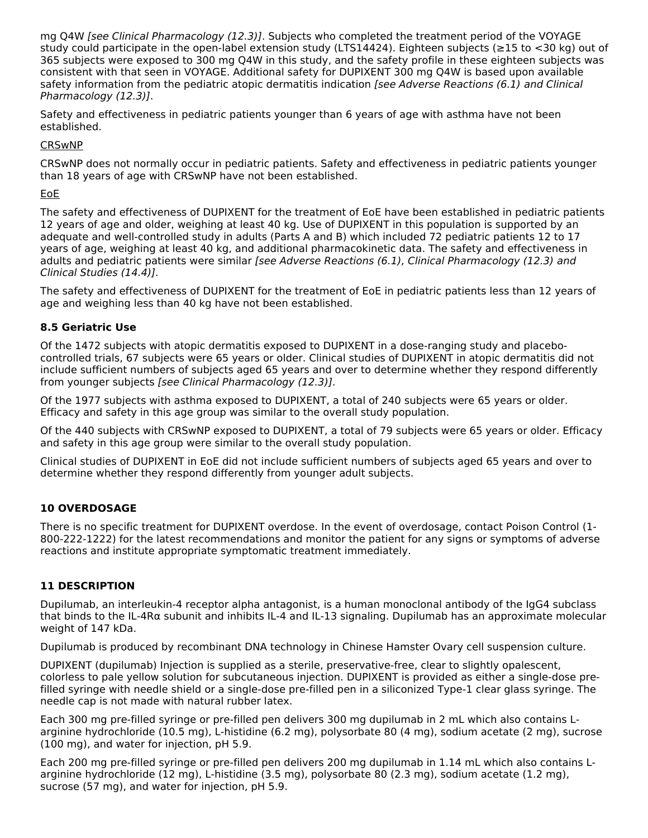mg Q4W [see Clinical Pharmacology (12.3)]. Subjects who completed the treatment period of the VOYAGE study could participate in the open-label extension study (LTS14424). Eighteen subjects (≥15 to <30 kg) out of 365 subjects were exposed to 300 mg Q4W in this study, and the safety profile in these eighteen subjects was consistent with that seen in VOYAGE. Additional safety for DUPIXENT 300 mg Q4W is based upon available safety information from the pediatric atopic dermatitis indication [see Adverse Reactions (6.1) and Clinical Pharmacology (12.3)].

Safety and effectiveness in pediatric patients younger than 6 years of age with asthma have not been established.

### CRSwNP

CRSwNP does not normally occur in pediatric patients. Safety and effectiveness in pediatric patients younger than 18 years of age with CRSwNP have not been established.

### EoE

The safety and effectiveness of DUPIXENT for the treatment of EoE have been established in pediatric patients 12 years of age and older, weighing at least 40 kg. Use of DUPIXENT in this population is supported by an adequate and well-controlled study in adults (Parts A and B) which included 72 pediatric patients 12 to 17 years of age, weighing at least 40 kg, and additional pharmacokinetic data. The safety and effectiveness in adults and pediatric patients were similar [see Adverse Reactions (6.1), Clinical Pharmacology (12.3) and Clinical Studies (14.4)].

The safety and effectiveness of DUPIXENT for the treatment of EoE in pediatric patients less than 12 years of age and weighing less than 40 kg have not been established.

### **8.5 Geriatric Use**

Of the 1472 subjects with atopic dermatitis exposed to DUPIXENT in a dose-ranging study and placebocontrolled trials, 67 subjects were 65 years or older. Clinical studies of DUPIXENT in atopic dermatitis did not include sufficient numbers of subjects aged 65 years and over to determine whether they respond differently from younger subjects [see Clinical Pharmacology (12.3)].

Of the 1977 subjects with asthma exposed to DUPIXENT, a total of 240 subjects were 65 years or older. Efficacy and safety in this age group was similar to the overall study population.

Of the 440 subjects with CRSwNP exposed to DUPIXENT, a total of 79 subjects were 65 years or older. Efficacy and safety in this age group were similar to the overall study population.

Clinical studies of DUPIXENT in EoE did not include sufficient numbers of subjects aged 65 years and over to determine whether they respond differently from younger adult subjects.

### **10 OVERDOSAGE**

There is no specific treatment for DUPIXENT overdose. In the event of overdosage, contact Poison Control (1- 800-222-1222) for the latest recommendations and monitor the patient for any signs or symptoms of adverse reactions and institute appropriate symptomatic treatment immediately.

### **11 DESCRIPTION**

Dupilumab, an interleukin-4 receptor alpha antagonist, is a human monoclonal antibody of the IgG4 subclass that binds to the IL-4Rα subunit and inhibits IL-4 and IL-13 signaling. Dupilumab has an approximate molecular weight of 147 kDa.

Dupilumab is produced by recombinant DNA technology in Chinese Hamster Ovary cell suspension culture.

DUPIXENT (dupilumab) Injection is supplied as a sterile, preservative-free, clear to slightly opalescent, colorless to pale yellow solution for subcutaneous injection. DUPIXENT is provided as either a single-dose prefilled syringe with needle shield or a single-dose pre-filled pen in a siliconized Type-1 clear glass syringe. The needle cap is not made with natural rubber latex.

Each 300 mg pre-filled syringe or pre-filled pen delivers 300 mg dupilumab in 2 mL which also contains Larginine hydrochloride (10.5 mg), L-histidine (6.2 mg), polysorbate 80 (4 mg), sodium acetate (2 mg), sucrose (100 mg), and water for injection, pH 5.9.

Each 200 mg pre-filled syringe or pre-filled pen delivers 200 mg dupilumab in 1.14 mL which also contains Larginine hydrochloride (12 mg), L-histidine (3.5 mg), polysorbate 80 (2.3 mg), sodium acetate (1.2 mg), sucrose (57 mg), and water for injection, pH 5.9.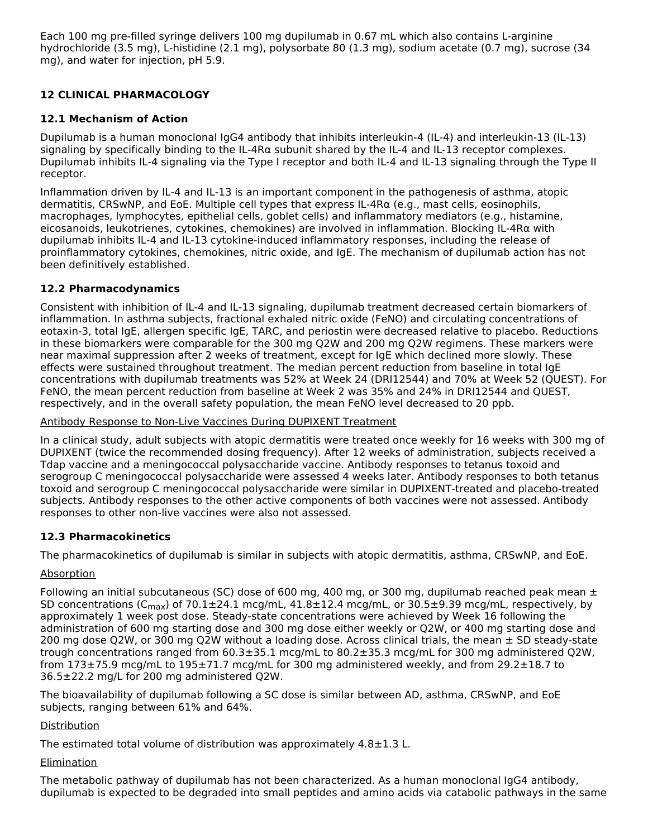Each 100 mg pre-filled syringe delivers 100 mg dupilumab in 0.67 mL which also contains L-arginine hydrochloride (3.5 mg), L-histidine (2.1 mg), polysorbate 80 (1.3 mg), sodium acetate (0.7 mg), sucrose (34 mg), and water for injection, pH 5.9.

### **12 CLINICAL PHARMACOLOGY**

### **12.1 Mechanism of Action**

Dupilumab is a human monoclonal IgG4 antibody that inhibits interleukin-4 (IL-4) and interleukin-13 (IL-13) signaling by specifically binding to the IL-4Rα subunit shared by the IL-4 and IL-13 receptor complexes. Dupilumab inhibits IL-4 signaling via the Type I receptor and both IL-4 and IL-13 signaling through the Type II receptor.

Inflammation driven by IL-4 and IL-13 is an important component in the pathogenesis of asthma, atopic dermatitis, CRSwNP, and EoE. Multiple cell types that express IL-4Rα (e.g., mast cells, eosinophils, macrophages, lymphocytes, epithelial cells, goblet cells) and inflammatory mediators (e.g., histamine, eicosanoids, leukotrienes, cytokines, chemokines) are involved in inflammation. Blocking IL-4Rα with dupilumab inhibits IL-4 and IL-13 cytokine-induced inflammatory responses, including the release of proinflammatory cytokines, chemokines, nitric oxide, and IgE. The mechanism of dupilumab action has not been definitively established.

### **12.2 Pharmacodynamics**

Consistent with inhibition of IL-4 and IL-13 signaling, dupilumab treatment decreased certain biomarkers of inflammation. In asthma subjects, fractional exhaled nitric oxide (FeNO) and circulating concentrations of eotaxin-3, total IgE, allergen specific IgE, TARC, and periostin were decreased relative to placebo. Reductions in these biomarkers were comparable for the 300 mg Q2W and 200 mg Q2W regimens. These markers were near maximal suppression after 2 weeks of treatment, except for IgE which declined more slowly. These effects were sustained throughout treatment. The median percent reduction from baseline in total IgE concentrations with dupilumab treatments was 52% at Week 24 (DRI12544) and 70% at Week 52 (QUEST). For FeNO, the mean percent reduction from baseline at Week 2 was 35% and 24% in DRI12544 and QUEST, respectively, and in the overall safety population, the mean FeNO level decreased to 20 ppb.

### Antibody Response to Non-Live Vaccines During DUPIXENT Treatment

In a clinical study, adult subjects with atopic dermatitis were treated once weekly for 16 weeks with 300 mg of DUPIXENT (twice the recommended dosing frequency). After 12 weeks of administration, subjects received a Tdap vaccine and a meningococcal polysaccharide vaccine. Antibody responses to tetanus toxoid and serogroup C meningococcal polysaccharide were assessed 4 weeks later. Antibody responses to both tetanus toxoid and serogroup C meningococcal polysaccharide were similar in DUPIXENT-treated and placebo-treated subjects. Antibody responses to the other active components of both vaccines were not assessed. Antibody responses to other non-live vaccines were also not assessed.

### **12.3 Pharmacokinetics**

The pharmacokinetics of dupilumab is similar in subjects with atopic dermatitis, asthma, CRSwNP, and EoE.

### **Absorption**

Following an initial subcutaneous (SC) dose of 600 mg, 400 mg, or 300 mg, dupilumab reached peak mean  $\pm$ SD concentrations (C<sub>max</sub>) of 70.1±24.1 mcg/mL, 41.8±12.4 mcg/mL, or 30.5±9.39 mcg/mL, respectively, by approximately 1 week post dose. Steady-state concentrations were achieved by Week 16 following the administration of 600 mg starting dose and 300 mg dose either weekly or Q2W, or 400 mg starting dose and 200 mg dose Q2W, or 300 mg Q2W without a loading dose. Across clinical trials, the mean  $\pm$  SD steady-state trough concentrations ranged from 60.3±35.1 mcg/mL to 80.2±35.3 mcg/mL for 300 mg administered Q2W, from 173±75.9 mcg/mL to 195±71.7 mcg/mL for 300 mg administered weekly, and from 29.2±18.7 to 36.5±22.2 mg/L for 200 mg administered Q2W.

The bioavailability of dupilumab following a SC dose is similar between AD, asthma, CRSwNP, and EoE subjects, ranging between 61% and 64%.

### **Distribution**

The estimated total volume of distribution was approximately 4.8±1.3 L.

### Elimination

The metabolic pathway of dupilumab has not been characterized. As a human monoclonal IgG4 antibody, dupilumab is expected to be degraded into small peptides and amino acids via catabolic pathways in the same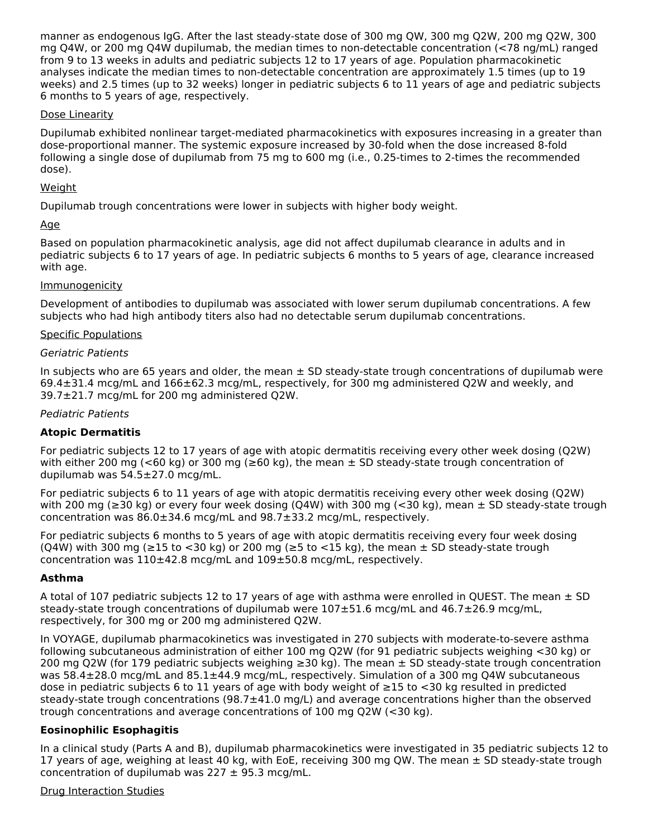manner as endogenous IgG. After the last steady-state dose of 300 mg QW, 300 mg Q2W, 200 mg Q2W, 300 mg Q4W, or 200 mg Q4W dupilumab, the median times to non-detectable concentration (<78 ng/mL) ranged from 9 to 13 weeks in adults and pediatric subjects 12 to 17 years of age. Population pharmacokinetic analyses indicate the median times to non-detectable concentration are approximately 1.5 times (up to 19 weeks) and 2.5 times (up to 32 weeks) longer in pediatric subjects 6 to 11 years of age and pediatric subjects 6 months to 5 years of age, respectively.

### Dose Linearity

Dupilumab exhibited nonlinear target-mediated pharmacokinetics with exposures increasing in a greater than dose-proportional manner. The systemic exposure increased by 30-fold when the dose increased 8-fold following a single dose of dupilumab from 75 mg to 600 mg (i.e., 0.25-times to 2-times the recommended dose).

### Weight

Dupilumab trough concentrations were lower in subjects with higher body weight.

### Age

Based on population pharmacokinetic analysis, age did not affect dupilumab clearance in adults and in pediatric subjects 6 to 17 years of age. In pediatric subjects 6 months to 5 years of age, clearance increased with age.

### **Immunogenicity**

Development of antibodies to dupilumab was associated with lower serum dupilumab concentrations. A few subjects who had high antibody titers also had no detectable serum dupilumab concentrations.

### Specific Populations

### Geriatric Patients

In subjects who are 65 years and older, the mean  $\pm$  SD steady-state trough concentrations of dupilumab were 69.4±31.4 mcg/mL and 166±62.3 mcg/mL, respectively, for 300 mg administered Q2W and weekly, and 39.7±21.7 mcg/mL for 200 mg administered Q2W.

### Pediatric Patients

### **Atopic Dermatitis**

For pediatric subjects 12 to 17 years of age with atopic dermatitis receiving every other week dosing (Q2W) with either 200 mg (<60 kg) or 300 mg ( $\geq$ 60 kg), the mean  $\pm$  SD steady-state trough concentration of dupilumab was 54.5±27.0 mcg/mL.

For pediatric subjects 6 to 11 years of age with atopic dermatitis receiving every other week dosing (Q2W) with 200 mg ( $\geq$ 30 kg) or every four week dosing (Q4W) with 300 mg (<30 kg), mean  $\pm$  SD steady-state trough concentration was 86.0±34.6 mcg/mL and 98.7±33.2 mcg/mL, respectively.

For pediatric subjects 6 months to 5 years of age with atopic dermatitis receiving every four week dosing (Q4W) with 300 mg ( $\geq$ 15 to <30 kg) or 200 mg ( $\geq$ 5 to <15 kg), the mean  $\pm$  SD steady-state trough concentration was 110±42.8 mcg/mL and 109±50.8 mcg/mL, respectively.

### **Asthma**

A total of 107 pediatric subjects 12 to 17 years of age with asthma were enrolled in QUEST. The mean  $\pm$  SD steady-state trough concentrations of dupilumab were 107±51.6 mcg/mL and 46.7±26.9 mcg/mL, respectively, for 300 mg or 200 mg administered Q2W.

In VOYAGE, dupilumab pharmacokinetics was investigated in 270 subjects with moderate-to-severe asthma following subcutaneous administration of either 100 mg Q2W (for 91 pediatric subjects weighing <30 kg) or 200 mg Q2W (for 179 pediatric subjects weighing ≥30 kg). The mean ± SD steady-state trough concentration was 58.4±28.0 mcg/mL and 85.1±44.9 mcg/mL, respectively. Simulation of a 300 mg Q4W subcutaneous dose in pediatric subjects 6 to 11 years of age with body weight of ≥15 to <30 kg resulted in predicted steady-state trough concentrations ( $98.7\pm41.0$  mg/L) and average concentrations higher than the observed trough concentrations and average concentrations of 100 mg Q2W (<30 kg).

### **Eosinophilic Esophagitis**

In a clinical study (Parts A and B), dupilumab pharmacokinetics were investigated in 35 pediatric subjects 12 to 17 years of age, weighing at least 40 kg, with EoE, receiving 300 mg QW. The mean  $\pm$  SD steady-state trough concentration of dupilumab was  $227 \pm 95.3$  mcg/mL.

### Drug Interaction Studies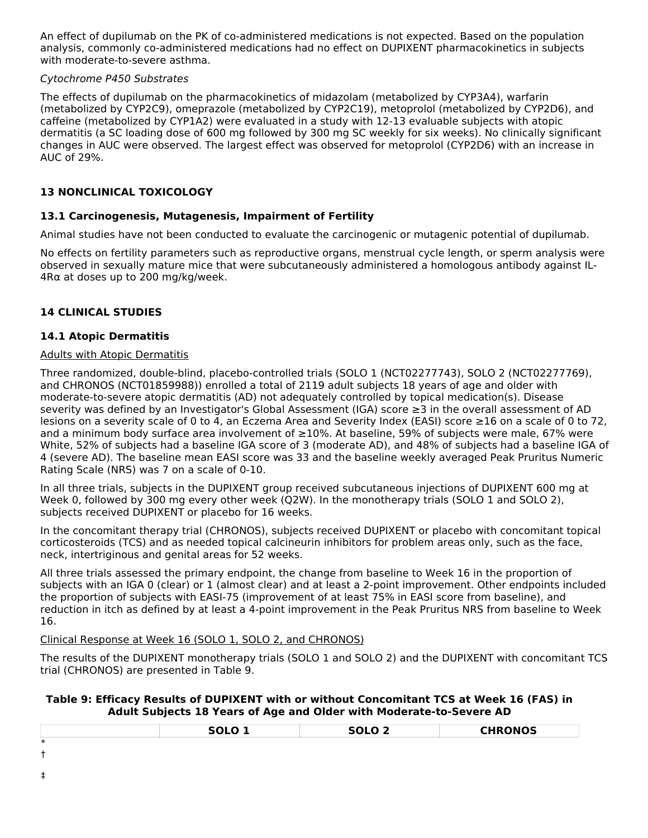An effect of dupilumab on the PK of co-administered medications is not expected. Based on the population analysis, commonly co-administered medications had no effect on DUPIXENT pharmacokinetics in subjects with moderate-to-severe asthma.

### Cytochrome P450 Substrates

The effects of dupilumab on the pharmacokinetics of midazolam (metabolized by CYP3A4), warfarin (metabolized by CYP2C9), omeprazole (metabolized by CYP2C19), metoprolol (metabolized by CYP2D6), and caffeine (metabolized by CYP1A2) were evaluated in a study with 12-13 evaluable subjects with atopic dermatitis (a SC loading dose of 600 mg followed by 300 mg SC weekly for six weeks). No clinically significant changes in AUC were observed. The largest effect was observed for metoprolol (CYP2D6) with an increase in AUC of 29%.

### **13 NONCLINICAL TOXICOLOGY**

### **13.1 Carcinogenesis, Mutagenesis, Impairment of Fertility**

Animal studies have not been conducted to evaluate the carcinogenic or mutagenic potential of dupilumab.

No effects on fertility parameters such as reproductive organs, menstrual cycle length, or sperm analysis were observed in sexually mature mice that were subcutaneously administered a homologous antibody against IL-4Rα at doses up to 200 mg/kg/week.

### **14 CLINICAL STUDIES**

### **14.1 Atopic Dermatitis**

### Adults with Atopic Dermatitis

Three randomized, double-blind, placebo-controlled trials (SOLO 1 (NCT02277743), SOLO 2 (NCT02277769), and CHRONOS (NCT01859988)) enrolled a total of 2119 adult subjects 18 years of age and older with moderate-to-severe atopic dermatitis (AD) not adequately controlled by topical medication(s). Disease severity was defined by an Investigator's Global Assessment (IGA) score ≥3 in the overall assessment of AD lesions on a severity scale of 0 to 4, an Eczema Area and Severity Index (EASI) score ≥16 on a scale of 0 to 72, and a minimum body surface area involvement of ≥10%. At baseline, 59% of subjects were male, 67% were White, 52% of subjects had a baseline IGA score of 3 (moderate AD), and 48% of subjects had a baseline IGA of 4 (severe AD). The baseline mean EASI score was 33 and the baseline weekly averaged Peak Pruritus Numeric Rating Scale (NRS) was 7 on a scale of 0-10.

In all three trials, subjects in the DUPIXENT group received subcutaneous injections of DUPIXENT 600 mg at Week 0, followed by 300 mg every other week (Q2W). In the monotherapy trials (SOLO 1 and SOLO 2), subjects received DUPIXENT or placebo for 16 weeks.

In the concomitant therapy trial (CHRONOS), subjects received DUPIXENT or placebo with concomitant topical corticosteroids (TCS) and as needed topical calcineurin inhibitors for problem areas only, such as the face, neck, intertriginous and genital areas for 52 weeks.

All three trials assessed the primary endpoint, the change from baseline to Week 16 in the proportion of subjects with an IGA 0 (clear) or 1 (almost clear) and at least a 2-point improvement. Other endpoints included the proportion of subjects with EASI-75 (improvement of at least 75% in EASI score from baseline), and reduction in itch as defined by at least a 4-point improvement in the Peak Pruritus NRS from baseline to Week 16.

### Clinical Response at Week 16 (SOLO 1, SOLO 2, and CHRONOS)

The results of the DUPIXENT monotherapy trials (SOLO 1 and SOLO 2) and the DUPIXENT with concomitant TCS trial (CHRONOS) are presented in Table 9.

### **Table 9: Efficacy Results of DUPIXENT with or without Concomitant TCS at Week 16 (FAS) in Adult Subjects 18 Years of Age and Older with Moderate-to-Severe AD**

|        | SOLO <sub>1</sub> | SOLO <sub>2</sub> | <b>CHRONOS</b> |
|--------|-------------------|-------------------|----------------|
| $\ast$ |                   |                   |                |
| ┻      |                   |                   |                |
| ÷      |                   |                   |                |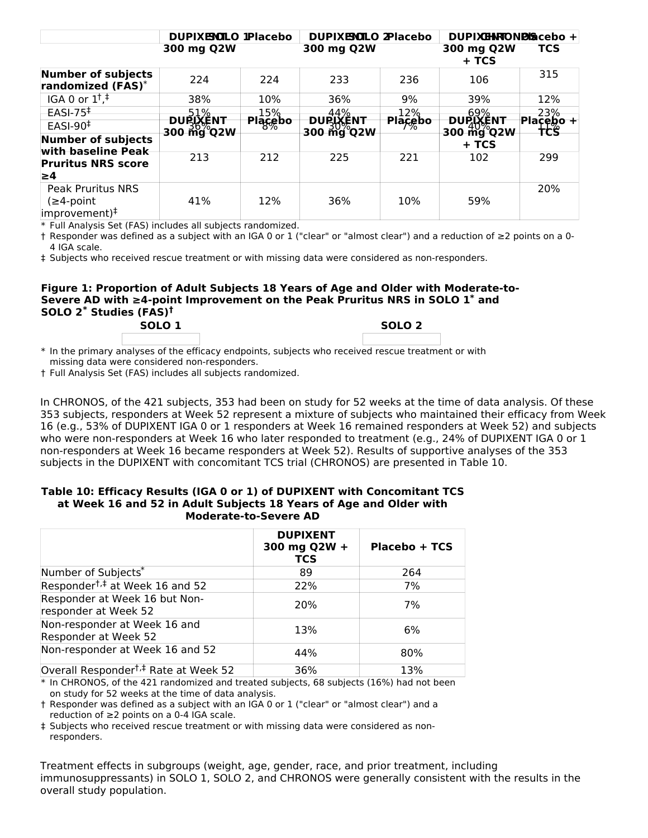|                                                                       | DUPIXENILO IPlacebo                            |                | DUPIXEMLO 2Placebo                |                | DUPIXHNTONDISicebo +              |                          |
|-----------------------------------------------------------------------|------------------------------------------------|----------------|-----------------------------------|----------------|-----------------------------------|--------------------------|
|                                                                       | 300 mg Q2W                                     |                | 300 mg Q2W                        |                | 300 mg Q2W                        | <b>TCS</b>               |
|                                                                       |                                                |                |                                   |                | + TCS                             |                          |
| <b>Number of subjects</b><br>randomized (FAS)*                        | 224                                            | 224            | 233                               | 236            | 106                               | 315                      |
| IGA 0 or $1^{\dagger}$ , $\pm$                                        | 38%                                            | 10%            | 36%                               | 9%             | 39%                               | 12%                      |
| $EASI-75$                                                             | 51%                                            | 15%            | 44%                               | 12%            | 69%                               | 23%                      |
| $EASI-90‡$                                                            | <del>durixent</del><br>$300 \frac{500}{9}$ Q2W | <b>Placebo</b> | <del>durixent</del><br>300 mg Q2W | <b>Placebo</b> | <del>durixent</del><br>300 mg Q2W | $Ha\bar{c}$ ębo +<br>tcs |
| <b>Number of subjects</b>                                             |                                                |                |                                   |                | + TCS                             |                          |
| with baseline Peak                                                    | 213                                            | 212            | 225                               | 221            | 102                               | 299                      |
| <b>Pruritus NRS score</b>                                             |                                                |                |                                   |                |                                   |                          |
| 1≥4                                                                   |                                                |                |                                   |                |                                   |                          |
| <b>Peak Pruritus NRS</b><br>$(≥4$ -point<br>improvement) <sup>‡</sup> | 41%                                            | 12%            | 36%                               | 10%            | 59%                               | 20%                      |

\* Full Analysis Set (FAS) includes all subjects randomized.

† Responder was defined as a subject with an IGA 0 or 1 ("clear" or "almost clear") and a reduction of ≥2 points on a 0- 4 IGA scale.

‡ Subjects who received rescue treatment or with missing data were considered as non-responders.

#### **Figure 1: Proportion of Adult Subjects 18 Years of Age and Older with Moderate-to-Severe AD with ≥4-point Improvement on the Peak Pruritus NRS in SOLO 1 and \* SOLO 2 Studies (FAS) \* † SOLO 1 SOLO 2**

\* In the primary analyses of the efficacy endpoints, subjects who received rescue treatment or with missing data were considered non-responders.

† Full Analysis Set (FAS) includes all subjects randomized.

In CHRONOS, of the 421 subjects, 353 had been on study for 52 weeks at the time of data analysis. Of these 353 subjects, responders at Week 52 represent a mixture of subjects who maintained their efficacy from Week 16 (e.g., 53% of DUPIXENT IGA 0 or 1 responders at Week 16 remained responders at Week 52) and subjects who were non-responders at Week 16 who later responded to treatment (e.g., 24% of DUPIXENT IGA 0 or 1 non-responders at Week 16 became responders at Week 52). Results of supportive analyses of the 353 subjects in the DUPIXENT with concomitant TCS trial (CHRONOS) are presented in Table 10.

#### **Table 10: Efficacy Results (IGA 0 or 1) of DUPIXENT with Concomitant TCS at Week 16 and 52 in Adult Subjects 18 Years of Age and Older with Moderate-to-Severe AD**

|                                                       | <b>DUPIXENT</b><br>300 mg Q2W +<br><b>TCS</b> | Placebo + TCS |
|-------------------------------------------------------|-----------------------------------------------|---------------|
| Number of Subjects*                                   | 89                                            | 264           |
| Responder <sup>†,‡</sup> at Week 16 and 52            | 22%                                           | 7%            |
| Responder at Week 16 but Non-<br>responder at Week 52 | 20%                                           | 7%            |
| Non-responder at Week 16 and<br>Responder at Week 52  | 13%                                           | 6%            |
| Non-responder at Week 16 and 52                       | 44%                                           | 80%           |
| Overall Responder <sup>†,‡</sup> Rate at Week 52      | 36%                                           | 13%           |

\* In CHRONOS, of the 421 randomized and treated subjects, 68 subjects (16%) had not been on study for 52 weeks at the time of data analysis.

† Responder was defined as a subject with an IGA 0 or 1 ("clear" or "almost clear") and a reduction of ≥2 points on a 0-4 IGA scale.

‡ Subjects who received rescue treatment or with missing data were considered as nonresponders.

Treatment effects in subgroups (weight, age, gender, race, and prior treatment, including immunosuppressants) in SOLO 1, SOLO 2, and CHRONOS were generally consistent with the results in the overall study population.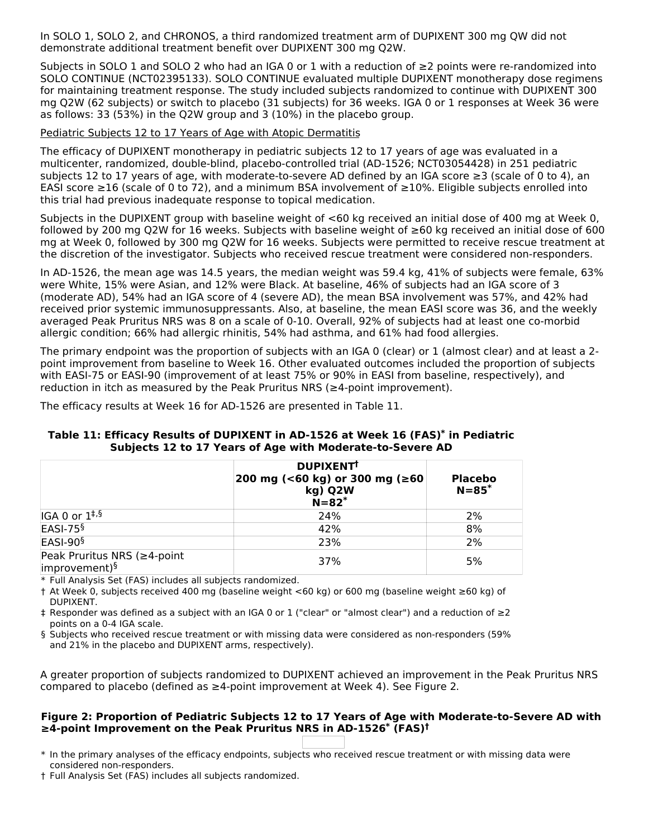In SOLO 1, SOLO 2, and CHRONOS, a third randomized treatment arm of DUPIXENT 300 mg QW did not demonstrate additional treatment benefit over DUPIXENT 300 mg Q2W.

Subjects in SOLO 1 and SOLO 2 who had an IGA 0 or 1 with a reduction of ≥2 points were re-randomized into SOLO CONTINUE (NCT02395133). SOLO CONTINUE evaluated multiple DUPIXENT monotherapy dose regimens for maintaining treatment response. The study included subjects randomized to continue with DUPIXENT 300 mg Q2W (62 subjects) or switch to placebo (31 subjects) for 36 weeks. IGA 0 or 1 responses at Week 36 were as follows: 33 (53%) in the Q2W group and 3 (10%) in the placebo group.

#### Pediatric Subjects 12 to 17 Years of Age with Atopic Dermatitis

The efficacy of DUPIXENT monotherapy in pediatric subjects 12 to 17 years of age was evaluated in a multicenter, randomized, double-blind, placebo-controlled trial (AD-1526; NCT03054428) in 251 pediatric subjects 12 to 17 years of age, with moderate-to-severe AD defined by an IGA score ≥3 (scale of 0 to 4), an EASI score ≥16 (scale of 0 to 72), and a minimum BSA involvement of ≥10%. Eligible subjects enrolled into this trial had previous inadequate response to topical medication.

Subjects in the DUPIXENT group with baseline weight of <60 kg received an initial dose of 400 mg at Week 0, followed by 200 mg Q2W for 16 weeks. Subjects with baseline weight of ≥60 kg received an initial dose of 600 mg at Week 0, followed by 300 mg Q2W for 16 weeks. Subjects were permitted to receive rescue treatment at the discretion of the investigator. Subjects who received rescue treatment were considered non-responders.

In AD-1526, the mean age was 14.5 years, the median weight was 59.4 kg, 41% of subjects were female, 63% were White, 15% were Asian, and 12% were Black. At baseline, 46% of subjects had an IGA score of 3 (moderate AD), 54% had an IGA score of 4 (severe AD), the mean BSA involvement was 57%, and 42% had received prior systemic immunosuppressants. Also, at baseline, the mean EASI score was 36, and the weekly averaged Peak Pruritus NRS was 8 on a scale of 0-10. Overall, 92% of subjects had at least one co-morbid allergic condition; 66% had allergic rhinitis, 54% had asthma, and 61% had food allergies.

The primary endpoint was the proportion of subjects with an IGA 0 (clear) or 1 (almost clear) and at least a 2 point improvement from baseline to Week 16. Other evaluated outcomes included the proportion of subjects with EASI-75 or EASI-90 (improvement of at least 75% or 90% in EASI from baseline, respectively), and reduction in itch as measured by the Peak Pruritus NRS ( $\geq$ 4-point improvement).

The efficacy results at Week 16 for AD-1526 are presented in Table 11.

#### **Table 11: Efficacy Results of DUPIXENT in AD-1526 at Week 16 (FAS) in Pediatric \* Subjects 12 to 17 Years of Age with Moderate-to-Severe AD**

|                                                          | <b>DUPIXENT</b><br>200 mg (<60 kg) or 300 mg (≥60<br>kg) Q2W<br>$N=82$ <sup>*</sup> | <b>Placebo</b><br>$N = 85*$ |
|----------------------------------------------------------|-------------------------------------------------------------------------------------|-----------------------------|
| $IGA 0$ or $1^{\ddagger,\S}$                             | 24%                                                                                 | 2%                          |
| EASI-75 <sup>§</sup>                                     | 42%                                                                                 | 8%                          |
| EASI-90 <sup>§</sup>                                     | 23%                                                                                 | 2%                          |
| Peak Pruritus NRS (≥4-point<br>improvement) <sup>§</sup> | 37%                                                                                 | 5%                          |

\* Full Analysis Set (FAS) includes all subjects randomized.

† At Week 0, subjects received 400 mg (baseline weight <60 kg) or 600 mg (baseline weight ≥60 kg) of DUPIXENT.

‡ Responder was defined as a subject with an IGA 0 or 1 ("clear" or "almost clear") and a reduction of ≥2 points on a 0-4 IGA scale.

§ Subjects who received rescue treatment or with missing data were considered as non-responders (59% and 21% in the placebo and DUPIXENT arms, respectively).

A greater proportion of subjects randomized to DUPIXENT achieved an improvement in the Peak Pruritus NRS compared to placebo (defined as ≥4-point improvement at Week 4). See Figure 2.

### **Figure 2: Proportion of Pediatric Subjects 12 to 17 Years of Age with Moderate-to-Severe AD with ≥4-point Improvement on the Peak Pruritus NRS in AD-1526 (FAS) \* †**

\* In the primary analyses of the efficacy endpoints, subjects who received rescue treatment or with missing data were considered non-responders.

† Full Analysis Set (FAS) includes all subjects randomized.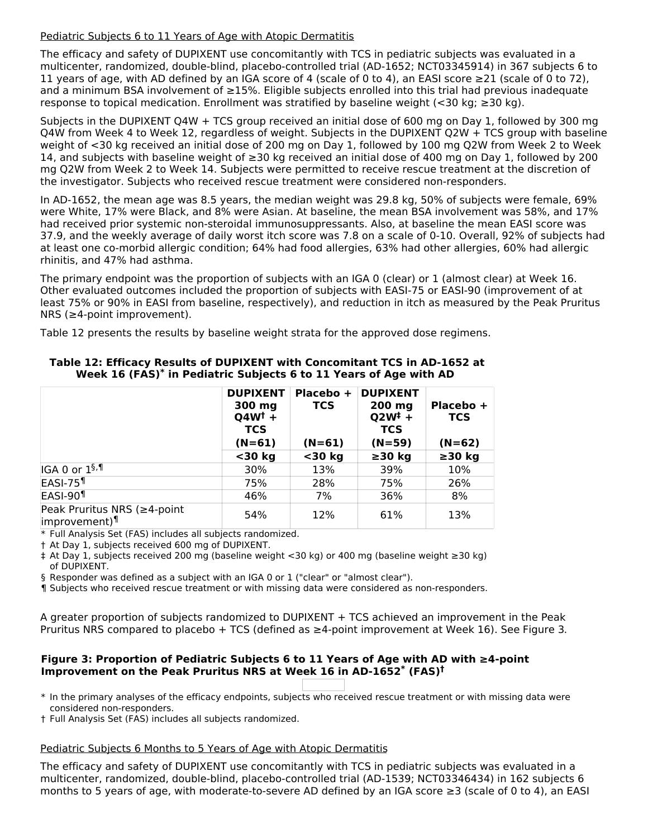### Pediatric Subjects 6 to 11 Years of Age with Atopic Dermatitis

The efficacy and safety of DUPIXENT use concomitantly with TCS in pediatric subjects was evaluated in a multicenter, randomized, double-blind, placebo-controlled trial (AD-1652; NCT03345914) in 367 subjects 6 to 11 years of age, with AD defined by an IGA score of 4 (scale of 0 to 4), an EASI score ≥21 (scale of 0 to 72), and a minimum BSA involvement of ≥15%. Eligible subjects enrolled into this trial had previous inadequate response to topical medication. Enrollment was stratified by baseline weight (<30 kg; ≥30 kg).

Subjects in the DUPIXENT Q4W + TCS group received an initial dose of 600 mg on Day 1, followed by 300 mg Q4W from Week 4 to Week 12, regardless of weight. Subjects in the DUPIXENT Q2W + TCS group with baseline weight of <30 kg received an initial dose of 200 mg on Day 1, followed by 100 mg Q2W from Week 2 to Week 14, and subjects with baseline weight of ≥30 kg received an initial dose of 400 mg on Day 1, followed by 200 mg Q2W from Week 2 to Week 14. Subjects were permitted to receive rescue treatment at the discretion of the investigator. Subjects who received rescue treatment were considered non-responders.

In AD-1652, the mean age was 8.5 years, the median weight was 29.8 kg, 50% of subjects were female, 69% were White, 17% were Black, and 8% were Asian. At baseline, the mean BSA involvement was 58%, and 17% had received prior systemic non-steroidal immunosuppressants. Also, at baseline the mean EASI score was 37.9, and the weekly average of daily worst itch score was 7.8 on a scale of 0-10. Overall, 92% of subjects had at least one co-morbid allergic condition; 64% had food allergies, 63% had other allergies, 60% had allergic rhinitis, and 47% had asthma.

The primary endpoint was the proportion of subjects with an IGA 0 (clear) or 1 (almost clear) at Week 16. Other evaluated outcomes included the proportion of subjects with EASI-75 or EASI-90 (improvement of at least 75% or 90% in EASI from baseline, respectively), and reduction in itch as measured by the Peak Pruritus NRS (≥4-point improvement).

Table 12 presents the results by baseline weight strata for the approved dose regimens.

|                                                          | <b>DUPIXENT</b><br>300 mg<br>$Q4W^{\dagger}$ +<br><b>TCS</b> | Placebo +<br><b>TCS</b> | <b>DUPIXENT</b><br>$200$ mg<br>$Q2W^{\ddagger} +$<br><b>TCS</b> | Placebo +<br><b>TCS</b> |
|----------------------------------------------------------|--------------------------------------------------------------|-------------------------|-----------------------------------------------------------------|-------------------------|
|                                                          | $(N=61)$                                                     | $(N=61)$                | $(N=59)$                                                        | $(N=62)$                |
|                                                          | $30$ kg                                                      | $30$ kg                 | $\geq$ 30 kg                                                    | $\geq$ 30 kg            |
| IGA 0 or 1 <sup>§,¶</sup>                                | 30%                                                          | 13%                     | 39%                                                             | 10%                     |
| EASI-75 <sup>1</sup>                                     | 75%                                                          | 28%                     | 75%                                                             | 26%                     |
| EASI-90 <sup>1</sup>                                     | 46%                                                          | 7%                      | 36%                                                             | 8%                      |
| Peak Pruritus NRS (≥4-point<br>improvement) <sup>¶</sup> | 54%                                                          | 12%                     | 61%                                                             | 13%                     |

### **Table 12: Efficacy Results of DUPIXENT with Concomitant TCS in AD-1652 at Week 16 (FAS) in Pediatric Subjects 6 to 11 Years of Age with AD \***

\* Full Analysis Set (FAS) includes all subjects randomized.

† At Day 1, subjects received 600 mg of DUPIXENT.

‡ At Day 1, subjects received 200 mg (baseline weight <30 kg) or 400 mg (baseline weight ≥30 kg) of DUPIXENT.

§ Responder was defined as a subject with an IGA 0 or 1 ("clear" or "almost clear").

¶ Subjects who received rescue treatment or with missing data were considered as non-responders.

A greater proportion of subjects randomized to DUPIXENT + TCS achieved an improvement in the Peak Pruritus NRS compared to placebo + TCS (defined as  $\geq$ 4-point improvement at Week 16). See Figure 3.

### **Figure 3: Proportion of Pediatric Subjects 6 to 11 Years of Age with AD with ≥4-point Improvement on the Peak Pruritus NRS at Week 16 in AD-1652 (FAS) \* †**

\* In the primary analyses of the efficacy endpoints, subjects who received rescue treatment or with missing data were considered non-responders.

† Full Analysis Set (FAS) includes all subjects randomized.

#### Pediatric Subjects 6 Months to 5 Years of Age with Atopic Dermatitis

The efficacy and safety of DUPIXENT use concomitantly with TCS in pediatric subjects was evaluated in a multicenter, randomized, double-blind, placebo-controlled trial (AD-1539; NCT03346434) in 162 subjects 6 months to 5 years of age, with moderate-to-severe AD defined by an IGA score ≥3 (scale of 0 to 4), an EASI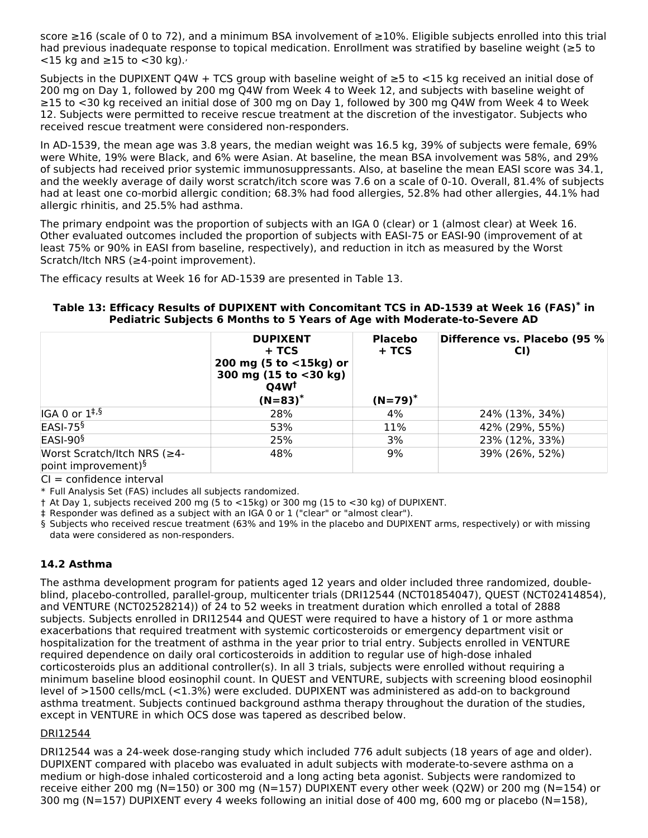score ≥16 (scale of 0 to 72), and a minimum BSA involvement of ≥10%. Eligible subjects enrolled into this trial had previous inadequate response to topical medication. Enrollment was stratified by baseline weight (≥5 to  $<$ 15 kg and  $\ge$ 15 to  $<$ 30 kg).

Subjects in the DUPIXENT Q4W + TCS group with baseline weight of  $≥5$  to  $<15$  kg received an initial dose of 200 mg on Day 1, followed by 200 mg Q4W from Week 4 to Week 12, and subjects with baseline weight of ≥15 to <30 kg received an initial dose of 300 mg on Day 1, followed by 300 mg Q4W from Week 4 to Week 12. Subjects were permitted to receive rescue treatment at the discretion of the investigator. Subjects who received rescue treatment were considered non-responders.

In AD-1539, the mean age was 3.8 years, the median weight was 16.5 kg, 39% of subjects were female, 69% were White, 19% were Black, and 6% were Asian. At baseline, the mean BSA involvement was 58%, and 29% of subjects had received prior systemic immunosuppressants. Also, at baseline the mean EASI score was 34.1, and the weekly average of daily worst scratch/itch score was 7.6 on a scale of 0-10. Overall, 81.4% of subjects had at least one co-morbid allergic condition; 68.3% had food allergies, 52.8% had other allergies, 44.1% had allergic rhinitis, and 25.5% had asthma.

The primary endpoint was the proportion of subjects with an IGA 0 (clear) or 1 (almost clear) at Week 16. Other evaluated outcomes included the proportion of subjects with EASI-75 or EASI-90 (improvement of at least 75% or 90% in EASI from baseline, respectively), and reduction in itch as measured by the Worst Scratch/Itch NRS (≥4-point improvement).

The efficacy results at Week 16 for AD-1539 are presented in Table 13.

### **Table 13: Efficacy Results of DUPIXENT with Concomitant TCS in AD-1539 at Week 16 (FAS) in \* Pediatric Subjects 6 Months to 5 Years of Age with Moderate-to-Severe AD**

|                                                                | <b>DUPIXENT</b><br>+ TCS<br>200 mg (5 to $<$ 15kg) or<br>300 mg (15 to <30 kg)<br>$Q4W^{\dagger}$ | <b>Placebo</b><br>+ TCS | Difference vs. Placebo (95 %<br>CI) |
|----------------------------------------------------------------|---------------------------------------------------------------------------------------------------|-------------------------|-------------------------------------|
|                                                                | $(N=83)^*$                                                                                        | $(N=79)^*$              |                                     |
| $IGA 0$ or $1^{\ddagger,\S}$                                   | 28%                                                                                               | 4%                      | 24% (13%, 34%)                      |
| $EASI-75§$                                                     | 53%                                                                                               | 11%                     | 42% (29%, 55%)                      |
| $ EASI-90§$                                                    | 25%                                                                                               | 3%                      | 23% (12%, 33%)                      |
| Worst Scratch/Itch NRS (≥4-<br>point improvement) <sup>§</sup> | 48%                                                                                               | 9%                      | 39% (26%, 52%)                      |

 $CI = confidence$  interval

\* Full Analysis Set (FAS) includes all subjects randomized.

† At Day 1, subjects received 200 mg (5 to <15kg) or 300 mg (15 to <30 kg) of DUPIXENT.

‡ Responder was defined as a subject with an IGA 0 or 1 ("clear" or "almost clear").

§ Subjects who received rescue treatment (63% and 19% in the placebo and DUPIXENT arms, respectively) or with missing data were considered as non-responders.

### **14.2 Asthma**

The asthma development program for patients aged 12 years and older included three randomized, doubleblind, placebo-controlled, parallel-group, multicenter trials (DRI12544 (NCT01854047), QUEST (NCT02414854), and VENTURE (NCT02528214)) of 24 to 52 weeks in treatment duration which enrolled a total of 2888 subjects. Subjects enrolled in DRI12544 and QUEST were required to have a history of 1 or more asthma exacerbations that required treatment with systemic corticosteroids or emergency department visit or hospitalization for the treatment of asthma in the year prior to trial entry. Subjects enrolled in VENTURE required dependence on daily oral corticosteroids in addition to regular use of high-dose inhaled corticosteroids plus an additional controller(s). In all 3 trials, subjects were enrolled without requiring a minimum baseline blood eosinophil count. In QUEST and VENTURE, subjects with screening blood eosinophil level of >1500 cells/mcL (<1.3%) were excluded. DUPIXENT was administered as add-on to background asthma treatment. Subjects continued background asthma therapy throughout the duration of the studies, except in VENTURE in which OCS dose was tapered as described below.

### DRI12544

DRI12544 was a 24-week dose-ranging study which included 776 adult subjects (18 years of age and older). DUPIXENT compared with placebo was evaluated in adult subjects with moderate-to-severe asthma on a medium or high-dose inhaled corticosteroid and a long acting beta agonist. Subjects were randomized to receive either 200 mg (N=150) or 300 mg (N=157) DUPIXENT every other week (Q2W) or 200 mg (N=154) or 300 mg (N=157) DUPIXENT every 4 weeks following an initial dose of 400 mg, 600 mg or placebo (N=158),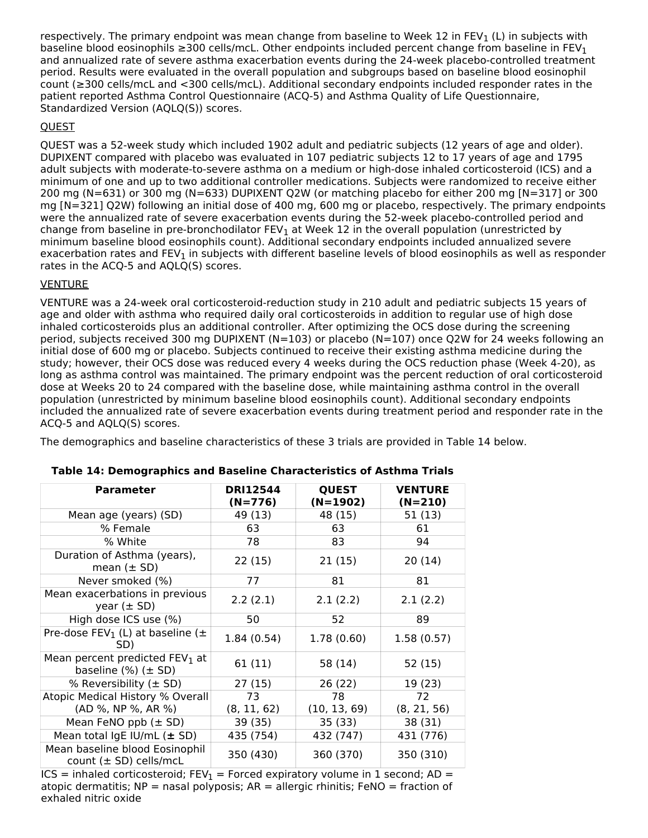respectively. The primary endpoint was mean change from baseline to Week 12 in FEV<sub>1</sub> (L) in subjects with baseline blood eosinophils ≥300 cells/mcL. Other endpoints included percent change from baseline in FEV<sub>1</sub> and annualized rate of severe asthma exacerbation events during the 24-week placebo-controlled treatment period. Results were evaluated in the overall population and subgroups based on baseline blood eosinophil count (≥300 cells/mcL and <300 cells/mcL). Additional secondary endpoints included responder rates in the patient reported Asthma Control Questionnaire (ACQ-5) and Asthma Quality of Life Questionnaire, Standardized Version (AQLQ(S)) scores.

### QUEST

QUEST was a 52-week study which included 1902 adult and pediatric subjects (12 years of age and older). DUPIXENT compared with placebo was evaluated in 107 pediatric subjects 12 to 17 years of age and 1795 adult subjects with moderate-to-severe asthma on a medium or high-dose inhaled corticosteroid (ICS) and a minimum of one and up to two additional controller medications. Subjects were randomized to receive either 200 mg (N=631) or 300 mg (N=633) DUPIXENT Q2W (or matching placebo for either 200 mg [N=317] or 300 mg [N=321] Q2W) following an initial dose of 400 mg, 600 mg or placebo, respectively. The primary endpoints were the annualized rate of severe exacerbation events during the 52-week placebo-controlled period and change from baseline in pre-bronchodilator FEV<sub>1</sub> at Week 12 in the overall population (unrestricted by minimum baseline blood eosinophils count). Additional secondary endpoints included annualized severe exacerbation rates and FEV $_{\rm 1}$  in subjects with different baseline levels of blood eosinophils as well as responder rates in the ACQ-5 and AQLQ(S) scores.

### **VENTURE**

VENTURE was a 24-week oral corticosteroid-reduction study in 210 adult and pediatric subjects 15 years of age and older with asthma who required daily oral corticosteroids in addition to regular use of high dose inhaled corticosteroids plus an additional controller. After optimizing the OCS dose during the screening period, subjects received 300 mg DUPIXENT (N=103) or placebo (N=107) once Q2W for 24 weeks following an initial dose of 600 mg or placebo. Subjects continued to receive their existing asthma medicine during the study; however, their OCS dose was reduced every 4 weeks during the OCS reduction phase (Week 4-20), as long as asthma control was maintained. The primary endpoint was the percent reduction of oral corticosteroid dose at Weeks 20 to 24 compared with the baseline dose, while maintaining asthma control in the overall population (unrestricted by minimum baseline blood eosinophils count). Additional secondary endpoints included the annualized rate of severe exacerbation events during treatment period and responder rate in the ACQ-5 and AQLQ(S) scores.

The demographics and baseline characteristics of these 3 trials are provided in Table 14 below.

| <b>Parameter</b>                                                          | <b>DRI12544</b><br>$(N=776)$ | <b>QUEST</b><br>$(N=1902)$ | <b>VENTURE</b><br>$(N=210)$ |
|---------------------------------------------------------------------------|------------------------------|----------------------------|-----------------------------|
| Mean age (years) (SD)                                                     | 49 (13)                      | 48 (15)                    | 51 (13)                     |
| % Female                                                                  | 63                           | 63                         | 61                          |
| % White                                                                   | 78                           | 83                         | 94                          |
| Duration of Asthma (years),<br>mean $(\pm$ SD)                            | 22(15)                       | 21(15)                     | 20(14)                      |
| Never smoked (%)                                                          | 77                           | 81                         | 81                          |
| Mean exacerbations in previous<br>year $(\pm$ SD)                         | 2.2(2.1)                     | 2.1(2.2)                   | 2.1(2.2)                    |
| High dose ICS use (%)                                                     | 50                           | 52                         | 89                          |
| Pre-dose FEV <sub>1</sub> (L) at baseline ( $\pm$<br>SD)                  | 1.84(0.54)                   | 1.78(0.60)                 | 1.58(0.57)                  |
| Mean percent predicted FEV <sub>1</sub> at<br>baseline $(\%)$ ( $\pm$ SD) | 61 (11)                      | 58 (14)                    | 52 (15)                     |
| % Reversibility $(\pm SD)$                                                | 27 (15)                      | 26 (22)                    | 19 (23)                     |
| Atopic Medical History % Overall                                          | 73                           | 78                         | 72                          |
| (AD %, NP %, AR %)                                                        | (8, 11, 62)                  | (10, 13, 69)               | (8, 21, 56)                 |
| Mean FeNO ppb $(\pm$ SD)                                                  | 39 (35)                      | 35 (33)                    | 38 (31)                     |
| Mean total IgE IU/mL (± SD)                                               | 435 (754)                    | 432 (747)                  | 431 (776)                   |
| Mean baseline blood Eosinophil<br>count $(\pm$ SD) cells/mcL              | 350 (430)                    | 360 (370)                  | 350 (310)                   |

### **Table 14: Demographics and Baseline Characteristics of Asthma Trials**

ICS = inhaled corticosteroid;  $FEV_1$  = Forced expiratory volume in 1 second; AD = atopic dermatitis;  $NP =$  nasal polyposis;  $AR =$  allergic rhinitis; FeNO = fraction of exhaled nitric oxide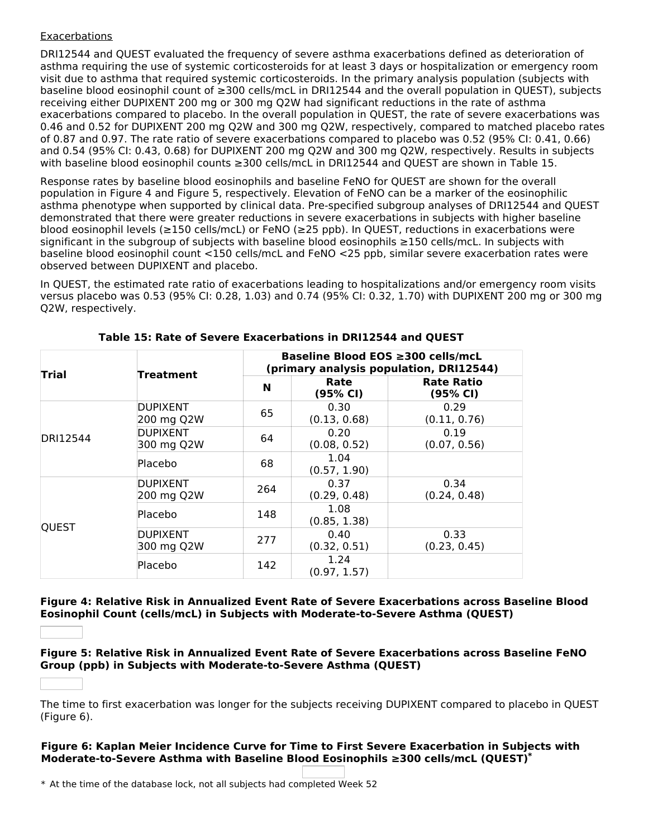### **Exacerbations**

DRI12544 and QUEST evaluated the frequency of severe asthma exacerbations defined as deterioration of asthma requiring the use of systemic corticosteroids for at least 3 days or hospitalization or emergency room visit due to asthma that required systemic corticosteroids. In the primary analysis population (subjects with baseline blood eosinophil count of ≥300 cells/mcL in DRI12544 and the overall population in QUEST), subjects receiving either DUPIXENT 200 mg or 300 mg Q2W had significant reductions in the rate of asthma exacerbations compared to placebo. In the overall population in QUEST, the rate of severe exacerbations was 0.46 and 0.52 for DUPIXENT 200 mg Q2W and 300 mg Q2W, respectively, compared to matched placebo rates of 0.87 and 0.97. The rate ratio of severe exacerbations compared to placebo was 0.52 (95% CI: 0.41, 0.66) and 0.54 (95% CI: 0.43, 0.68) for DUPIXENT 200 mg Q2W and 300 mg Q2W, respectively. Results in subjects with baseline blood eosinophil counts ≥300 cells/mcL in DRI12544 and QUEST are shown in Table 15.

Response rates by baseline blood eosinophils and baseline FeNO for QUEST are shown for the overall population in Figure 4 and Figure 5, respectively. Elevation of FeNO can be a marker of the eosinophilic asthma phenotype when supported by clinical data. Pre-specified subgroup analyses of DRI12544 and QUEST demonstrated that there were greater reductions in severe exacerbations in subjects with higher baseline blood eosinophil levels (≥150 cells/mcL) or FeNO (≥25 ppb). In QUEST, reductions in exacerbations were significant in the subgroup of subjects with baseline blood eosinophils ≥150 cells/mcL. In subjects with baseline blood eosinophil count <150 cells/mcL and FeNO <25 ppb, similar severe exacerbation rates were observed between DUPIXENT and placebo.

In QUEST, the estimated rate ratio of exacerbations leading to hospitalizations and/or emergency room visits versus placebo was 0.53 (95% CI: 0.28, 1.03) and 0.74 (95% CI: 0.32, 1.70) with DUPIXENT 200 mg or 300 mg Q2W, respectively.

| <b>Trial</b> |                               |     | Baseline Blood EOS ≥300 cells/mcL<br>(primary analysis population, DRI12544) |                               |  |  |
|--------------|-------------------------------|-----|------------------------------------------------------------------------------|-------------------------------|--|--|
|              | <b>Treatment</b><br>N         |     | Rate<br>(95% CI)                                                             | <b>Rate Ratio</b><br>(95% CI) |  |  |
|              | <b>DUPIXENT</b><br>200 mg Q2W | 65  | 0.30<br>(0.13, 0.68)                                                         | 0.29<br>(0.11, 0.76)          |  |  |
| DRI12544     | DUPIXENT<br>300 mg Q2W        | 64  | 0.20<br>(0.08, 0.52)                                                         | 0.19<br>(0.07, 0.56)          |  |  |
|              | lPlacebo                      | 68  | 1.04<br>(0.57, 1.90)                                                         |                               |  |  |
|              | DUPIXENT<br>200 mg Q2W        | 264 | 0.37<br>(0.29, 0.48)                                                         | 0.34<br>(0.24, 0.48)          |  |  |
| <b>QUEST</b> | lPlacebo                      | 148 | 1.08<br>(0.85, 1.38)                                                         |                               |  |  |
|              | DUPIXENT<br>300 mg Q2W        | 277 | 0.40<br>(0.32, 0.51)                                                         | 0.33<br>(0.23, 0.45)          |  |  |
|              | <b>Placebo</b>                | 142 | 1.24<br>(0.97, 1.57)                                                         |                               |  |  |

### **Table 15: Rate of Severe Exacerbations in DRI12544 and QUEST**

**Figure 4: Relative Risk in Annualized Event Rate of Severe Exacerbations across Baseline Blood Eosinophil Count (cells/mcL) in Subjects with Moderate-to-Severe Asthma (QUEST)**

**Figure 5: Relative Risk in Annualized Event Rate of Severe Exacerbations across Baseline FeNO Group (ppb) in Subjects with Moderate-to-Severe Asthma (QUEST)**

The time to first exacerbation was longer for the subjects receiving DUPIXENT compared to placebo in QUEST (Figure 6).

#### **Figure 6: Kaplan Meier Incidence Curve for Time to First Severe Exacerbation in Subjects with Moderate-to-Severe Asthma with Baseline Blood Eosinophils ≥300 cells/mcL (QUEST) \***

\* At the time of the database lock, not all subjects had completed Week 52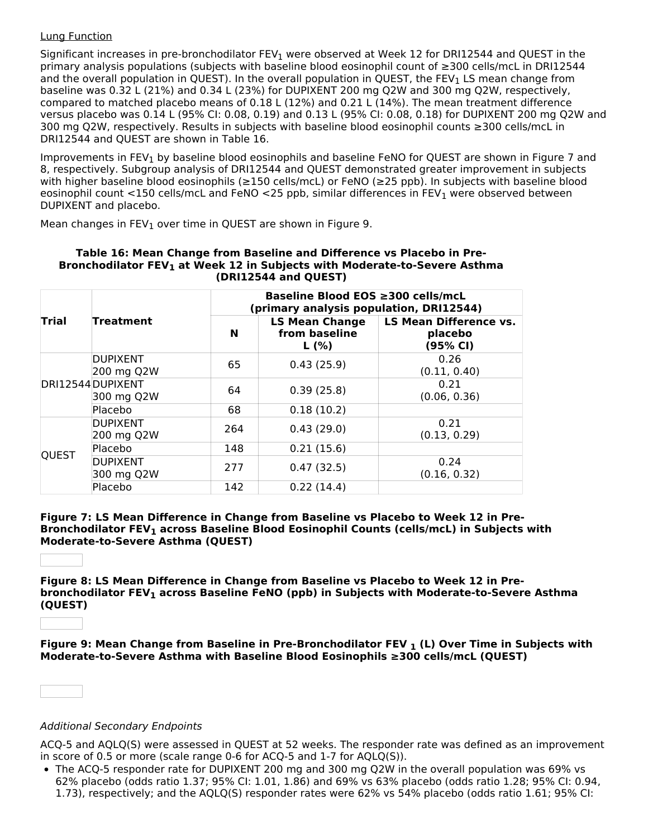### Lung Function

Significant increases in pre-bronchodilator FEV<sub>1</sub> were observed at Week 12 for DRI12544 and QUEST in the primary analysis populations (subjects with baseline blood eosinophil count of ≥300 cells/mcL in DRI12544 and the overall population in QUEST). In the overall population in QUEST, the FEV<sub>1</sub> LS mean change from baseline was 0.32 L (21%) and 0.34 L (23%) for DUPIXENT 200 mg Q2W and 300 mg Q2W, respectively, compared to matched placebo means of 0.18 L (12%) and 0.21 L (14%). The mean treatment difference versus placebo was 0.14 L (95% CI: 0.08, 0.19) and 0.13 L (95% CI: 0.08, 0.18) for DUPIXENT 200 mg Q2W and 300 mg Q2W, respectively. Results in subjects with baseline blood eosinophil counts ≥300 cells/mcL in DRI12544 and QUEST are shown in Table 16.

Improvements in FEV<sub>1</sub> by baseline blood eosinophils and baseline FeNO for QUEST are shown in Figure 7 and 8, respectively. Subgroup analysis of DRI12544 and QUEST demonstrated greater improvement in subjects with higher baseline blood eosinophils (≥150 cells/mcL) or FeNO (≥25 ppb). In subjects with baseline blood eosinophil count <150 cells/mcL and FeNO <25 ppb, similar differences in FEV<sub>1</sub> were observed between DUPIXENT and placebo.

Mean changes in  $FEV_1$  over time in QUEST are shown in Figure 9.

|         |                                 |            | Baseline Blood EOS ≥300 cells/mcL<br>(primary analysis population, DRI12544) |                                                      |  |  |  |  |
|---------|---------------------------------|------------|------------------------------------------------------------------------------|------------------------------------------------------|--|--|--|--|
| Trial   | Treatment                       | N          | <b>LS Mean Change</b><br>from baseline<br>L(%)                               | <b>LS Mean Difference vs.</b><br>placebo<br>(95% CI) |  |  |  |  |
|         | <b>DUPIXENT</b><br>200 mg Q2W   | 65         | 0.43(25.9)                                                                   | 0.26<br>(0.11, 0.40)                                 |  |  |  |  |
|         | DRI12544 DUPIXENT<br>300 mg Q2W | 64         | 0.39(25.8)                                                                   | 0.21<br>(0.06, 0.36)                                 |  |  |  |  |
| Placebo | 68                              | 0.18(10.2) |                                                                              |                                                      |  |  |  |  |
|         | <b>DUPIXENT</b><br>200 mg Q2W   | 264        | 0.43(29.0)                                                                   | 0.21<br>(0.13, 0.29)                                 |  |  |  |  |
|         | <b>Placebo</b>                  | 148        | 0.21(15.6)                                                                   |                                                      |  |  |  |  |
| QUEST   | <b>DUPIXENT</b><br>300 mg Q2W   | 277        | 0.47(32.5)                                                                   | 0.24<br>(0.16, 0.32)                                 |  |  |  |  |
|         | Placebo                         | 142        | 0.22(14.4)                                                                   |                                                      |  |  |  |  |

#### **Table 16: Mean Change from Baseline and Difference vs Placebo in Pre-Bronchodilator FEV at Week 12 in Subjects with Moderate-to-Severe Asthma 1 (DRI12544 and QUEST)**

**Figure 7: LS Mean Difference in Change from Baseline vs Placebo to Week 12 in Pre-Bronchodilator FEV across Baseline Blood Eosinophil Counts (cells/mcL) in Subjects with 1 Moderate-to-Severe Asthma (QUEST)**

**Figure 8: LS Mean Difference in Change from Baseline vs Placebo to Week 12 in Prebronchodilator FEV across Baseline FeNO (ppb) in Subjects with Moderate-to-Severe Asthma 1 (QUEST)**

**Figure 9: Mean Change from Baseline in Pre-Bronchodilator FEV (L) Over Time in Subjects with 1Moderate-to-Severe Asthma with Baseline Blood Eosinophils ≥300 cells/mcL (QUEST)**

### Additional Secondary Endpoints

ACQ-5 and AQLQ(S) were assessed in QUEST at 52 weeks. The responder rate was defined as an improvement in score of 0.5 or more (scale range 0-6 for ACQ-5 and 1-7 for AQLQ(S)).

• The ACQ-5 responder rate for DUPIXENT 200 mg and 300 mg Q2W in the overall population was 69% vs 62% placebo (odds ratio 1.37; 95% CI: 1.01, 1.86) and 69% vs 63% placebo (odds ratio 1.28; 95% CI: 0.94, 1.73), respectively; and the AQLQ(S) responder rates were 62% vs 54% placebo (odds ratio 1.61; 95% CI: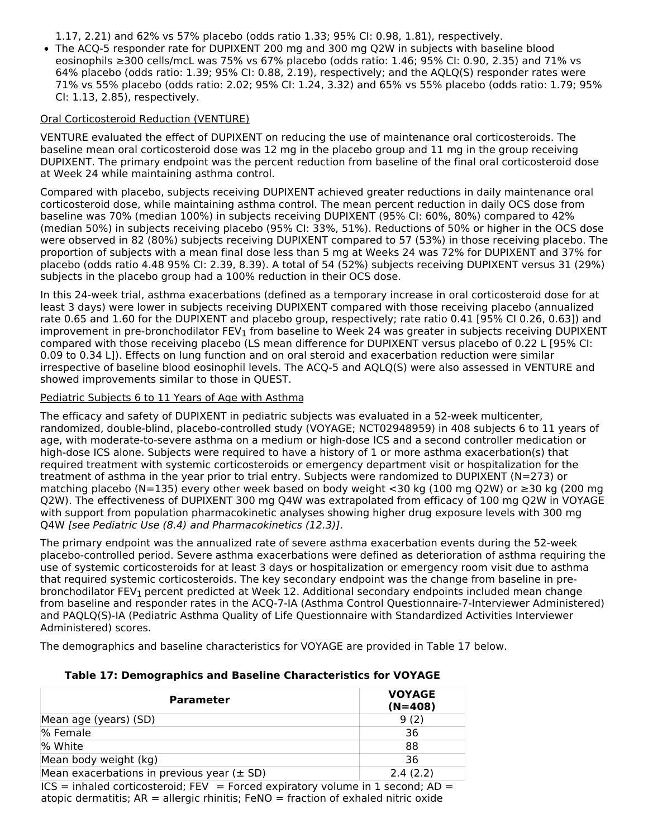1.17, 2.21) and 62% vs 57% placebo (odds ratio 1.33; 95% CI: 0.98, 1.81), respectively.

• The ACQ-5 responder rate for DUPIXENT 200 mg and 300 mg Q2W in subjects with baseline blood eosinophils ≥300 cells/mcL was 75% vs 67% placebo (odds ratio: 1.46; 95% CI: 0.90, 2.35) and 71% vs 64% placebo (odds ratio: 1.39; 95% CI: 0.88, 2.19), respectively; and the AQLQ(S) responder rates were 71% vs 55% placebo (odds ratio: 2.02; 95% CI: 1.24, 3.32) and 65% vs 55% placebo (odds ratio: 1.79; 95% CI: 1.13, 2.85), respectively.

### Oral Corticosteroid Reduction (VENTURE)

VENTURE evaluated the effect of DUPIXENT on reducing the use of maintenance oral corticosteroids. The baseline mean oral corticosteroid dose was 12 mg in the placebo group and 11 mg in the group receiving DUPIXENT. The primary endpoint was the percent reduction from baseline of the final oral corticosteroid dose at Week 24 while maintaining asthma control.

Compared with placebo, subjects receiving DUPIXENT achieved greater reductions in daily maintenance oral corticosteroid dose, while maintaining asthma control. The mean percent reduction in daily OCS dose from baseline was 70% (median 100%) in subjects receiving DUPIXENT (95% CI: 60%, 80%) compared to 42% (median 50%) in subjects receiving placebo (95% CI: 33%, 51%). Reductions of 50% or higher in the OCS dose were observed in 82 (80%) subjects receiving DUPIXENT compared to 57 (53%) in those receiving placebo. The proportion of subjects with a mean final dose less than 5 mg at Weeks 24 was 72% for DUPIXENT and 37% for placebo (odds ratio 4.48 95% CI: 2.39, 8.39). A total of 54 (52%) subjects receiving DUPIXENT versus 31 (29%) subjects in the placebo group had a 100% reduction in their OCS dose.

In this 24-week trial, asthma exacerbations (defined as a temporary increase in oral corticosteroid dose for at least 3 days) were lower in subjects receiving DUPIXENT compared with those receiving placebo (annualized rate 0.65 and 1.60 for the DUPIXENT and placebo group, respectively; rate ratio 0.41 [95% CI 0.26, 0.63]) and improvement in pre-bronchodilator FEV $_{\rm 1}$  from baseline to Week 24 was greater in subjects receiving DUPIXENT compared with those receiving placebo (LS mean difference for DUPIXENT versus placebo of 0.22 L [95% CI: 0.09 to 0.34 L]). Effects on lung function and on oral steroid and exacerbation reduction were similar irrespective of baseline blood eosinophil levels. The ACQ-5 and AQLQ(S) were also assessed in VENTURE and showed improvements similar to those in QUEST.

### Pediatric Subjects 6 to 11 Years of Age with Asthma

The efficacy and safety of DUPIXENT in pediatric subjects was evaluated in a 52-week multicenter, randomized, double-blind, placebo-controlled study (VOYAGE; NCT02948959) in 408 subjects 6 to 11 years of age, with moderate-to-severe asthma on a medium or high-dose ICS and a second controller medication or high-dose ICS alone. Subjects were required to have a history of 1 or more asthma exacerbation(s) that required treatment with systemic corticosteroids or emergency department visit or hospitalization for the treatment of asthma in the year prior to trial entry. Subjects were randomized to DUPIXENT (N=273) or matching placebo (N=135) every other week based on body weight <30 kg (100 mg Q2W) or ≥30 kg (200 mg Q2W). The effectiveness of DUPIXENT 300 mg Q4W was extrapolated from efficacy of 100 mg Q2W in VOYAGE with support from population pharmacokinetic analyses showing higher drug exposure levels with 300 mg Q4W [see Pediatric Use (8.4) and Pharmacokinetics (12.3)].

The primary endpoint was the annualized rate of severe asthma exacerbation events during the 52-week placebo-controlled period. Severe asthma exacerbations were defined as deterioration of asthma requiring the use of systemic corticosteroids for at least 3 days or hospitalization or emergency room visit due to asthma that required systemic corticosteroids. The key secondary endpoint was the change from baseline in prebronchodilator FEV<sub>1</sub> percent predicted at Week 12. Additional secondary endpoints included mean change from baseline and responder rates in the ACQ-7-IA (Asthma Control Questionnaire-7-Interviewer Administered) and PAQLQ(S)-IA (Pediatric Asthma Quality of Life Questionnaire with Standardized Activities Interviewer Administered) scores.

The demographics and baseline characteristics for VOYAGE are provided in Table 17 below.

| <b>Parameter</b>                               | <b>VOYAGE</b><br>$(N=408)$ |
|------------------------------------------------|----------------------------|
| Mean age (years) (SD)                          | 9(2)                       |
| % Female                                       | 36                         |
| % White                                        | 88                         |
| Mean body weight (kg)                          | 36                         |
| Mean exacerbations in previous year $(\pm$ SD) | 2.4(2.2)                   |

### **Table 17: Demographics and Baseline Characteristics for VOYAGE**

 $ICS = inhaled corticosteroid; FEV = Forced expiry volume in 1 second; AD =$ atopic dermatitis; AR = allergic rhinitis; FeNO = fraction of exhaled nitric oxide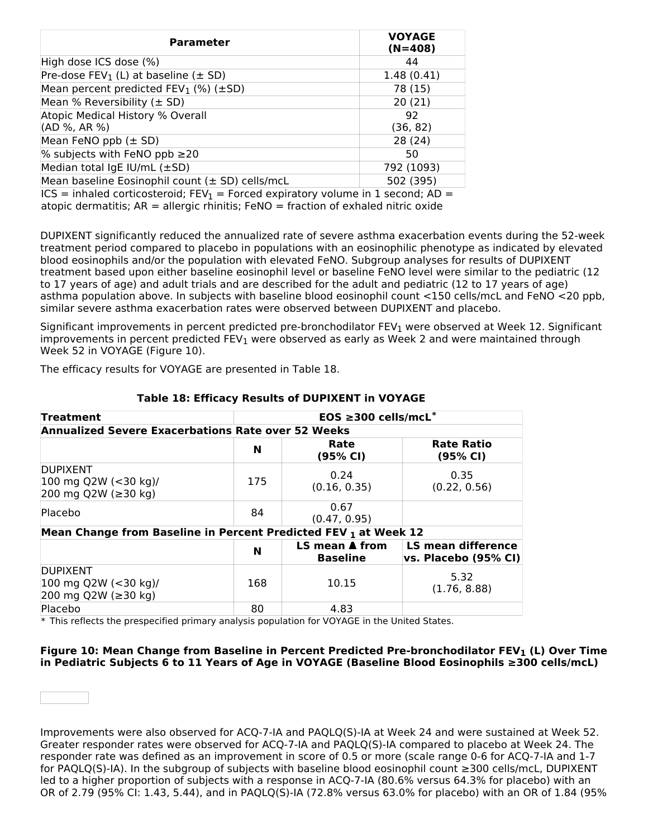| <b>Parameter</b>                                    | <b>VOYAGE</b><br>$(N=408)$ |
|-----------------------------------------------------|----------------------------|
| High dose ICS dose (%)                              | 44                         |
| Pre-dose $FEV_1$ (L) at baseline ( $\pm$ SD)        | 1.48(0.41)                 |
| Mean percent predicted $FEV_1$ (%) ( $\pm SD$ )     | 78 (15)                    |
| Mean % Reversibility $(\pm$ SD)                     | 20(21)                     |
| Atopic Medical History % Overall                    | 92                         |
| (AD %, AR %)                                        | (36, 82)                   |
| Mean FeNO ppb $(\pm$ SD)                            | 28 (24)                    |
| % subjects with FeNO ppb $\geq$ 20                  | 50                         |
| Median total IgE IU/mL $(\pm SD)$                   | 792 (1093)                 |
| Mean baseline Eosinophil count $(\pm$ SD) cells/mcL | 502 (395)                  |

ICS = inhaled corticosteroid;  $FEV_1$  = Forced expiratory volume in 1 second; AD = atopic dermatitis;  $AR =$  allergic rhinitis;  $FeNO =$  fraction of exhaled nitric oxide

DUPIXENT significantly reduced the annualized rate of severe asthma exacerbation events during the 52-week treatment period compared to placebo in populations with an eosinophilic phenotype as indicated by elevated blood eosinophils and/or the population with elevated FeNO. Subgroup analyses for results of DUPIXENT treatment based upon either baseline eosinophil level or baseline FeNO level were similar to the pediatric (12 to 17 years of age) and adult trials and are described for the adult and pediatric (12 to 17 years of age) asthma population above. In subjects with baseline blood eosinophil count <150 cells/mcL and FeNO <20 ppb, similar severe asthma exacerbation rates were observed between DUPIXENT and placebo.

Significant improvements in percent predicted pre-bronchodilator FEV<sub>1</sub> were observed at Week 12. Significant improvements in percent predicted FEV<sub>1</sub> were observed as early as Week 2 and were maintained through Week 52 in VOYAGE (Figure 10).

The efficacy results for VOYAGE are presented in Table 18.

| <b>Treatment</b>                                                | EOS ≥300 cells/mcL <sup>*</sup>                           |                                                  |                                            |  |  |  |  |  |
|-----------------------------------------------------------------|-----------------------------------------------------------|--------------------------------------------------|--------------------------------------------|--|--|--|--|--|
|                                                                 | <b>Annualized Severe Exacerbations Rate over 52 Weeks</b> |                                                  |                                            |  |  |  |  |  |
|                                                                 | N                                                         | Rate<br>(95% CI)                                 | <b>Rate Ratio</b><br>(95% CI)              |  |  |  |  |  |
| <b>DUPIXENT</b><br>100 mg Q2W (<30 kg)/<br>200 mg Q2W (≥30 kg)  | 175                                                       | 0.24<br>(0.16, 0.35)                             | 0.35<br>(0.22, 0.56)                       |  |  |  |  |  |
| Placebo                                                         | 84                                                        | 0.67<br>(0.47, 0.95)                             |                                            |  |  |  |  |  |
| Mean Change from Baseline in Percent Predicted FEV 1 at Week 12 |                                                           |                                                  |                                            |  |  |  |  |  |
|                                                                 | N                                                         | LS mean $\blacktriangle$ from<br><b>Baseline</b> | LS mean difference<br>vs. Placebo (95% CI) |  |  |  |  |  |
| <b>DUPIXENT</b><br>100 mg Q2W (<30 kg)/<br>200 mg Q2W (≥30 kg)  | 168                                                       | 10.15                                            | 5.32<br>(1.76, 8.88)                       |  |  |  |  |  |
| Placebo                                                         | 80                                                        | 4.83                                             |                                            |  |  |  |  |  |

### **Table 18: Efficacy Results of DUPIXENT in VOYAGE**

\* This reflects the prespecified primary analysis population for VOYAGE in the United States.

### **Figure 10: Mean Change from Baseline in Percent Predicted Pre-bronchodilator FEV (L) Over Time 1in Pediatric Subjects 6 to 11 Years of Age in VOYAGE (Baseline Blood Eosinophils ≥300 cells/mcL)**

Improvements were also observed for ACQ-7-IA and PAQLQ(S)-IA at Week 24 and were sustained at Week 52. Greater responder rates were observed for ACQ-7-IA and PAQLQ(S)-IA compared to placebo at Week 24. The responder rate was defined as an improvement in score of 0.5 or more (scale range 0-6 for ACQ-7-IA and 1-7 for PAQLQ(S)-IA). In the subgroup of subjects with baseline blood eosinophil count ≥300 cells/mcL, DUPIXENT led to a higher proportion of subjects with a response in ACQ-7-IA (80.6% versus 64.3% for placebo) with an OR of 2.79 (95% CI: 1.43, 5.44), and in PAQLQ(S)-IA (72.8% versus 63.0% for placebo) with an OR of 1.84 (95%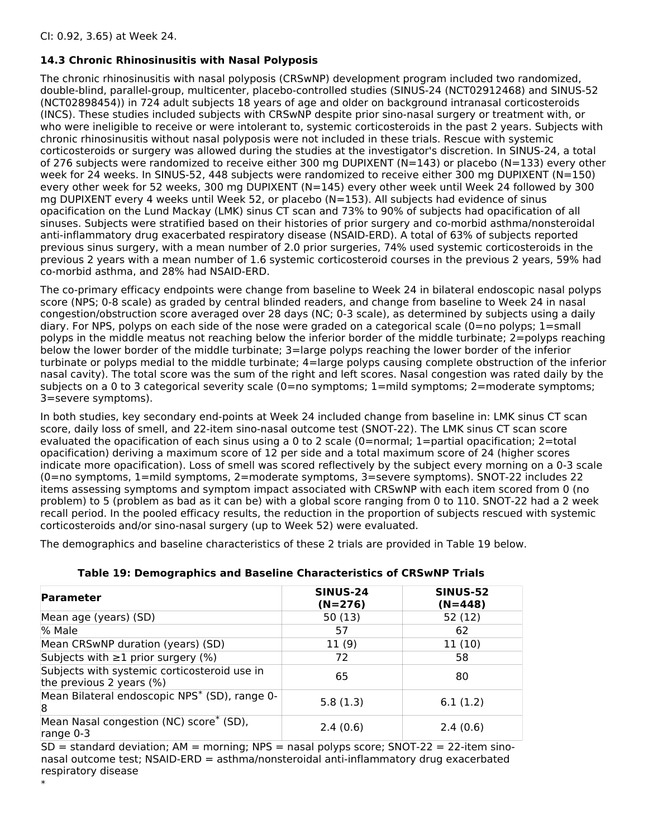# **14.3 Chronic Rhinosinusitis with Nasal Polyposis**

The chronic rhinosinusitis with nasal polyposis (CRSwNP) development program included two randomized, double-blind, parallel-group, multicenter, placebo-controlled studies (SINUS-24 (NCT02912468) and SINUS-52 (NCT02898454)) in 724 adult subjects 18 years of age and older on background intranasal corticosteroids (INCS). These studies included subjects with CRSwNP despite prior sino-nasal surgery or treatment with, or who were ineligible to receive or were intolerant to, systemic corticosteroids in the past 2 years. Subjects with chronic rhinosinusitis without nasal polyposis were not included in these trials. Rescue with systemic corticosteroids or surgery was allowed during the studies at the investigator's discretion. In SINUS-24, a total of 276 subjects were randomized to receive either 300 mg DUPIXENT (N=143) or placebo (N=133) every other week for 24 weeks. In SINUS-52, 448 subjects were randomized to receive either 300 mg DUPIXENT (N=150) every other week for 52 weeks, 300 mg DUPIXENT (N=145) every other week until Week 24 followed by 300 mg DUPIXENT every 4 weeks until Week 52, or placebo (N=153). All subjects had evidence of sinus opacification on the Lund Mackay (LMK) sinus CT scan and 73% to 90% of subjects had opacification of all sinuses. Subjects were stratified based on their histories of prior surgery and co-morbid asthma/nonsteroidal anti-inflammatory drug exacerbated respiratory disease (NSAID-ERD). A total of 63% of subjects reported previous sinus surgery, with a mean number of 2.0 prior surgeries, 74% used systemic corticosteroids in the previous 2 years with a mean number of 1.6 systemic corticosteroid courses in the previous 2 years, 59% had co-morbid asthma, and 28% had NSAID-ERD.

The co-primary efficacy endpoints were change from baseline to Week 24 in bilateral endoscopic nasal polyps score (NPS; 0-8 scale) as graded by central blinded readers, and change from baseline to Week 24 in nasal congestion/obstruction score averaged over 28 days (NC; 0-3 scale), as determined by subjects using a daily diary. For NPS, polyps on each side of the nose were graded on a categorical scale (0=no polyps; 1=small polyps in the middle meatus not reaching below the inferior border of the middle turbinate; 2=polyps reaching below the lower border of the middle turbinate; 3=large polyps reaching the lower border of the inferior turbinate or polyps medial to the middle turbinate; 4=large polyps causing complete obstruction of the inferior nasal cavity). The total score was the sum of the right and left scores. Nasal congestion was rated daily by the subjects on a 0 to 3 categorical severity scale (0=no symptoms; 1=mild symptoms; 2=moderate symptoms; 3=severe symptoms).

In both studies, key secondary end-points at Week 24 included change from baseline in: LMK sinus CT scan score, daily loss of smell, and 22-item sino-nasal outcome test (SNOT-22). The LMK sinus CT scan score evaluated the opacification of each sinus using a 0 to 2 scale (0=normal; 1=partial opacification; 2=total opacification) deriving a maximum score of 12 per side and a total maximum score of 24 (higher scores indicate more opacification). Loss of smell was scored reflectively by the subject every morning on a 0-3 scale (0=no symptoms, 1=mild symptoms, 2=moderate symptoms, 3=severe symptoms). SNOT-22 includes 22 items assessing symptoms and symptom impact associated with CRSwNP with each item scored from 0 (no problem) to 5 (problem as bad as it can be) with a global score ranging from 0 to 110. SNOT-22 had a 2 week recall period. In the pooled efficacy results, the reduction in the proportion of subjects rescued with systemic corticosteroids and/or sino-nasal surgery (up to Week 52) were evaluated.

The demographics and baseline characteristics of these 2 trials are provided in Table 19 below.

| <b>Parameter</b>                                                         | <b>SINUS-24</b><br>$(N=276)$ | <b>SINUS-52</b><br>$(N=448)$ |
|--------------------------------------------------------------------------|------------------------------|------------------------------|
| Mean age (years) (SD)                                                    | 50(13)                       | 52 (12)                      |
| % Male                                                                   | 57                           | 62                           |
| Mean CRSwNP duration (years) (SD)                                        | 11(9)                        | 11(10)                       |
| Subjects with $\geq 1$ prior surgery (%)                                 | 72                           | 58                           |
| Subjects with systemic corticosteroid use in<br>the previous 2 years (%) | 65                           | 80                           |
| Mean Bilateral endoscopic NPS <sup>*</sup> (SD), range 0-<br>8           | 5.8(1.3)                     | 6.1(1.2)                     |
| Mean Nasal congestion (NC) score <sup>*</sup> (SD),<br>range $0-3$       | 2.4(0.6)                     | 2.4(0.6)                     |

### **Table 19: Demographics and Baseline Characteristics of CRSwNP Trials**

 $SD =$  standard deviation; AM = morning; NPS = nasal polyps score; SNOT-22 = 22-item sinonasal outcome test; NSAID-ERD = asthma/nonsteroidal anti-inflammatory drug exacerbated respiratory disease

\*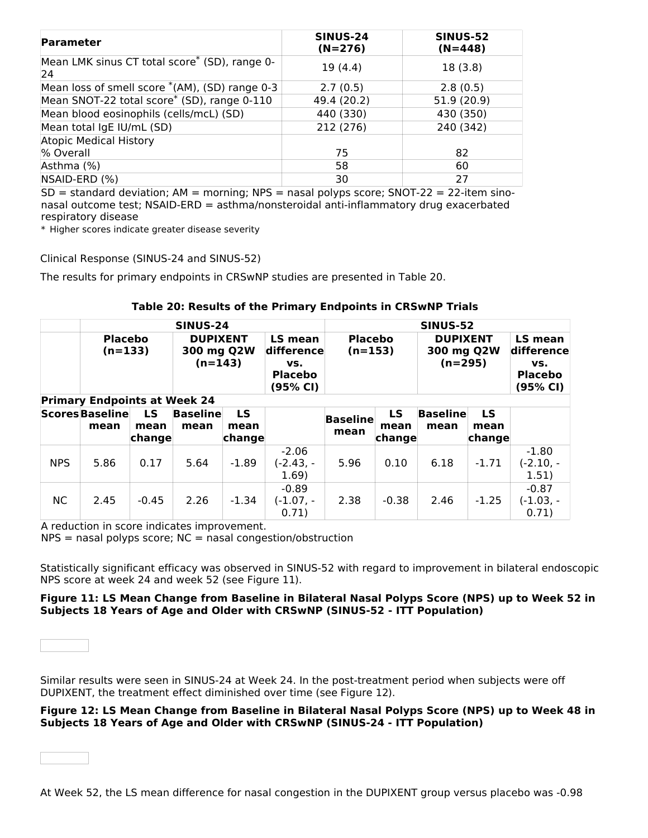| <b>Parameter</b>                                    | <b>SINUS-24</b><br>$(N=276)$ | <b>SINUS-52</b><br>$(N=448)$ |
|-----------------------------------------------------|------------------------------|------------------------------|
| Mean LMK sinus CT total score* (SD), range 0-<br>24 | 19(4.4)                      | 18(3.8)                      |
| Mean loss of smell score $*(AM)$ , (SD) range 0-3   | 2.7(0.5)                     | 2.8(0.5)                     |
| Mean SNOT-22 total score* (SD), range 0-110         | 49.4 (20.2)                  | 51.9 (20.9)                  |
| Mean blood eosinophils (cells/mcL) (SD)             | 440 (330)                    | 430 (350)                    |
| Mean total IgE IU/mL (SD)                           | 212 (276)                    | 240 (342)                    |
| <b>Atopic Medical History</b>                       |                              |                              |
| % Overall                                           | 75                           | 82                           |
| Asthma (%)                                          | 58                           | 60                           |
| NSAID-ERD (%)                                       | 30                           | 27                           |

 $SD =$  standard deviation; AM = morning; NPS = nasal polyps score; SNOT-22 = 22-item sinonasal outcome test; NSAID-ERD = asthma/nonsteroidal anti-inflammatory drug exacerbated respiratory disease

\* Higher scores indicate greater disease severity

Clinical Response (SINUS-24 and SINUS-52)

The results for primary endpoints in CRSwNP studies are presented in Table 20.

|  | Table 20: Results of the Primary Endpoints in CRSwNP Trials |  |
|--|-------------------------------------------------------------|--|
|--|-------------------------------------------------------------|--|

|            | <b>SINUS-24</b>                                                    |                |                                            |                |                                                            |                             | <b>SINUS-52</b> |                                            |                |                                                            |
|------------|--------------------------------------------------------------------|----------------|--------------------------------------------|----------------|------------------------------------------------------------|-----------------------------|-----------------|--------------------------------------------|----------------|------------------------------------------------------------|
|            | <b>Placebo</b><br>$(n=133)$<br><b>Primary Endpoints at Week 24</b> |                | <b>DUPIXENT</b><br>300 mg Q2W<br>$(n=143)$ |                | LS mean<br>difference<br>VS.<br><b>Placebo</b><br>(95% CI) | <b>Placebo</b><br>$(n=153)$ |                 | <b>DUPIXENT</b><br>300 mg Q2W<br>$(n=295)$ |                | LS mean<br>difference<br>VS.<br><b>Placebo</b><br>(95% CI) |
|            | <b>Scores Baseline</b>                                             | LS.            | <b>Baseline</b>                            | LS             |                                                            |                             | <b>LS</b>       | <b>Baseline</b>                            | <b>LS</b>      |                                                            |
|            | mean                                                               | mean<br>change | mean                                       | mean<br>change |                                                            | <b>Baseline</b><br>mean     | mean<br>change  | mean                                       | mean<br>change |                                                            |
| <b>NPS</b> | 5.86                                                               | 0.17           | 5.64                                       | $-1.89$        | $-2.06$<br>$(-2.43,-)$<br>1.69)                            | 5.96                        | 0.10            | 6.18                                       | $-1.71$        | $-1.80$<br>$(-2.10,-)$<br>1.51)                            |
| NC.        | 2.45                                                               | $-0.45$        | 2.26                                       | $-1.34$        | $-0.89$<br>$(-1.07,-)$<br>0.71)                            | 2.38                        | $-0.38$         | 2.46                                       | $-1.25$        | $-0.87$<br>$(-1.03, -$<br>0.71)                            |

A reduction in score indicates improvement.

 $NPS$  = nasal polyps score;  $NC$  = nasal congestion/obstruction

Statistically significant efficacy was observed in SINUS-52 with regard to improvement in bilateral endoscopic NPS score at week 24 and week 52 (see Figure 11).

#### **Figure 11: LS Mean Change from Baseline in Bilateral Nasal Polyps Score (NPS) up to Week 52 in Subjects 18 Years of Age and Older with CRSwNP (SINUS-52 - ITT Population)**



Similar results were seen in SINUS-24 at Week 24. In the post-treatment period when subjects were off DUPIXENT, the treatment effect diminished over time (see Figure 12).

### **Figure 12: LS Mean Change from Baseline in Bilateral Nasal Polyps Score (NPS) up to Week 48 in Subjects 18 Years of Age and Older with CRSwNP (SINUS-24 - ITT Population)**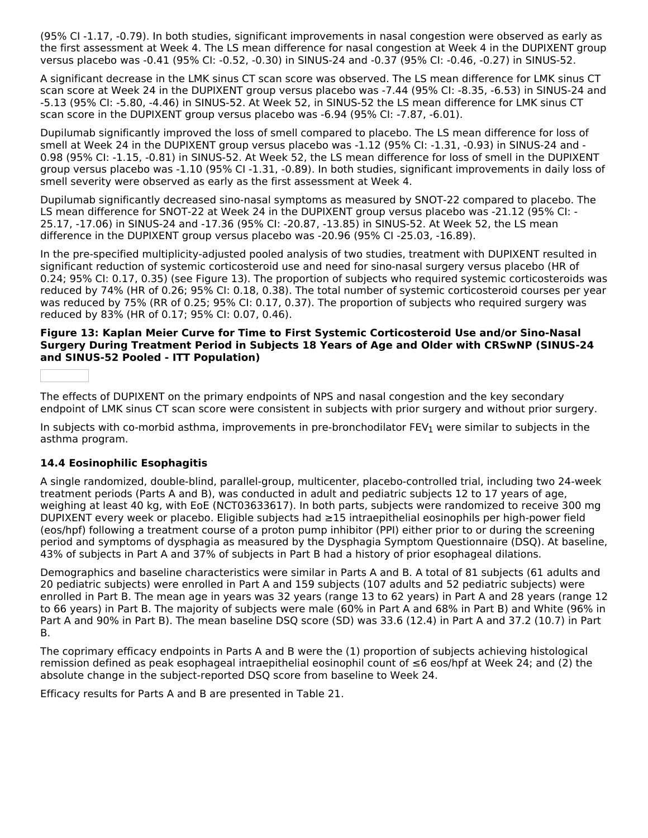(95% CI -1.17, -0.79). In both studies, significant improvements in nasal congestion were observed as early as the first assessment at Week 4. The LS mean difference for nasal congestion at Week 4 in the DUPIXENT group versus placebo was -0.41 (95% CI: -0.52, -0.30) in SINUS-24 and -0.37 (95% CI: -0.46, -0.27) in SINUS-52.

A significant decrease in the LMK sinus CT scan score was observed. The LS mean difference for LMK sinus CT scan score at Week 24 in the DUPIXENT group versus placebo was -7.44 (95% CI: -8.35, -6.53) in SINUS-24 and -5.13 (95% CI: -5.80, -4.46) in SINUS-52. At Week 52, in SINUS-52 the LS mean difference for LMK sinus CT scan score in the DUPIXENT group versus placebo was -6.94 (95% CI: -7.87, -6.01).

Dupilumab significantly improved the loss of smell compared to placebo. The LS mean difference for loss of smell at Week 24 in the DUPIXENT group versus placebo was -1.12 (95% CI: -1.31, -0.93) in SINUS-24 and - 0.98 (95% CI: -1.15, -0.81) in SINUS-52. At Week 52, the LS mean difference for loss of smell in the DUPIXENT group versus placebo was -1.10 (95% CI -1.31, -0.89). In both studies, significant improvements in daily loss of smell severity were observed as early as the first assessment at Week 4.

Dupilumab significantly decreased sino-nasal symptoms as measured by SNOT-22 compared to placebo. The LS mean difference for SNOT-22 at Week 24 in the DUPIXENT group versus placebo was -21.12 (95% CI: - 25.17, -17.06) in SINUS-24 and -17.36 (95% CI: -20.87, -13.85) in SINUS-52. At Week 52, the LS mean difference in the DUPIXENT group versus placebo was -20.96 (95% CI -25.03, -16.89).

In the pre-specified multiplicity-adjusted pooled analysis of two studies, treatment with DUPIXENT resulted in significant reduction of systemic corticosteroid use and need for sino-nasal surgery versus placebo (HR of 0.24; 95% CI: 0.17, 0.35) (see Figure 13). The proportion of subjects who required systemic corticosteroids was reduced by 74% (HR of 0.26; 95% CI: 0.18, 0.38). The total number of systemic corticosteroid courses per year was reduced by 75% (RR of 0.25; 95% CI: 0.17, 0.37). The proportion of subjects who required surgery was reduced by 83% (HR of 0.17; 95% CI: 0.07, 0.46).

### **Figure 13: Kaplan Meier Curve for Time to First Systemic Corticosteroid Use and/or Sino-Nasal Surgery During Treatment Period in Subjects 18 Years of Age and Older with CRSwNP (SINUS-24 and SINUS-52 Pooled - ITT Population)**

The effects of DUPIXENT on the primary endpoints of NPS and nasal congestion and the key secondary endpoint of LMK sinus CT scan score were consistent in subjects with prior surgery and without prior surgery.

In subjects with co-morbid asthma, improvements in pre-bronchodilator FEV<sub>1</sub> were similar to subjects in the asthma program.

### **14.4 Eosinophilic Esophagitis**

A single randomized, double-blind, parallel-group, multicenter, placebo-controlled trial, including two 24-week treatment periods (Parts A and B), was conducted in adult and pediatric subjects 12 to 17 years of age, weighing at least 40 kg, with EoE (NCT03633617). In both parts, subjects were randomized to receive 300 mg DUPIXENT every week or placebo. Eligible subjects had ≥15 intraepithelial eosinophils per high-power field (eos/hpf) following a treatment course of a proton pump inhibitor (PPI) either prior to or during the screening period and symptoms of dysphagia as measured by the Dysphagia Symptom Questionnaire (DSQ). At baseline, 43% of subjects in Part A and 37% of subjects in Part B had a history of prior esophageal dilations.

Demographics and baseline characteristics were similar in Parts A and B. A total of 81 subjects (61 adults and 20 pediatric subjects) were enrolled in Part A and 159 subjects (107 adults and 52 pediatric subjects) were enrolled in Part B. The mean age in years was 32 years (range 13 to 62 years) in Part A and 28 years (range 12 to 66 years) in Part B. The majority of subjects were male (60% in Part A and 68% in Part B) and White (96% in Part A and 90% in Part B). The mean baseline DSQ score (SD) was 33.6 (12.4) in Part A and 37.2 (10.7) in Part B.

The coprimary efficacy endpoints in Parts A and B were the (1) proportion of subjects achieving histological remission defined as peak esophageal intraepithelial eosinophil count of ≤6 eos/hpf at Week 24; and (2) the absolute change in the subject-reported DSQ score from baseline to Week 24.

Efficacy results for Parts A and B are presented in Table 21.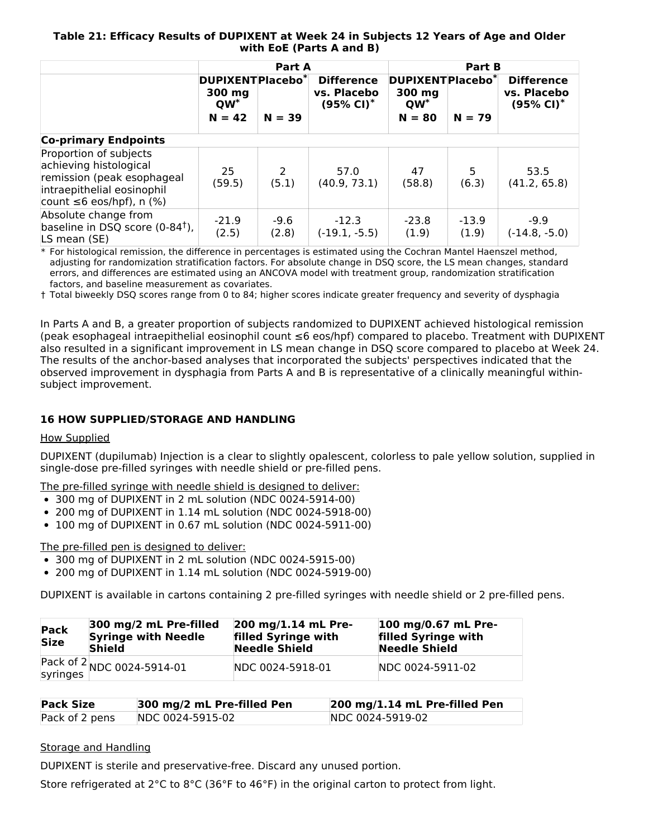### **Table 21: Efficacy Results of DUPIXENT at Week 24 in Subjects 12 Years of Age and Older with EoE (Parts A and B)**

|                                                                                                                                                |                                                              | Part A          |                                                           | Part B                                                       |                  |                                                           |  |
|------------------------------------------------------------------------------------------------------------------------------------------------|--------------------------------------------------------------|-----------------|-----------------------------------------------------------|--------------------------------------------------------------|------------------|-----------------------------------------------------------|--|
|                                                                                                                                                | DUPIXENTPlacebo <sup>*</sup><br>300 mg<br>$QW^*$<br>$N = 42$ | $N = 39$        | <b>Difference</b><br>vs. Placebo<br>$(95\% \text{ Cl})^*$ | DUPIXENTPlacebo <sup>*</sup><br>300 mg<br>$QW^*$<br>$N = 80$ | $N = 79$         | <b>Difference</b><br>vs. Placebo<br>$(95\% \text{ Cl})^*$ |  |
| <b>Co-primary Endpoints</b>                                                                                                                    |                                                              |                 |                                                           |                                                              |                  |                                                           |  |
| Proportion of subjects<br>achieving histological<br>remission (peak esophageal<br>intraepithelial eosinophil<br>count $\leq 6$ eos/hpf), n (%) | 25<br>(59.5)                                                 | 2<br>(5.1)      | 57.0<br>(40.9, 73.1)                                      | 47<br>(58.8)                                                 | 5<br>(6.3)       | 53.5<br>(41.2, 65.8)                                      |  |
| Absolute change from<br>baseline in DSQ score $(0-84^{\dagger})$ ,<br>LS mean (SE)                                                             | $-21.9$<br>(2.5)                                             | $-9.6$<br>(2.8) | $-12.3$<br>$(-19.1, -5.5)$                                | $-23.8$<br>(1.9)                                             | $-13.9$<br>(1.9) | $-9.9$<br>$(-14.8, -5.0)$                                 |  |

\* For histological remission, the difference in percentages is estimated using the Cochran Mantel Haenszel method, adjusting for randomization stratification factors. For absolute change in DSQ score, the LS mean changes, standard errors, and differences are estimated using an ANCOVA model with treatment group, randomization stratification factors, and baseline measurement as covariates.

† Total biweekly DSQ scores range from 0 to 84; higher scores indicate greater frequency and severity of dysphagia

In Parts A and B, a greater proportion of subjects randomized to DUPIXENT achieved histological remission (peak esophageal intraepithelial eosinophil count ≤6 eos/hpf) compared to placebo. Treatment with DUPIXENT also resulted in a significant improvement in LS mean change in DSQ score compared to placebo at Week 24. The results of the anchor-based analyses that incorporated the subjects' perspectives indicated that the observed improvement in dysphagia from Parts A and B is representative of a clinically meaningful withinsubject improvement.

### **16 HOW SUPPLIED/STORAGE AND HANDLING**

#### How Supplied

DUPIXENT (dupilumab) Injection is a clear to slightly opalescent, colorless to pale yellow solution, supplied in single-dose pre-filled syringes with needle shield or pre-filled pens.

The pre-filled syringe with needle shield is designed to deliver:

- 300 mg of DUPIXENT in 2 mL solution (NDC 0024-5914-00)
- 200 mg of DUPIXENT in 1.14 mL solution (NDC 0024-5918-00)
- 100 mg of DUPIXENT in 0.67 mL solution (NDC 0024-5911-00)

The pre-filled pen is designed to deliver:

- 300 mg of DUPIXENT in 2 mL solution (NDC 0024-5915-00)
- 200 mg of DUPIXENT in 1.14 mL solution (NDC 0024-5919-00)

DUPIXENT is available in cartons containing 2 pre-filled syringes with needle shield or 2 pre-filled pens.

| Pack<br><b>Size</b> | 300 mg/2 mL Pre-filled<br><b>Syringe with Needle</b><br><b>Shield</b> | 200 mg/1.14 mL Pre-<br>filled Syringe with<br><b>Needle Shield</b> | 100 mg/0.67 mL Pre-<br>filled Syringe with<br><b>Needle Shield</b> |
|---------------------|-----------------------------------------------------------------------|--------------------------------------------------------------------|--------------------------------------------------------------------|
|                     | Pack of $2$ NDC 0024-5914-01                                          | NDC 0024-5918-01                                                   | NDC 0024-5911-02                                                   |

| <b>Pack Size</b> | 300 mg/2 mL Pre-filled Pen | $ 200 \text{ mg}/1.14 \text{ mL}$ Pre-filled Pen |
|------------------|----------------------------|--------------------------------------------------|
| Pack of 2 pens   | NDC 0024-5915-02           | NDC 0024-5919-02                                 |

### Storage and Handling

DUPIXENT is sterile and preservative-free. Discard any unused portion.

Store refrigerated at 2°C to 8°C (36°F to 46°F) in the original carton to protect from light.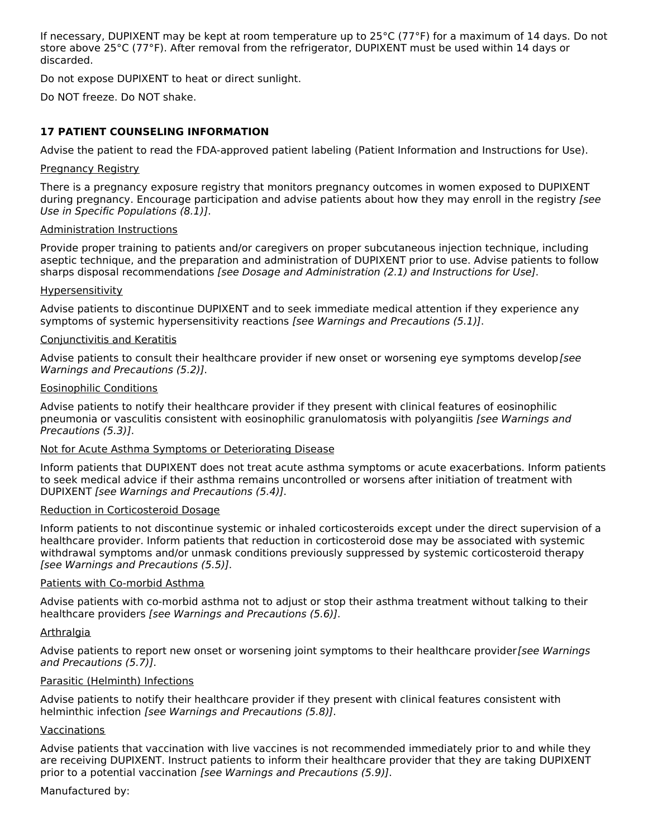If necessary, DUPIXENT may be kept at room temperature up to 25°C (77°F) for a maximum of 14 days. Do not store above 25°C (77°F). After removal from the refrigerator, DUPIXENT must be used within 14 days or discarded.

Do not expose DUPIXENT to heat or direct sunlight.

Do NOT freeze. Do NOT shake.

### **17 PATIENT COUNSELING INFORMATION**

Advise the patient to read the FDA-approved patient labeling (Patient Information and Instructions for Use).

### Pregnancy Registry

There is a pregnancy exposure registry that monitors pregnancy outcomes in women exposed to DUPIXENT during pregnancy. Encourage participation and advise patients about how they may enroll in the registry [see Use in Specific Populations (8.1)].

### Administration Instructions

Provide proper training to patients and/or caregivers on proper subcutaneous injection technique, including aseptic technique, and the preparation and administration of DUPIXENT prior to use. Advise patients to follow sharps disposal recommendations [see Dosage and Administration (2.1) and Instructions for Use].

### **Hypersensitivity**

Advise patients to discontinue DUPIXENT and to seek immediate medical attention if they experience any symptoms of systemic hypersensitivity reactions [see Warnings and Precautions (5.1)].

### Conjunctivitis and Keratitis

Advise patients to consult their healthcare provider if new onset or worsening eye symptoms develop [see Warnings and Precautions (5.2)].

### Eosinophilic Conditions

Advise patients to notify their healthcare provider if they present with clinical features of eosinophilic pneumonia or vasculitis consistent with eosinophilic granulomatosis with polyangiitis [see Warnings and Precautions (5.3)].

#### Not for Acute Asthma Symptoms or Deteriorating Disease

Inform patients that DUPIXENT does not treat acute asthma symptoms or acute exacerbations. Inform patients to seek medical advice if their asthma remains uncontrolled or worsens after initiation of treatment with DUPIXENT [see Warnings and Precautions (5.4)].

#### Reduction in Corticosteroid Dosage

Inform patients to not discontinue systemic or inhaled corticosteroids except under the direct supervision of a healthcare provider. Inform patients that reduction in corticosteroid dose may be associated with systemic withdrawal symptoms and/or unmask conditions previously suppressed by systemic corticosteroid therapy [see Warnings and Precautions (5.5)].

#### Patients with Co-morbid Asthma

Advise patients with co-morbid asthma not to adjust or stop their asthma treatment without talking to their healthcare providers [see Warnings and Precautions (5.6)].

#### Arthralgia

Advise patients to report new onset or worsening joint symptoms to their healthcare provider [see Warnings] and Precautions (5.7)].

#### Parasitic (Helminth) Infections

Advise patients to notify their healthcare provider if they present with clinical features consistent with helminthic infection [see Warnings and Precautions (5.8)].

### Vaccinations

Advise patients that vaccination with live vaccines is not recommended immediately prior to and while they are receiving DUPIXENT. Instruct patients to inform their healthcare provider that they are taking DUPIXENT prior to a potential vaccination [see Warnings and Precautions (5.9)].

#### Manufactured by: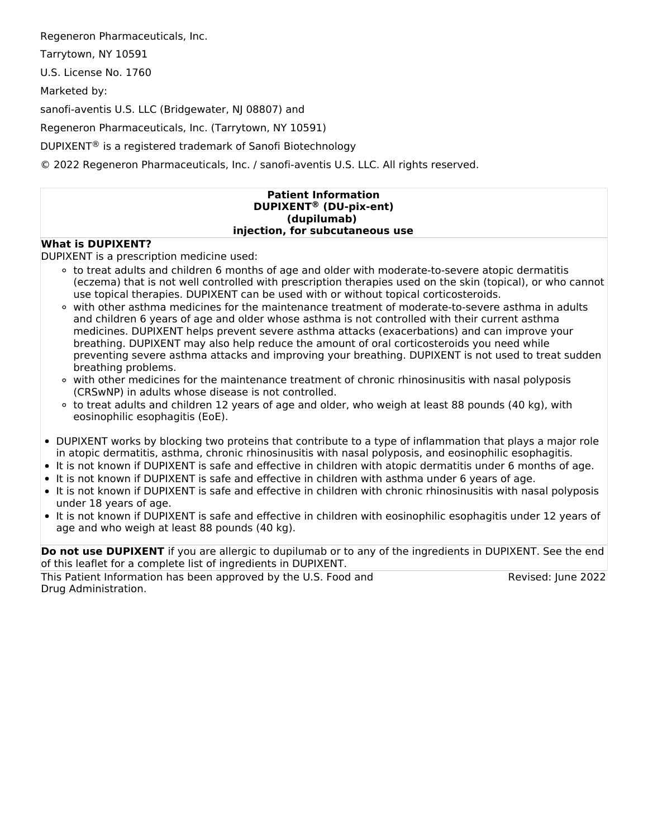Regeneron Pharmaceuticals, Inc.

Tarrytown, NY 10591

U.S. License No. 1760

Marketed by:

sanofi-aventis U.S. LLC (Bridgewater, NJ 08807) and

Regeneron Pharmaceuticals, Inc. (Tarrytown, NY 10591)

DUPIXENT $^{\circledR}$  is a registered trademark of Sanofi Biotechnology

© 2022 Regeneron Pharmaceuticals, Inc. / sanofi-aventis U.S. LLC. All rights reserved.

#### **Patient Information DUPIXENT (DU-pix-ent) ®(dupilumab) injection, for subcutaneous use**

### **What is DUPIXENT?**

DUPIXENT is a prescription medicine used:

- to treat adults and children 6 months of age and older with moderate-to-severe atopic dermatitis (eczema) that is not well controlled with prescription therapies used on the skin (topical), or who cannot use topical therapies. DUPIXENT can be used with or without topical corticosteroids.
- with other asthma medicines for the maintenance treatment of moderate-to-severe asthma in adults and children 6 years of age and older whose asthma is not controlled with their current asthma medicines. DUPIXENT helps prevent severe asthma attacks (exacerbations) and can improve your breathing. DUPIXENT may also help reduce the amount of oral corticosteroids you need while preventing severe asthma attacks and improving your breathing. DUPIXENT is not used to treat sudden breathing problems.
- o with other medicines for the maintenance treatment of chronic rhinosinusitis with nasal polyposis (CRSwNP) in adults whose disease is not controlled.
- $\circ$  to treat adults and children 12 years of age and older, who weigh at least 88 pounds (40 kg), with eosinophilic esophagitis (EoE).
- DUPIXENT works by blocking two proteins that contribute to a type of inflammation that plays a major role in atopic dermatitis, asthma, chronic rhinosinusitis with nasal polyposis, and eosinophilic esophagitis.
- It is not known if DUPIXENT is safe and effective in children with atopic dermatitis under 6 months of age.
- It is not known if DUPIXENT is safe and effective in children with asthma under 6 years of age.
- It is not known if DUPIXENT is safe and effective in children with chronic rhinosinusitis with nasal polyposis under 18 years of age.
- It is not known if DUPIXENT is safe and effective in children with eosinophilic esophagitis under 12 years of age and who weigh at least 88 pounds (40 kg).

**Do not use DUPIXENT** if you are allergic to dupilumab or to any of the ingredients in DUPIXENT. See the end of this leaflet for a complete list of ingredients in DUPIXENT.

This Patient Information has been approved by the U.S. Food and Drug Administration.

Revised: June 2022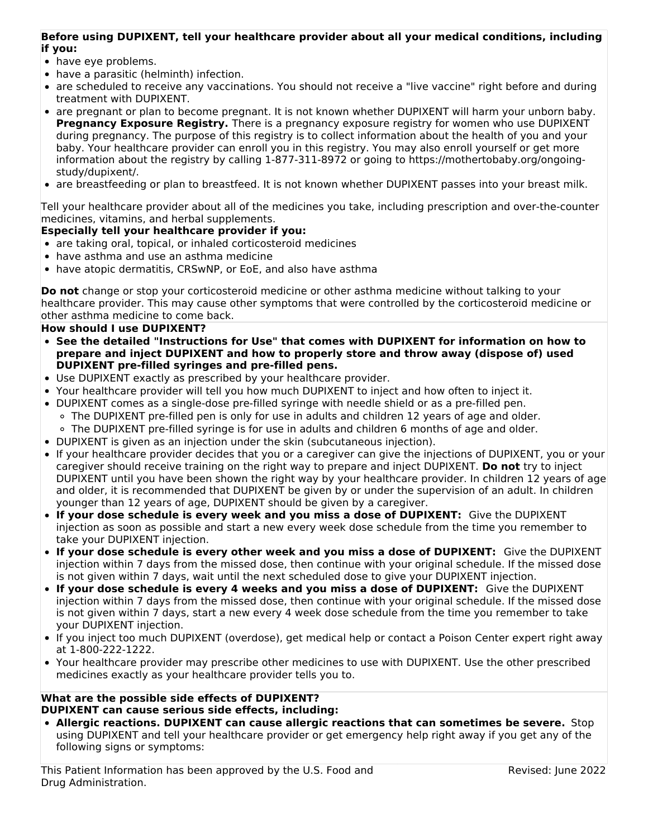### **Before using DUPIXENT, tell your healthcare provider about all your medical conditions, including if you:**

- have eye problems.
- have a parasitic (helminth) infection.
- are scheduled to receive any vaccinations. You should not receive a "live vaccine" right before and during treatment with DUPIXENT.
- are pregnant or plan to become pregnant. It is not known whether DUPIXENT will harm your unborn baby. **Pregnancy Exposure Registry.** There is a pregnancy exposure registry for women who use DUPIXENT during pregnancy. The purpose of this registry is to collect information about the health of you and your baby. Your healthcare provider can enroll you in this registry. You may also enroll yourself or get more information about the registry by calling 1-877-311-8972 or going to https://mothertobaby.org/ongoingstudy/dupixent/.
- are breastfeeding or plan to breastfeed. It is not known whether DUPIXENT passes into your breast milk.

Tell your healthcare provider about all of the medicines you take, including prescription and over-the-counter medicines, vitamins, and herbal supplements.

### **Especially tell your healthcare provider if you:**

- are taking oral, topical, or inhaled corticosteroid medicines
- have asthma and use an asthma medicine
- have atopic dermatitis, CRSwNP, or EoE, and also have asthma

**Do not** change or stop your corticosteroid medicine or other asthma medicine without talking to your healthcare provider. This may cause other symptoms that were controlled by the corticosteroid medicine or other asthma medicine to come back.

### **How should I use DUPIXENT?**

- **See the detailed "Instructions for Use" that comes with DUPIXENT for information on how to prepare and inject DUPIXENT and how to properly store and throw away (dispose of) used DUPIXENT pre-filled syringes and pre-filled pens.**
- Use DUPIXENT exactly as prescribed by your healthcare provider.
- Your healthcare provider will tell you how much DUPIXENT to inject and how often to inject it.
- DUPIXENT comes as a single-dose pre-filled syringe with needle shield or as a pre-filled pen.  $\circ$  The DUPIXENT pre-filled pen is only for use in adults and children 12 years of age and older.
	- The DUPIXENT pre-filled syringe is for use in adults and children 6 months of age and older.
- DUPIXENT is given as an injection under the skin (subcutaneous injection).
- If your healthcare provider decides that you or a caregiver can give the injections of DUPIXENT, you or your caregiver should receive training on the right way to prepare and inject DUPIXENT. **Do not** try to inject DUPIXENT until you have been shown the right way by your healthcare provider. In children 12 years of age and older, it is recommended that DUPIXENT be given by or under the supervision of an adult. In children younger than 12 years of age, DUPIXENT should be given by a caregiver.
- **If your dose schedule is every week and you miss a dose of DUPIXENT:** Give the DUPIXENT injection as soon as possible and start a new every week dose schedule from the time you remember to take your DUPIXENT injection.
- **If your dose schedule is every other week and you miss a dose of DUPIXENT:** Give the DUPIXENT injection within 7 days from the missed dose, then continue with your original schedule. If the missed dose is not given within 7 days, wait until the next scheduled dose to give your DUPIXENT injection.
- **If your dose schedule is every 4 weeks and you miss a dose of DUPIXENT:** Give the DUPIXENT injection within 7 days from the missed dose, then continue with your original schedule. If the missed dose is not given within 7 days, start a new every 4 week dose schedule from the time you remember to take your DUPIXENT injection.
- If you inject too much DUPIXENT (overdose), get medical help or contact a Poison Center expert right away at 1-800-222-1222.
- Your healthcare provider may prescribe other medicines to use with DUPIXENT. Use the other prescribed medicines exactly as your healthcare provider tells you to.

### **What are the possible side effects of DUPIXENT? DUPIXENT can cause serious side effects, including:**

**Allergic reactions. DUPIXENT can cause allergic reactions that can sometimes be severe.** Stop using DUPIXENT and tell your healthcare provider or get emergency help right away if you get any of the following signs or symptoms: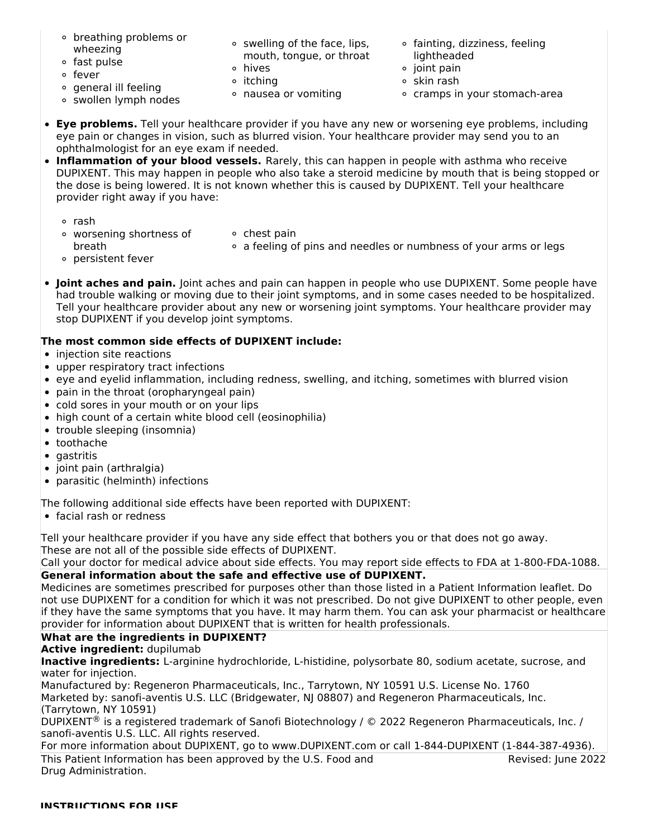- breathing problems or wheezing
- fast pulse
- fever
- general ill feeling
- swollen lymph nodes
- swelling of the face, lips, mouth, tongue, or throat
- hives **o** itching
- nausea or vomiting
- fainting, dizziness, feeling lightheaded
- $\circ$  joint pain
- $\circ$  skin rash
- cramps in your stomach-area
- **Eye problems.** Tell your healthcare provider if you have any new or worsening eye problems, including eye pain or changes in vision, such as blurred vision. Your healthcare provider may send you to an ophthalmologist for an eye exam if needed.
- **Inflammation of your blood vessels.** Rarely, this can happen in people with asthma who receive DUPIXENT. This may happen in people who also take a steroid medicine by mouth that is being stopped or the dose is being lowered. It is not known whether this is caused by DUPIXENT. Tell your healthcare provider right away if you have:
	- rash
	- worsening shortness of breath
- $\circ$  chest pain a feeling of pins and needles or numbness of your arms or legs
- persistent fever
- **Joint aches and pain.** Joint aches and pain can happen in people who use DUPIXENT. Some people have had trouble walking or moving due to their joint symptoms, and in some cases needed to be hospitalized. Tell your healthcare provider about any new or worsening joint symptoms. Your healthcare provider may stop DUPIXENT if you develop joint symptoms.

## **The most common side effects of DUPIXENT include:**

- injection site reactions
- upper respiratory tract infections
- eye and eyelid inflammation, including redness, swelling, and itching, sometimes with blurred vision
- pain in the throat (oropharyngeal pain)
- cold sores in your mouth or on your lips
- high count of a certain white blood cell (eosinophilia)
- trouble sleeping (insomnia)
- toothache
- $\bullet$  gastritis
- joint pain (arthralgia)
- parasitic (helminth) infections

The following additional side effects have been reported with DUPIXENT:

• facial rash or redness

Tell your healthcare provider if you have any side effect that bothers you or that does not go away. These are not all of the possible side effects of DUPIXENT.

Call your doctor for medical advice about side effects. You may report side effects to FDA at 1-800-FDA-1088.

### **General information about the safe and effective use of DUPIXENT.**

Medicines are sometimes prescribed for purposes other than those listed in a Patient Information leaflet. Do not use DUPIXENT for a condition for which it was not prescribed. Do not give DUPIXENT to other people, even if they have the same symptoms that you have. It may harm them. You can ask your pharmacist or healthcare provider for information about DUPIXENT that is written for health professionals.

## **What are the ingredients in DUPIXENT?**

### **Active ingredient:** dupilumab

**Inactive ingredients:** L-arginine hydrochloride, L-histidine, polysorbate 80, sodium acetate, sucrose, and water for injection.

Manufactured by: Regeneron Pharmaceuticals, Inc., Tarrytown, NY 10591 U.S. License No. 1760 Marketed by: sanofi-aventis U.S. LLC (Bridgewater, NJ 08807) and Regeneron Pharmaceuticals, Inc. (Tarrytown, NY 10591)

DUPIXENT<sup>®</sup> is a registered trademark of Sanofi Biotechnology / © 2022 Regeneron Pharmaceuticals, Inc. / sanofi-aventis U.S. LLC. All rights reserved.

For more information about DUPIXENT, go to www.DUPIXENT.com or call 1-844-DUPIXENT (1-844-387-4936).

This Patient Information has been approved by the U.S. Food and Drug Administration.

Revised: June 2022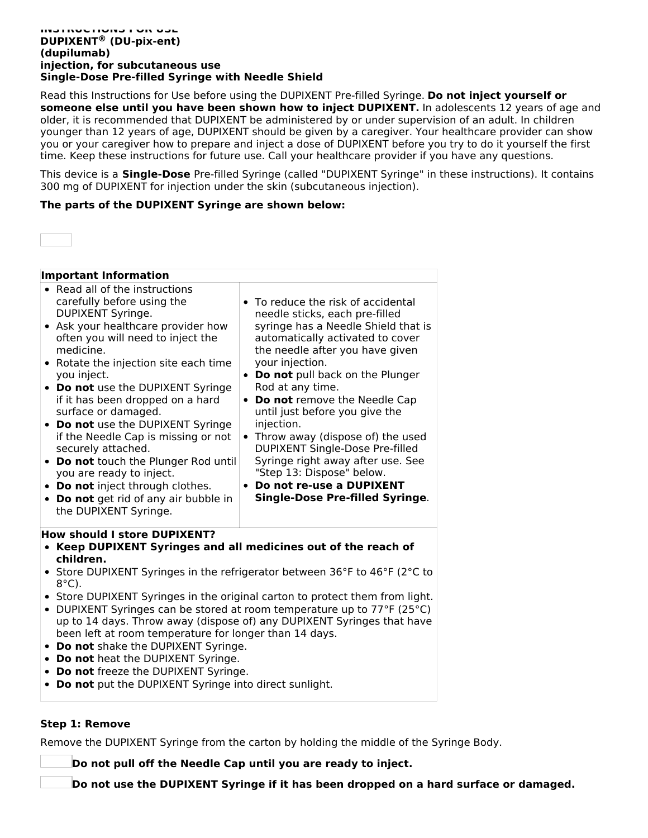#### **INSTRUCTIONS FOR USE DUPIXENT (DU-pix-ent) ®(dupilumab) injection, for subcutaneous use Single-Dose Pre-filled Syringe with Needle Shield**

Read this Instructions for Use before using the DUPIXENT Pre-filled Syringe. **Do not inject yourself or someone else until you have been shown how to inject DUPIXENT.** In adolescents 12 years of age and older, it is recommended that DUPIXENT be administered by or under supervision of an adult. In children younger than 12 years of age, DUPIXENT should be given by a caregiver. Your healthcare provider can show you or your caregiver how to prepare and inject a dose of DUPIXENT before you try to do it yourself the first time. Keep these instructions for future use. Call your healthcare provider if you have any questions.

This device is a **Single-Dose** Pre-filled Syringe (called "DUPIXENT Syringe" in these instructions). It contains 300 mg of DUPIXENT for injection under the skin (subcutaneous injection).

### **The parts of the DUPIXENT Syringe are shown below:**



| <b>Important Information</b>                                                                                                                                                                                                                                                                                                                                                                                                                                                                            |                                                                                                                                                                                                                                                                                                                                                                                                                                                                                                    |  |  |
|---------------------------------------------------------------------------------------------------------------------------------------------------------------------------------------------------------------------------------------------------------------------------------------------------------------------------------------------------------------------------------------------------------------------------------------------------------------------------------------------------------|----------------------------------------------------------------------------------------------------------------------------------------------------------------------------------------------------------------------------------------------------------------------------------------------------------------------------------------------------------------------------------------------------------------------------------------------------------------------------------------------------|--|--|
| • Read all of the instructions<br>carefully before using the<br>DUPIXENT Syringe.<br>• Ask your healthcare provider how<br>often you will need to inject the<br>medicine.<br>• Rotate the injection site each time<br>you inject.<br>• Do not use the DUPIXENT Syringe<br>if it has been dropped on a hard<br>surface or damaged.<br>• Do not use the DUPIXENT Syringe<br>if the Needle Cap is missing or not<br>securely attached.<br>• Do not touch the Plunger Rod until<br>you are ready to inject. | • To reduce the risk of accidental<br>needle sticks, each pre-filled<br>syringe has a Needle Shield that is<br>automatically activated to cover<br>the needle after you have given<br>your injection.<br>Do not pull back on the Plunger<br>$\bullet$<br>Rod at any time.<br>Do not remove the Needle Cap<br>until just before you give the<br>injection.<br>Throw away (dispose of) the used<br>DUPIXENT Single-Dose Pre-filled<br>Syringe right away after use. See<br>"Step 13: Dispose" below. |  |  |
| • Do not inject through clothes.<br>• Do not get rid of any air bubble in<br>the DUPIXENT Syringe.                                                                                                                                                                                                                                                                                                                                                                                                      | Do not re-use a DUPIXENT<br><b>Single-Dose Pre-filled Syringe.</b>                                                                                                                                                                                                                                                                                                                                                                                                                                 |  |  |
|                                                                                                                                                                                                                                                                                                                                                                                                                                                                                                         |                                                                                                                                                                                                                                                                                                                                                                                                                                                                                                    |  |  |
| How should I store DUPIXENT?<br>• Keep DUPIXENT Syringes and all medicines out of the reach of                                                                                                                                                                                                                                                                                                                                                                                                          |                                                                                                                                                                                                                                                                                                                                                                                                                                                                                                    |  |  |
| children.                                                                                                                                                                                                                                                                                                                                                                                                                                                                                               |                                                                                                                                                                                                                                                                                                                                                                                                                                                                                                    |  |  |
| • Store DUPIXENT Syringes in the refrigerator between 36°F to 46°F (2°C to                                                                                                                                                                                                                                                                                                                                                                                                                              |                                                                                                                                                                                                                                                                                                                                                                                                                                                                                                    |  |  |
| $8^{\circ}$ C).                                                                                                                                                                                                                                                                                                                                                                                                                                                                                         |                                                                                                                                                                                                                                                                                                                                                                                                                                                                                                    |  |  |
| • Store DUPIXENT Syringes in the original carton to protect them from light.                                                                                                                                                                                                                                                                                                                                                                                                                            |                                                                                                                                                                                                                                                                                                                                                                                                                                                                                                    |  |  |
| • DUPIXENT Syringes can be stored at room temperature up to 77°F (25°C)                                                                                                                                                                                                                                                                                                                                                                                                                                 | up to 14 days. Throw away (dispose of) any DUPIXENT Syringes that have                                                                                                                                                                                                                                                                                                                                                                                                                             |  |  |
| been left at room temperature for longer than 14 days.                                                                                                                                                                                                                                                                                                                                                                                                                                                  |                                                                                                                                                                                                                                                                                                                                                                                                                                                                                                    |  |  |
| • Do not shake the DUPIXENT Syringe.                                                                                                                                                                                                                                                                                                                                                                                                                                                                    |                                                                                                                                                                                                                                                                                                                                                                                                                                                                                                    |  |  |
| • Do not heat the DUPIXENT Syringe.                                                                                                                                                                                                                                                                                                                                                                                                                                                                     |                                                                                                                                                                                                                                                                                                                                                                                                                                                                                                    |  |  |
| • Do not freeze the DUPIXENT Syringe.<br>• Do not put the DUPIXENT Syringe into direct sunlight.                                                                                                                                                                                                                                                                                                                                                                                                        |                                                                                                                                                                                                                                                                                                                                                                                                                                                                                                    |  |  |

### **Step 1: Remove**

Remove the DUPIXENT Syringe from the carton by holding the middle of the Syringe Body.

**Do not pull off the Needle Cap until you are ready to inject.**

**Do not use the DUPIXENT Syringe if it has been dropped on a hard surface or damaged.**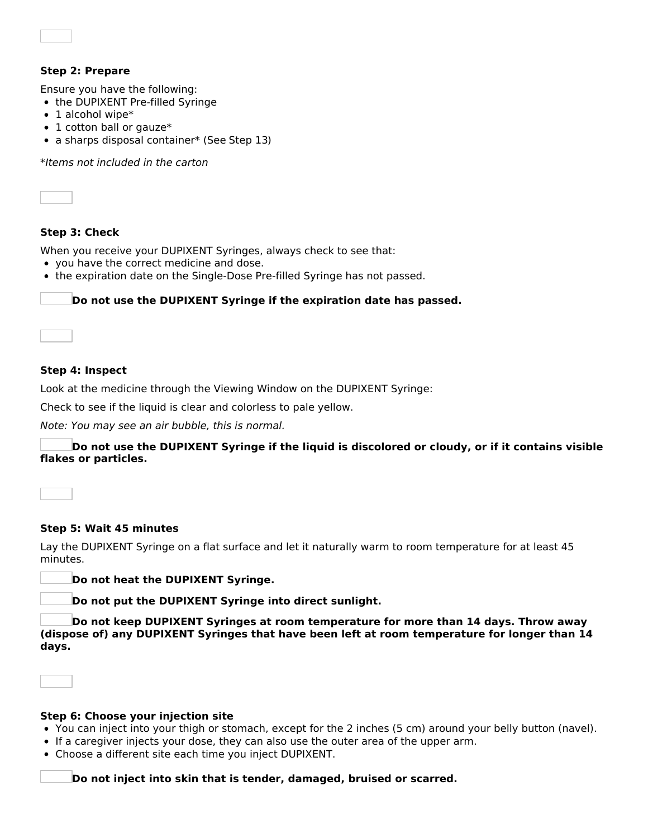### **Step 2: Prepare**

Ensure you have the following:

- the DUPIXENT Pre-filled Syringe
- $\bullet$  1 alcohol wipe\*
- 1 cotton ball or gauze\*
- a sharps disposal container\* (See Step 13)

\*Items not included in the carton



### **Step 3: Check**

When you receive your DUPIXENT Syringes, always check to see that:

- you have the correct medicine and dose.
- the expiration date on the Single-Dose Pre-filled Syringe has not passed.

#### **Do not use the DUPIXENT Syringe if the expiration date has passed.**

#### **Step 4: Inspect**

Look at the medicine through the Viewing Window on the DUPIXENT Syringe:

Check to see if the liquid is clear and colorless to pale yellow.

Note: You may see an air bubble, this is normal.

**Do not use the DUPIXENT Syringe if the liquid is discolored or cloudy, or if it contains visible flakes or particles.**

#### **Step 5: Wait 45 minutes**

Lay the DUPIXENT Syringe on a flat surface and let it naturally warm to room temperature for at least 45 minutes.

**Do not heat the DUPIXENT Syringe.**

**Do not put the DUPIXENT Syringe into direct sunlight.**

**Do not keep DUPIXENT Syringes at room temperature for more than 14 days. Throw away (dispose of) any DUPIXENT Syringes that have been left at room temperature for longer than 14 days.**

# **Step 6: Choose your injection site**

- You can inject into your thigh or stomach, except for the 2 inches (5 cm) around your belly button (navel).
- If a caregiver injects your dose, they can also use the outer area of the upper arm.
- Choose a different site each time you inject DUPIXENT.

**Do not inject into skin that is tender, damaged, bruised or scarred.**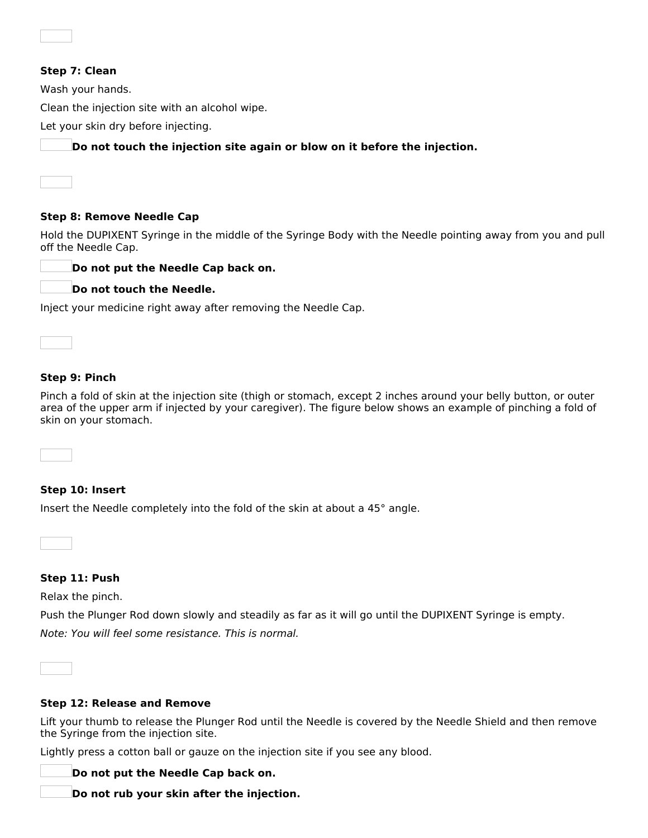| Step 7: Clean                                                             |
|---------------------------------------------------------------------------|
| Wash your hands.                                                          |
| Clean the injection site with an alcohol wipe.                            |
| Let your skin dry before injecting.                                       |
| Do not touch the injection site again or blow on it before the injection. |
|                                                                           |
|                                                                           |

### **Step 8: Remove Needle Cap**

Hold the DUPIXENT Syringe in the middle of the Syringe Body with the Needle pointing away from you and pull off the Needle Cap.



|  |  | Do not touch the Needle. |
|--|--|--------------------------|
|  |  |                          |

Inject your medicine right away after removing the Needle Cap.



### **Step 9: Pinch**

Pinch a fold of skin at the injection site (thigh or stomach, except 2 inches around your belly button, or outer area of the upper arm if injected by your caregiver). The figure below shows an example of pinching a fold of skin on your stomach.

**Step 10: Insert**

Insert the Needle completely into the fold of the skin at about a 45° angle.

**Step 11: Push**

Relax the pinch.

Push the Plunger Rod down slowly and steadily as far as it will go until the DUPIXENT Syringe is empty. Note: You will feel some resistance. This is normal.

#### **Step 12: Release and Remove**

Lift your thumb to release the Plunger Rod until the Needle is covered by the Needle Shield and then remove the Syringe from the injection site.

Lightly press a cotton ball or gauze on the injection site if you see any blood.

**Do not put the Needle Cap back on.**

**Do not rub your skin after the injection.**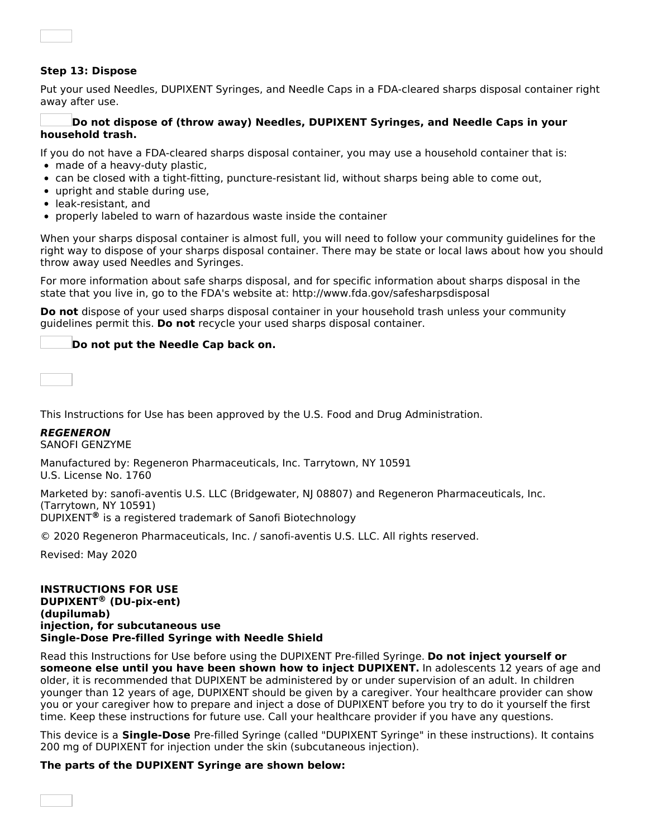### **Step 13: Dispose**

Put your used Needles, DUPIXENT Syringes, and Needle Caps in a FDA-cleared sharps disposal container right away after use.

#### **Do not dispose of (throw away) Needles, DUPIXENT Syringes, and Needle Caps in your household trash.**

If you do not have a FDA-cleared sharps disposal container, you may use a household container that is:

- made of a heavy-duty plastic,
- can be closed with a tight-fitting, puncture-resistant lid, without sharps being able to come out,
- upright and stable during use,
- leak-resistant, and
- properly labeled to warn of hazardous waste inside the container

When your sharps disposal container is almost full, you will need to follow your community guidelines for the right way to dispose of your sharps disposal container. There may be state or local laws about how you should throw away used Needles and Syringes.

For more information about safe sharps disposal, and for specific information about sharps disposal in the state that you live in, go to the FDA's website at: http://www.fda.gov/safesharpsdisposal

**Do not** dispose of your used sharps disposal container in your household trash unless your community guidelines permit this. **Do not** recycle your used sharps disposal container.

### **Do not put the Needle Cap back on.**

This Instructions for Use has been approved by the U.S. Food and Drug Administration.

### **REGENERON**

SANOFI GENZYME

Manufactured by: Regeneron Pharmaceuticals, Inc. Tarrytown, NY 10591 U.S. License No. 1760

Marketed by: sanofi-aventis U.S. LLC (Bridgewater, NJ 08807) and Regeneron Pharmaceuticals, Inc. (Tarrytown, NY 10591)

DUPIXENT<sup>®</sup> is a registered trademark of Sanofi Biotechnology

© 2020 Regeneron Pharmaceuticals, Inc. / sanofi-aventis U.S. LLC. All rights reserved.

Revised: May 2020

#### **INSTRUCTIONS FOR USE DUPIXENT (DU-pix-ent) ®(dupilumab) injection, for subcutaneous use Single-Dose Pre-filled Syringe with Needle Shield**

Read this Instructions for Use before using the DUPIXENT Pre-filled Syringe. **Do not inject yourself or someone else until you have been shown how to inject DUPIXENT.** In adolescents 12 years of age and older, it is recommended that DUPIXENT be administered by or under supervision of an adult. In children younger than 12 years of age, DUPIXENT should be given by a caregiver. Your healthcare provider can show you or your caregiver how to prepare and inject a dose of DUPIXENT before you try to do it yourself the first time. Keep these instructions for future use. Call your healthcare provider if you have any questions.

This device is a **Single-Dose** Pre-filled Syringe (called "DUPIXENT Syringe" in these instructions). It contains 200 mg of DUPIXENT for injection under the skin (subcutaneous injection).

#### **The parts of the DUPIXENT Syringe are shown below:**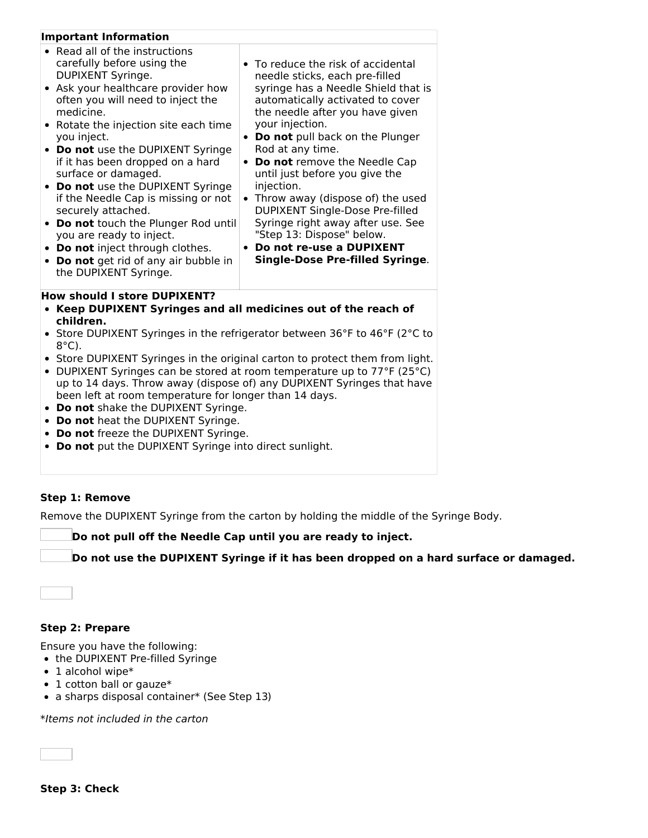| <b>Important Information</b>                                                                                                                                                                                                                                                                                                                                                                                                                                                                                                                                                                                             |                                                                                                                                                                                                                                                                                                                                                                                                                                                                                                                                                               |
|--------------------------------------------------------------------------------------------------------------------------------------------------------------------------------------------------------------------------------------------------------------------------------------------------------------------------------------------------------------------------------------------------------------------------------------------------------------------------------------------------------------------------------------------------------------------------------------------------------------------------|---------------------------------------------------------------------------------------------------------------------------------------------------------------------------------------------------------------------------------------------------------------------------------------------------------------------------------------------------------------------------------------------------------------------------------------------------------------------------------------------------------------------------------------------------------------|
| • Read all of the instructions<br>carefully before using the<br>DUPIXENT Syringe.<br>• Ask your healthcare provider how<br>often you will need to inject the<br>medicine.<br>• Rotate the injection site each time<br>you inject.<br>• Do not use the DUPIXENT Syringe<br>if it has been dropped on a hard<br>surface or damaged.<br>• Do not use the DUPIXENT Syringe<br>if the Needle Cap is missing or not<br>securely attached.<br>• Do not touch the Plunger Rod until<br>you are ready to inject.<br>• Do not inject through clothes.<br>Do not get rid of any air bubble in<br>$\bullet$<br>the DUPIXENT Syringe. | • To reduce the risk of accidental<br>needle sticks, each pre-filled<br>syringe has a Needle Shield that is<br>automatically activated to cover<br>the needle after you have given<br>your injection.<br>Do not pull back on the Plunger<br>Rod at any time.<br>• Do not remove the Needle Cap<br>until just before you give the<br>injection.<br>Throw away (dispose of) the used<br>DUPIXENT Single-Dose Pre-filled<br>Syringe right away after use. See<br>"Step 13: Dispose" below.<br>Do not re-use a DUPIXENT<br><b>Single-Dose Pre-filled Syringe.</b> |
| <b>How should I store DUPIXENT?</b><br>• Keep DUPIXENT Syringes and all medicines out of the reach of<br>children.                                                                                                                                                                                                                                                                                                                                                                                                                                                                                                       |                                                                                                                                                                                                                                                                                                                                                                                                                                                                                                                                                               |
| $8^{\circ}$ C).                                                                                                                                                                                                                                                                                                                                                                                                                                                                                                                                                                                                          | Store DUPIXENT Syringes in the refrigerator between 36°F to 46°F (2°C to                                                                                                                                                                                                                                                                                                                                                                                                                                                                                      |
|                                                                                                                                                                                                                                                                                                                                                                                                                                                                                                                                                                                                                          | . Store DUBIVENT Syringes in the eriginal carten to protect them from light                                                                                                                                                                                                                                                                                                                                                                                                                                                                                   |

- Store DUPIXENT Syringes in the original carton to protect them from light. • DUPIXENT Syringes can be stored at room temperature up to  $77^{\circ}$ F (25 $^{\circ}$ C)
- up to 14 days. Throw away (dispose of) any DUPIXENT Syringes that have been left at room temperature for longer than 14 days.
- **Do not** shake the DUPIXENT Syringe.
- **Do not** heat the DUPIXENT Syringe.
- **Do not** freeze the DUPIXENT Syringe.
- **Do not** put the DUPIXENT Syringe into direct sunlight.

### **Step 1: Remove**

Remove the DUPIXENT Syringe from the carton by holding the middle of the Syringe Body.

**Do not pull off the Needle Cap until you are ready to inject.**

**Do not use the DUPIXENT Syringe if it has been dropped on a hard surface or damaged.**



# **Step 2: Prepare**

Ensure you have the following:

- the DUPIXENT Pre-filled Syringe
- 1 alcohol wipe\*
- 1 cotton ball or gauze\*
- a sharps disposal container\* (See Step 13)

\*Items not included in the carton

**Step 3: Check**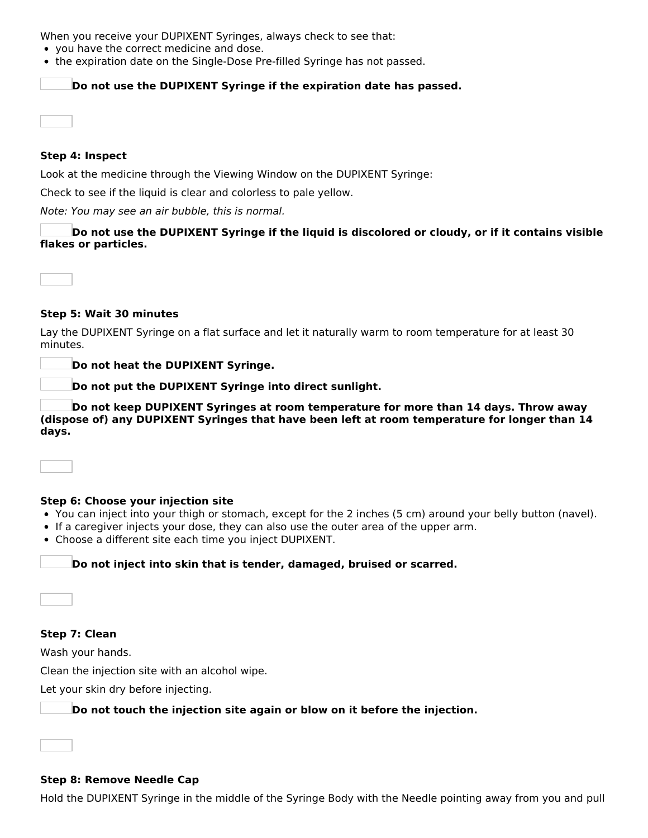When you receive your DUPIXENT Syringes, always check to see that:

- you have the correct medicine and dose.
- the expiration date on the Single-Dose Pre-filled Syringe has not passed.

### **Do not use the DUPIXENT Syringe if the expiration date has passed.**

### **Step 4: Inspect**

Look at the medicine through the Viewing Window on the DUPIXENT Syringe:

Check to see if the liquid is clear and colorless to pale yellow.

Note: You may see an air bubble, this is normal.

**Do not use the DUPIXENT Syringe if the liquid is discolored or cloudy, or if it contains visible flakes or particles.**

### **Step 5: Wait 30 minutes**

Lay the DUPIXENT Syringe on a flat surface and let it naturally warm to room temperature for at least 30 minutes.

**Do not heat the DUPIXENT Syringe.**

**Do not put the DUPIXENT Syringe into direct sunlight.**

**Do not keep DUPIXENT Syringes at room temperature for more than 14 days. Throw away (dispose of) any DUPIXENT Syringes that have been left at room temperature for longer than 14 days.**

### **Step 6: Choose your injection site**

- You can inject into your thigh or stomach, except for the 2 inches (5 cm) around your belly button (navel).
- If a caregiver injects your dose, they can also use the outer area of the upper arm.
- Choose a different site each time you inject DUPIXENT.

### **Do not inject into skin that is tender, damaged, bruised or scarred.**

**Step 7: Clean**

Wash your hands.

Clean the injection site with an alcohol wipe.

Let your skin dry before injecting.

## **Do not touch the injection site again or blow on it before the injection.**

### **Step 8: Remove Needle Cap**

Hold the DUPIXENT Syringe in the middle of the Syringe Body with the Needle pointing away from you and pull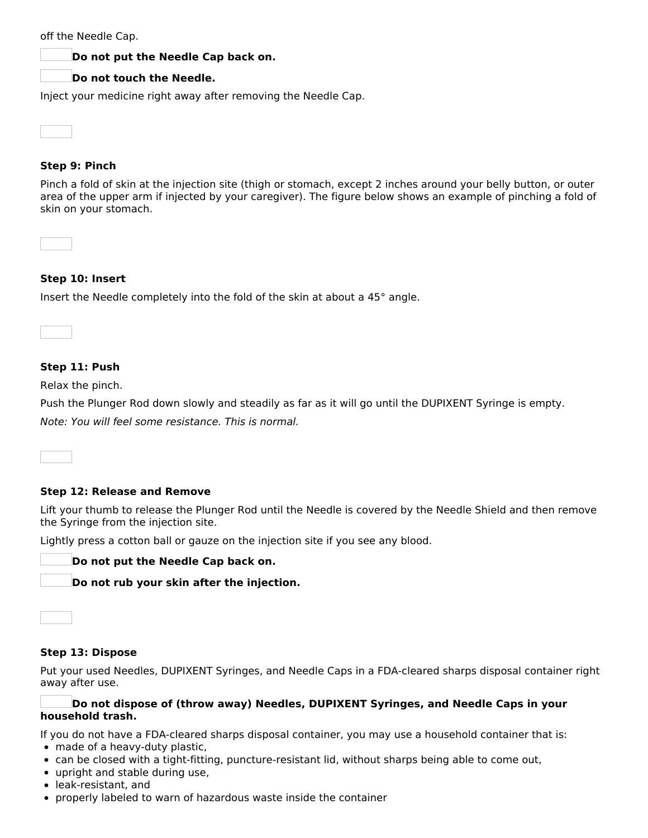| off the Needle Cap. |  |
|---------------------|--|
|---------------------|--|

### **Do not put the Needle Cap back on.**

### **Do not touch the Needle.**

Inject your medicine right away after removing the Needle Cap.

### **Step 9: Pinch**

Pinch a fold of skin at the injection site (thigh or stomach, except 2 inches around your belly button, or outer area of the upper arm if injected by your caregiver). The figure below shows an example of pinching a fold of skin on your stomach.

### **Step 10: Insert**

Insert the Needle completely into the fold of the skin at about a 45° angle.

**Step 11: Push**

Relax the pinch.

Push the Plunger Rod down slowly and steadily as far as it will go until the DUPIXENT Syringe is empty.

Note: You will feel some resistance. This is normal.

#### **Step 12: Release and Remove**

Lift your thumb to release the Plunger Rod until the Needle is covered by the Needle Shield and then remove the Syringe from the injection site.

Lightly press a cotton ball or gauze on the injection site if you see any blood.

**Do not put the Needle Cap back on.**

**Do not rub your skin after the injection.**



### **Step 13: Dispose**

Put your used Needles, DUPIXENT Syringes, and Needle Caps in a FDA-cleared sharps disposal container right away after use.

### **Do not dispose of (throw away) Needles, DUPIXENT Syringes, and Needle Caps in your household trash.**

If you do not have a FDA-cleared sharps disposal container, you may use a household container that is:

- made of a heavy-duty plastic,
- can be closed with a tight-fitting, puncture-resistant lid, without sharps being able to come out,
- upright and stable during use,
- leak-resistant, and
- properly labeled to warn of hazardous waste inside the container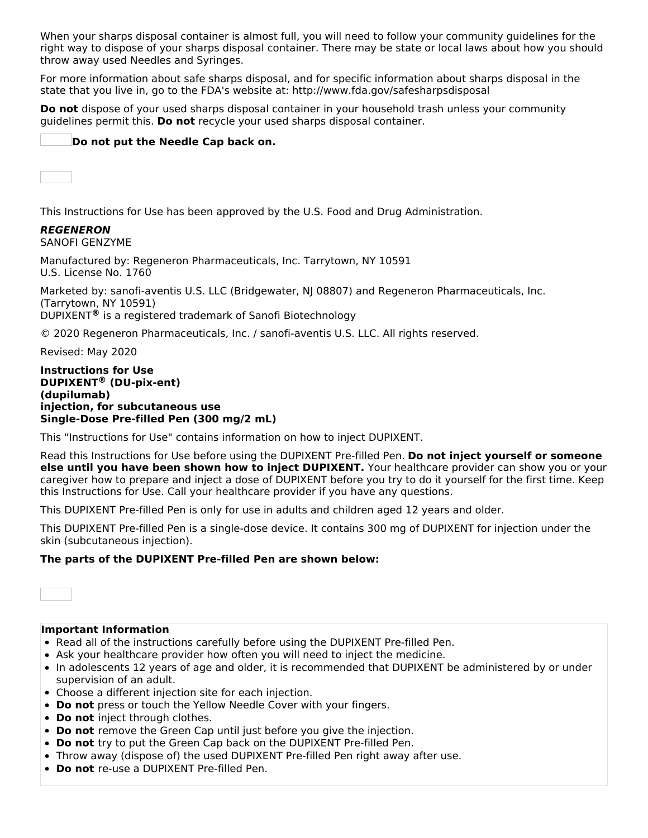When your sharps disposal container is almost full, you will need to follow your community guidelines for the right way to dispose of your sharps disposal container. There may be state or local laws about how you should throw away used Needles and Syringes.

For more information about safe sharps disposal, and for specific information about sharps disposal in the state that you live in, go to the FDA's website at: http://www.fda.gov/safesharpsdisposal

**Do not** dispose of your used sharps disposal container in your household trash unless your community guidelines permit this. **Do not** recycle your used sharps disposal container.

### **Do not put the Needle Cap back on.**

This Instructions for Use has been approved by the U.S. Food and Drug Administration.

# **REGENERON**

SANOFI GENZYME

Manufactured by: Regeneron Pharmaceuticals, Inc. Tarrytown, NY 10591 U.S. License No. 1760

Marketed by: sanofi-aventis U.S. LLC (Bridgewater, NJ 08807) and Regeneron Pharmaceuticals, Inc. (Tarrytown, NY 10591) DUPIXENT<sup>®</sup> is a registered trademark of Sanofi Biotechnology

© 2020 Regeneron Pharmaceuticals, Inc. / sanofi-aventis U.S. LLC. All rights reserved.

Revised: May 2020

#### **Instructions for Use DUPIXENT (DU-pix-ent) ®(dupilumab) injection, for subcutaneous use Single-Dose Pre-filled Pen (300 mg/2 mL)**

This "Instructions for Use" contains information on how to inject DUPIXENT.

Read this Instructions for Use before using the DUPIXENT Pre-filled Pen. **Do not inject yourself or someone else until you have been shown how to inject DUPIXENT.** Your healthcare provider can show you or your caregiver how to prepare and inject a dose of DUPIXENT before you try to do it yourself for the first time. Keep this Instructions for Use. Call your healthcare provider if you have any questions.

This DUPIXENT Pre-filled Pen is only for use in adults and children aged 12 years and older.

This DUPIXENT Pre-filled Pen is a single-dose device. It contains 300 mg of DUPIXENT for injection under the skin (subcutaneous injection).

### **The parts of the DUPIXENT Pre-filled Pen are shown below:**



### **Important Information**

- Read all of the instructions carefully before using the DUPIXENT Pre-filled Pen.
- Ask your healthcare provider how often you will need to inject the medicine.
- In adolescents 12 years of age and older, it is recommended that DUPIXENT be administered by or under supervision of an adult.
- Choose a different injection site for each injection.
- **Do not** press or touch the Yellow Needle Cover with your fingers.
- **Do not** inject through clothes.
- **Do not** remove the Green Cap until just before you give the injection.
- **Do not** try to put the Green Cap back on the DUPIXENT Pre-filled Pen.
- Throw away (dispose of) the used DUPIXENT Pre-filled Pen right away after use.
- **Do not** re-use a DUPIXENT Pre-filled Pen.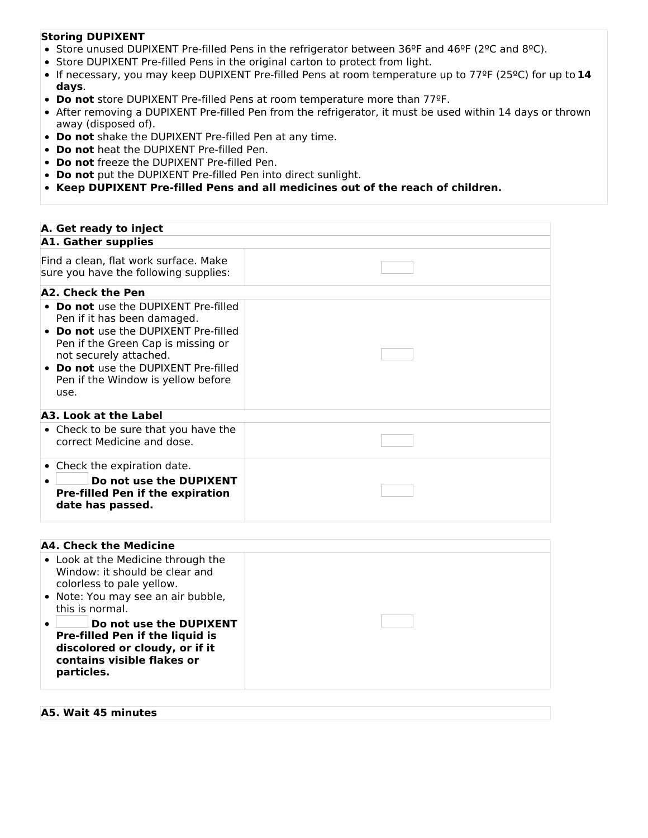### **Storing DUPIXENT**

- Store unused DUPIXENT Pre-filled Pens in the refrigerator between 36ºF and 46ºF (2ºC and 8ºC).
- Store DUPIXENT Pre-filled Pens in the original carton to protect from light.
- If necessary, you may keep DUPIXENT Pre-filled Pens at room temperature up to 77ºF (25ºC) for up to **14 days**.
- **Do not** store DUPIXENT Pre-filled Pens at room temperature more than 77ºF.
- After removing a DUPIXENT Pre-filled Pen from the refrigerator, it must be used within 14 days or thrown away (disposed of).
- **Do not** shake the DUPIXENT Pre-filled Pen at any time.
- **Do not** heat the DUPIXENT Pre-filled Pen.
- **Do not** freeze the DUPIXENT Pre-filled Pen.
- **Do not** put the DUPIXENT Pre-filled Pen into direct sunlight.
- **Keep DUPIXENT Pre-filled Pens and all medicines out of the reach of children.**

| A. Get ready to inject                                                                                                                                                                                                                                            |  |
|-------------------------------------------------------------------------------------------------------------------------------------------------------------------------------------------------------------------------------------------------------------------|--|
| <b>A1. Gather supplies</b>                                                                                                                                                                                                                                        |  |
| Find a clean, flat work surface. Make<br>sure you have the following supplies:                                                                                                                                                                                    |  |
| A2. Check the Pen                                                                                                                                                                                                                                                 |  |
| • Do not use the DUPIXENT Pre-filled<br>Pen if it has been damaged.<br>• Do not use the DUPIXENT Pre-filled<br>Pen if the Green Cap is missing or<br>not securely attached.<br>• Do not use the DUPIXENT Pre-filled<br>Pen if the Window is yellow before<br>use. |  |
| A3. Look at the Label                                                                                                                                                                                                                                             |  |
| • Check to be sure that you have the<br>correct Medicine and dose.                                                                                                                                                                                                |  |
| • Check the expiration date.<br>Do not use the DUPIXENT<br><b>Pre-filled Pen if the expiration</b><br>date has passed.                                                                                                                                            |  |

| A4. Check the Medicine                                                                                                                                     |  |  |
|------------------------------------------------------------------------------------------------------------------------------------------------------------|--|--|
| • Look at the Medicine through the<br>Window: it should be clear and<br>colorless to pale yellow.<br>• Note: You may see an air bubble,<br>this is normal. |  |  |
| Do not use the DUPIXENT<br>Pre-filled Pen if the liquid is<br>discolored or cloudy, or if it<br>contains visible flakes or<br>particles.                   |  |  |

#### **A5. Wait 45 minutes**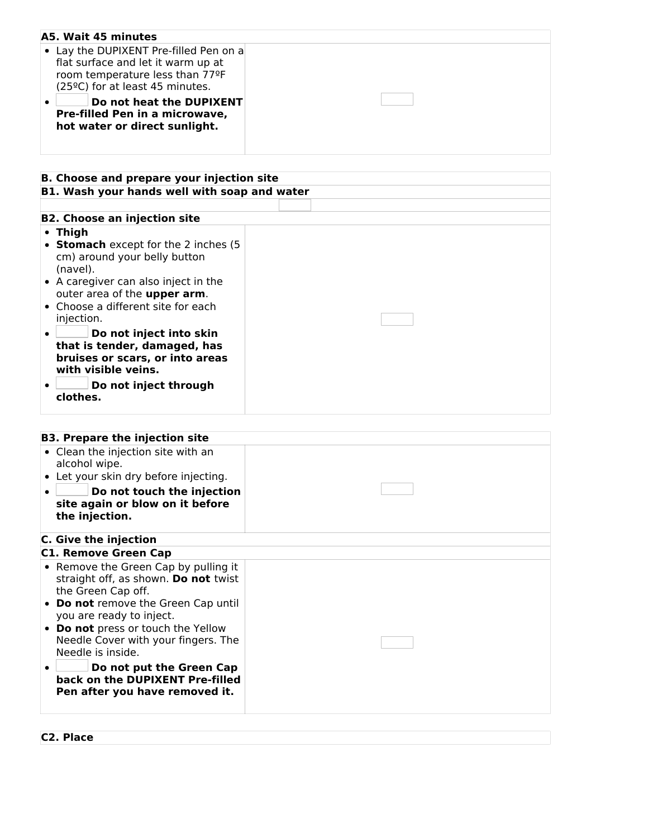| A5. Wait 45 minutes                              |  |
|--------------------------------------------------|--|
|                                                  |  |
| • Lay the DUPIXENT Pre-filled Pen on a           |  |
| flat surface and let it warm up at               |  |
| room temperature less than 77ºF                  |  |
| (25°C) for at least 45 minutes.                  |  |
| Do not heat the DUPIXENT<br>$\bullet$            |  |
| Pre-filled Pen in a microwave,                   |  |
|                                                  |  |
| hot water or direct sunlight.                    |  |
|                                                  |  |
|                                                  |  |
|                                                  |  |
| <b>B. Choose and prepare your injection site</b> |  |
| B1. Wash your hands well with soap and water     |  |
|                                                  |  |
|                                                  |  |
| <b>B2. Choose an injection site</b>              |  |
| • Thigh                                          |  |
| • Stomach except for the 2 inches (5             |  |
| cm) around your belly button                     |  |
| (navel).                                         |  |
| • A caregiver can also inject in the             |  |
| outer area of the upper arm.                     |  |
|                                                  |  |
| • Choose a different site for each               |  |
| injection.                                       |  |
| Do not inject into skin<br>$\bullet$             |  |
| that is tender, damaged, has                     |  |
| bruises or scars, or into areas                  |  |
| with visible veins.                              |  |
|                                                  |  |
| Do not inject through<br>clothes.                |  |
|                                                  |  |
|                                                  |  |
|                                                  |  |
| <b>B3. Prepare the injection site</b>            |  |
| • Clean the injection site with an               |  |
| alcohol wipe.                                    |  |
| • Let your skin dry before injecting.            |  |
|                                                  |  |
| Do not touch the injection                       |  |
| site again or blow on it before                  |  |
| the injection.                                   |  |
|                                                  |  |
| C. Give the injection                            |  |
| <b>C1. Remove Green Cap</b>                      |  |
| • Remove the Green Cap by pulling it             |  |
| straight off, as shown. Do not twist             |  |
| the Green Cap off.                               |  |
|                                                  |  |
| • Do not remove the Green Cap until              |  |
| you are ready to inject.                         |  |
| • Do not press or touch the Yellow               |  |
| Needle Cover with your fingers. The              |  |
| Needle is inside.                                |  |
| Do not put the Green Cap<br>٠                    |  |
| back on the DUPIXENT Pre-filled                  |  |
| Pen after you have removed it.                   |  |
|                                                  |  |
|                                                  |  |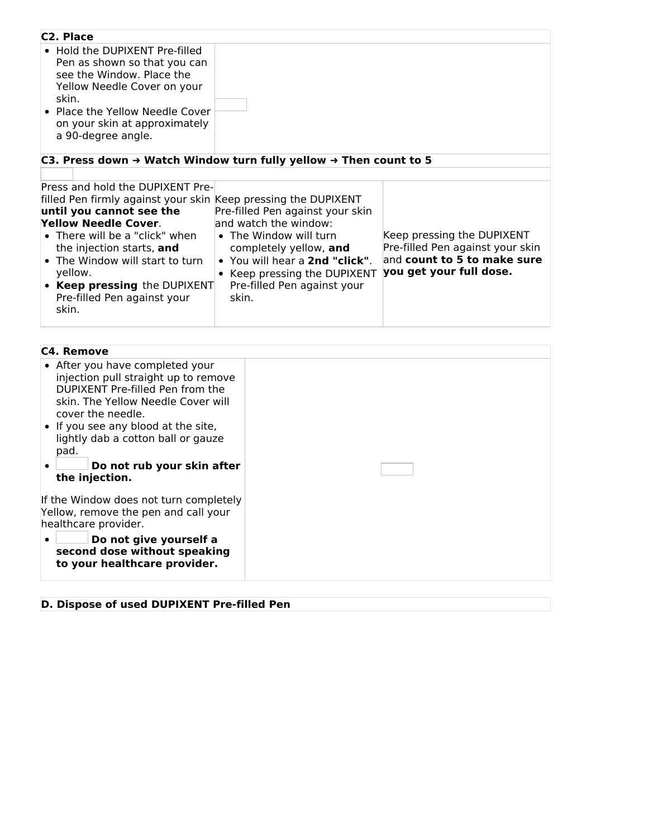| C <sub>2</sub> . Place                                                                                                                                                                                                        |                                                                                                                                                                                                |                                                                                                                          |
|-------------------------------------------------------------------------------------------------------------------------------------------------------------------------------------------------------------------------------|------------------------------------------------------------------------------------------------------------------------------------------------------------------------------------------------|--------------------------------------------------------------------------------------------------------------------------|
| • Hold the DUPIXENT Pre-filled<br>Pen as shown so that you can<br>see the Window. Place the<br>Yellow Needle Cover on your<br>skin.<br>• Place the Yellow Needle Cover<br>on your skin at approximately<br>a 90-degree angle. |                                                                                                                                                                                                |                                                                                                                          |
| C3. Press down → Watch Window turn fully yellow → Then count to 5                                                                                                                                                             |                                                                                                                                                                                                |                                                                                                                          |
|                                                                                                                                                                                                                               |                                                                                                                                                                                                |                                                                                                                          |
| Press and hold the DUPIXENT Pre-                                                                                                                                                                                              |                                                                                                                                                                                                |                                                                                                                          |
| filled Pen firmly against your skin Keep pressing the DUPIXENT                                                                                                                                                                |                                                                                                                                                                                                |                                                                                                                          |
| until you cannot see the                                                                                                                                                                                                      | Pre-filled Pen against your skin                                                                                                                                                               |                                                                                                                          |
| Yellow Needle Cover.<br>• There will be a "click" when<br>the injection starts, and<br>• The Window will start to turn<br>yellow.<br>• Keep pressing the DUPIXENT<br>Pre-filled Pen against your<br>skin.                     | and watch the window:<br>• The Window will turn<br>completely yellow, and<br>• You will hear a 2nd "click".<br>Keep pressing the DUPIXENT<br>$\bullet$<br>Pre-filled Pen against your<br>skin. | Keep pressing the DUPIXENT<br>Pre-filled Pen against your skin<br>and count to 5 to make sure<br>you get your full dose. |

| <b>C4. Remove</b>                                                                                                                                                      |  |
|------------------------------------------------------------------------------------------------------------------------------------------------------------------------|--|
| • After you have completed your<br>injection pull straight up to remove<br>DUPIXENT Pre-filled Pen from the<br>skin. The Yellow Needle Cover will<br>cover the needle. |  |
| • If you see any blood at the site,<br>lightly dab a cotton ball or gauze<br>pad.                                                                                      |  |
| Do not rub your skin after<br>the injection.                                                                                                                           |  |
| If the Window does not turn completely<br>Yellow, remove the pen and call your<br>healthcare provider.                                                                 |  |
| Do not give yourself a<br>second dose without speaking<br>to your healthcare provider.                                                                                 |  |

# **D. Dispose of used DUPIXENT Pre-filled Pen**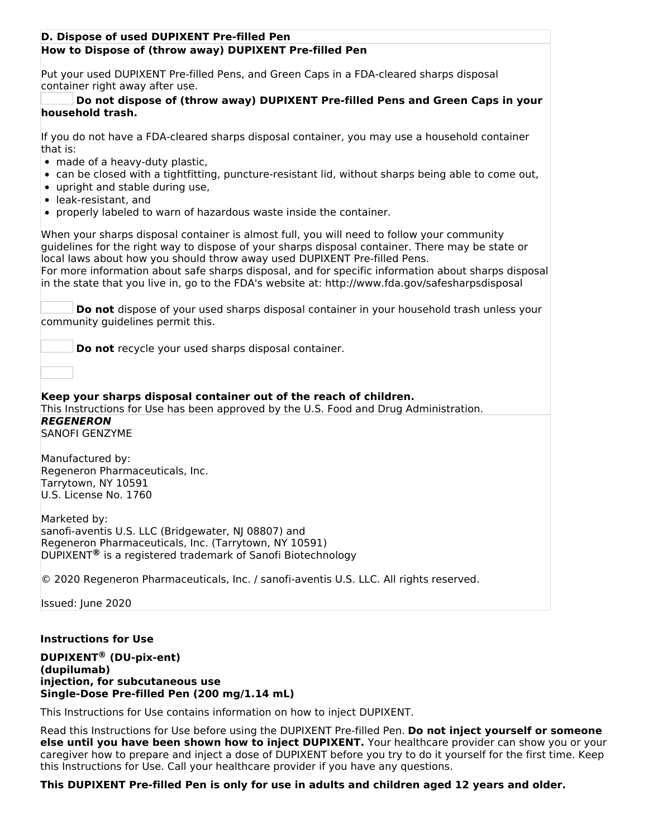### **How to Dispose of (throw away) DUPIXENT Pre-filled Pen D. Dispose of used DUPIXENT Pre-filled Pen**

Put your used DUPIXENT Pre-filled Pens, and Green Caps in a FDA-cleared sharps disposal container right away after use.

### **Do not dispose of (throw away) DUPIXENT Pre-filled Pens and Green Caps in your household trash.**

If you do not have a FDA-cleared sharps disposal container, you may use a household container that is:

- made of a heavy-duty plastic,
- can be closed with a tightfitting, puncture-resistant lid, without sharps being able to come out,
- upright and stable during use,
- leak-resistant, and
- properly labeled to warn of hazardous waste inside the container.

When your sharps disposal container is almost full, you will need to follow your community guidelines for the right way to dispose of your sharps disposal container. There may be state or local laws about how you should throw away used DUPIXENT Pre-filled Pens. For more information about safe sharps disposal, and for specific information about sharps disposal in the state that you live in, go to the FDA's website at: http://www.fda.gov/safesharpsdisposal

**Do not** dispose of your used sharps disposal container in your household trash unless your community guidelines permit this.

**Do not** recycle your used sharps disposal container.

**Keep your sharps disposal container out of the reach of children.** This Instructions for Use has been approved by the U.S. Food and Drug Administration. **REGENERON** SANOFI GENZYME

Manufactured by: Regeneron Pharmaceuticals, Inc. Tarrytown, NY 10591 U.S. License No. 1760

Marketed by: sanofi-aventis U.S. LLC (Bridgewater, NJ 08807) and Regeneron Pharmaceuticals, Inc. (Tarrytown, NY 10591) DUPIXENT<sup>®</sup> is a registered trademark of Sanofi Biotechnology

© 2020 Regeneron Pharmaceuticals, Inc. / sanofi-aventis U.S. LLC. All rights reserved.

Issued: June 2020

### **Instructions for Use**

**DUPIXENT (DU-pix-ent) ®(dupilumab) injection, for subcutaneous use Single-Dose Pre-filled Pen (200 mg/1.14 mL)**

This Instructions for Use contains information on how to inject DUPIXENT.

Read this Instructions for Use before using the DUPIXENT Pre-filled Pen. **Do not inject yourself or someone else until you have been shown how to inject DUPIXENT.** Your healthcare provider can show you or your caregiver how to prepare and inject a dose of DUPIXENT before you try to do it yourself for the first time. Keep this Instructions for Use. Call your healthcare provider if you have any questions.

**This DUPIXENT Pre-filled Pen is only for use in adults and children aged 12 years and older.**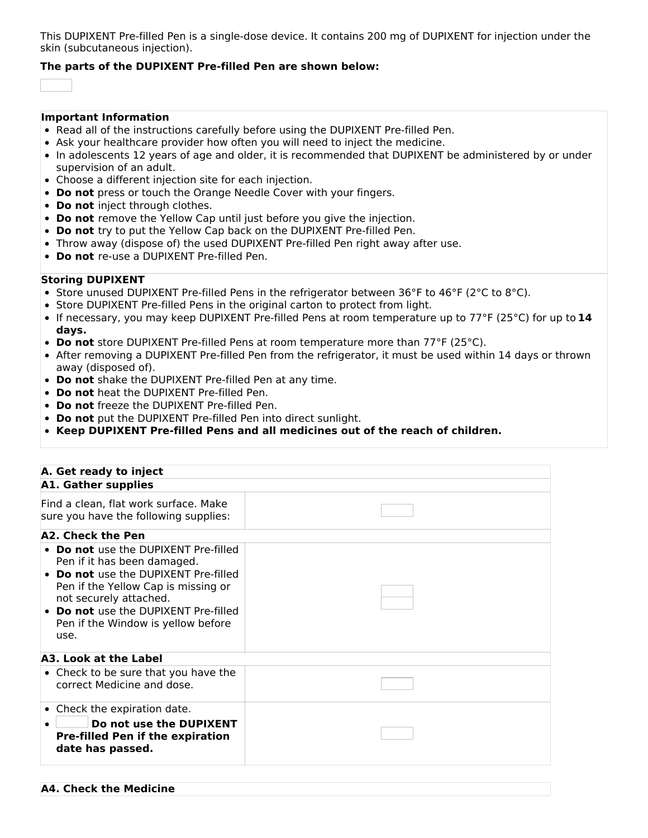This DUPIXENT Pre-filled Pen is a single-dose device. It contains 200 mg of DUPIXENT for injection under the skin (subcutaneous injection).

### **The parts of the DUPIXENT Pre-filled Pen are shown below:**

#### **Important Information**

- Read all of the instructions carefully before using the DUPIXENT Pre-filled Pen.
- Ask your healthcare provider how often you will need to inject the medicine.
- In adolescents 12 years of age and older, it is recommended that DUPIXENT be administered by or under supervision of an adult.
- Choose a different injection site for each injection.
- **Do not** press or touch the Orange Needle Cover with your fingers.
- **Do not** inject through clothes.
- **Do not** remove the Yellow Cap until just before you give the injection.
- **Do not** try to put the Yellow Cap back on the DUPIXENT Pre-filled Pen.
- Throw away (dispose of) the used DUPIXENT Pre-filled Pen right away after use.
- **Do not** re-use a DUPIXENT Pre-filled Pen.

### **Storing DUPIXENT**

- Store unused DUPIXENT Pre-filled Pens in the refrigerator between 36°F to 46°F (2°C to 8°C).
- Store DUPIXENT Pre-filled Pens in the original carton to protect from light.
- If necessary, you may keep DUPIXENT Pre-filled Pens at room temperature up to 77°F (25°C) for up to **14 days.**
- **Do not** store DUPIXENT Pre-filled Pens at room temperature more than 77°F (25°C).
- After removing a DUPIXENT Pre-filled Pen from the refrigerator, it must be used within 14 days or thrown away (disposed of).
- **Do not** shake the DUPIXENT Pre-filled Pen at any time.
- **Do not** heat the DUPIXENT Pre-filled Pen.
- **Do not** freeze the DUPIXENT Pre-filled Pen.
- **Do not** put the DUPIXENT Pre-filled Pen into direct sunlight.
- **Keep DUPIXENT Pre-filled Pens and all medicines out of the reach of children.**

| A. Get ready to inject                                                                                                                                                                                                                                                  |  |  |  |  |  |
|-------------------------------------------------------------------------------------------------------------------------------------------------------------------------------------------------------------------------------------------------------------------------|--|--|--|--|--|
| <b>A1. Gather supplies</b>                                                                                                                                                                                                                                              |  |  |  |  |  |
| Find a clean, flat work surface. Make<br>sure you have the following supplies:                                                                                                                                                                                          |  |  |  |  |  |
| A2. Check the Pen                                                                                                                                                                                                                                                       |  |  |  |  |  |
| <b>Do not</b> use the DUPIXENT Pre-filled<br>Pen if it has been damaged.<br>• Do not use the DUPIXENT Pre-filled<br>Pen if the Yellow Cap is missing or<br>not securely attached.<br>• Do not use the DUPIXENT Pre-filled<br>Pen if the Window is yellow before<br>use. |  |  |  |  |  |
| A3. Look at the Label                                                                                                                                                                                                                                                   |  |  |  |  |  |
| • Check to be sure that you have the<br>correct Medicine and dose.                                                                                                                                                                                                      |  |  |  |  |  |
| • Check the expiration date.<br>Do not use the DUPIXENT<br><b>Pre-filled Pen if the expiration</b><br>date has passed.                                                                                                                                                  |  |  |  |  |  |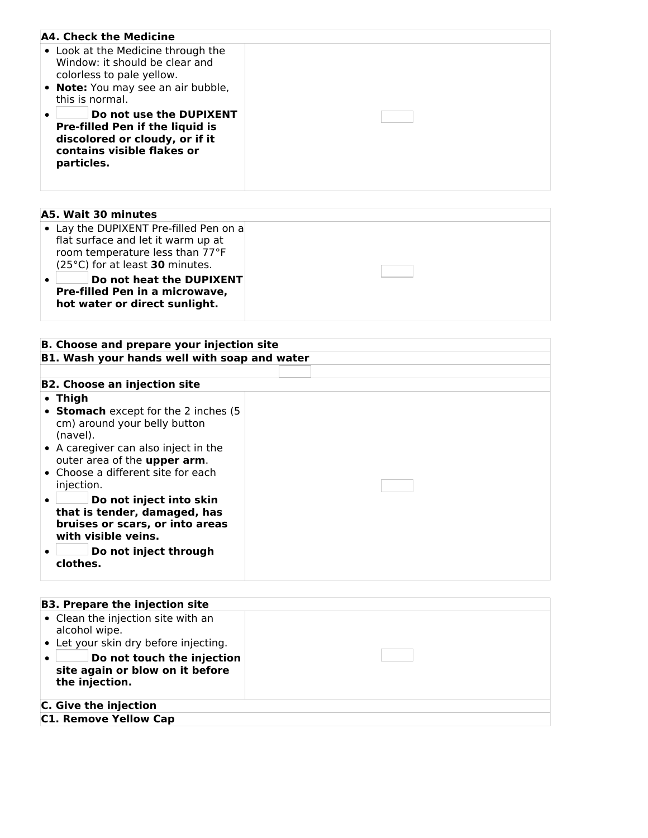| A4. Check the Medicine                                                                                                                          |  |
|-------------------------------------------------------------------------------------------------------------------------------------------------|--|
| • Look at the Medicine through the<br>Window: it should be clear and<br>colorless to pale yellow.                                               |  |
| • Note: You may see an air bubble,<br>this is normal.                                                                                           |  |
| Do not use the DUPIXENT<br><b>Pre-filled Pen if the liquid is</b><br>discolored or cloudy, or if it<br>contains visible flakes or<br>particles. |  |

| A5. Wait 30 minutes                                                                                                                                                                                                                               |  |
|---------------------------------------------------------------------------------------------------------------------------------------------------------------------------------------------------------------------------------------------------|--|
| • Lay the DUPIXENT Pre-filled Pen on a<br>flat surface and let it warm up at<br>room temperature less than 77°F<br>(25°C) for at least 30 minutes.<br>Do not heat the DUPIXENT<br>Pre-filled Pen in a microwave,<br>hot water or direct sunlight. |  |

#### **B. Choose and prepare your injection site B1. Wash your hands well with soap and water**

| <b>B2. Choose an injection site</b>                                                                                            |  |  |  |
|--------------------------------------------------------------------------------------------------------------------------------|--|--|--|
| $\bullet$ Thigh                                                                                                                |  |  |  |
| • Stomach except for the 2 inches (5<br>cm) around your belly button<br>(navel).                                               |  |  |  |
| • A caregiver can also inject in the<br>outer area of the upper arm.                                                           |  |  |  |
| • Choose a different site for each<br>injection.                                                                               |  |  |  |
| Do not inject into skin<br>$\bullet$<br>that is tender, damaged, has<br>bruises or scars, or into areas<br>with visible veins. |  |  |  |
| Do not inject through<br>clothes.                                                                                              |  |  |  |

| <b>B3. Prepare the injection site</b>                                                                                                                                           |  |
|---------------------------------------------------------------------------------------------------------------------------------------------------------------------------------|--|
| • Clean the injection site with an<br>alcohol wipe.<br>• Let your skin dry before injecting.<br>Do not touch the injection<br>site again or blow on it before<br>the injection. |  |
| C. Give the injection                                                                                                                                                           |  |
| <b>C1. Remove Yellow Cap</b>                                                                                                                                                    |  |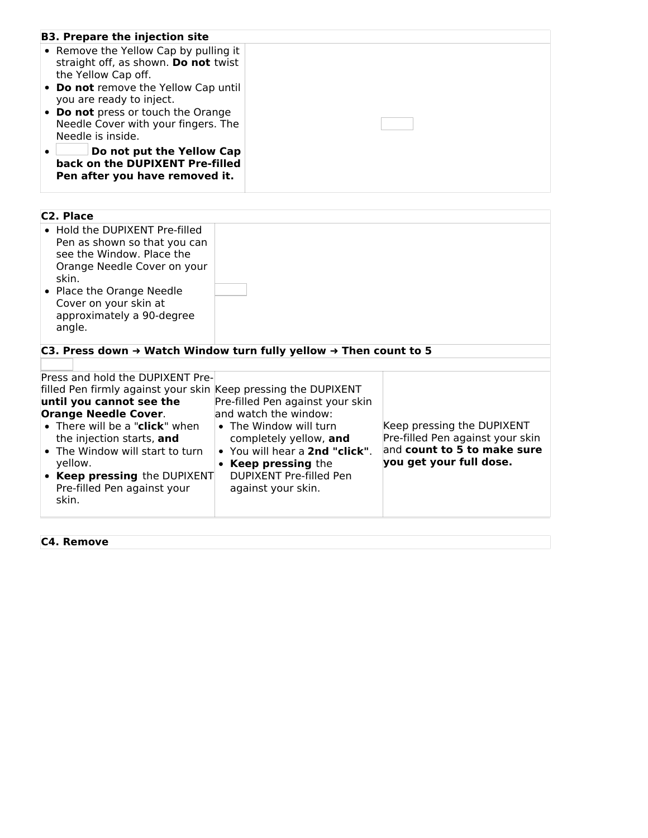| <b>B3. Prepare the injection site</b>                                                                  |  |
|--------------------------------------------------------------------------------------------------------|--|
| • Remove the Yellow Cap by pulling it<br>straight off, as shown. Do not twist<br>the Yellow Cap off.   |  |
| • Do not remove the Yellow Cap until<br>you are ready to inject.<br>• Do not press or touch the Orange |  |
| Needle Cover with your fingers. The<br>Needle is inside.                                               |  |
| Do not put the Yellow Cap<br>back on the DUPIXENT Pre-filled<br>Pen after you have removed it.         |  |

| C <sub>2</sub> . Place                                                                                                                                                                                                                                                                                                                             |                                                                                                                                                                                                                                     |                                                                                                                          |
|----------------------------------------------------------------------------------------------------------------------------------------------------------------------------------------------------------------------------------------------------------------------------------------------------------------------------------------------------|-------------------------------------------------------------------------------------------------------------------------------------------------------------------------------------------------------------------------------------|--------------------------------------------------------------------------------------------------------------------------|
| • Hold the DUPIXENT Pre-filled<br>Pen as shown so that you can<br>see the Window. Place the<br>Orange Needle Cover on your<br>skin.<br>• Place the Orange Needle<br>Cover on your skin at<br>approximately a 90-degree<br>angle.                                                                                                                   |                                                                                                                                                                                                                                     |                                                                                                                          |
| C3. Press down → Watch Window turn fully yellow → Then count to 5                                                                                                                                                                                                                                                                                  |                                                                                                                                                                                                                                     |                                                                                                                          |
|                                                                                                                                                                                                                                                                                                                                                    |                                                                                                                                                                                                                                     |                                                                                                                          |
| Press and hold the DUPIXENT Pre-<br>filled Pen firmly against your skin Keep pressing the DUPIXENT<br>until you cannot see the<br><b>Orange Needle Cover.</b><br>• There will be a "click" when<br>the injection starts, and<br>• The Window will start to turn<br>yellow.<br>• Keep pressing the DUPIXENT<br>Pre-filled Pen against your<br>skin. | Pre-filled Pen against your skin<br>and watch the window:<br>• The Window will turn<br>completely yellow, and<br>• You will hear a 2nd "click".<br><b>Keep pressing the</b><br><b>DUPIXENT Pre-filled Pen</b><br>against your skin. | Keep pressing the DUPIXENT<br>Pre-filled Pen against your skin<br>and count to 5 to make sure<br>you get your full dose. |

**C4. Remove**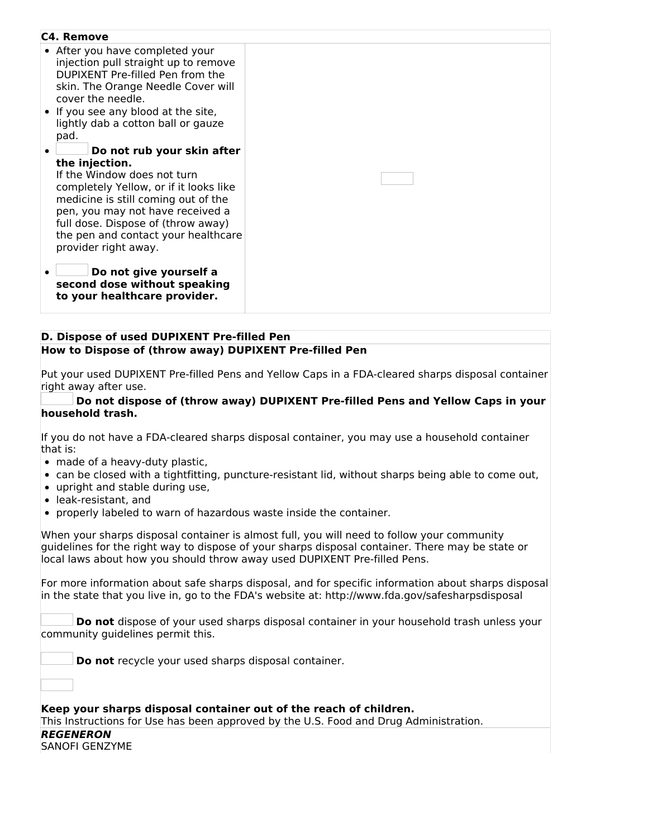| C4. Remove                                                                                                                                                                                                                                                                                            |  |
|-------------------------------------------------------------------------------------------------------------------------------------------------------------------------------------------------------------------------------------------------------------------------------------------------------|--|
| • After you have completed your<br>injection pull straight up to remove<br>DUPIXENT Pre-filled Pen from the<br>skin. The Orange Needle Cover will<br>cover the needle.<br>• If you see any blood at the site,<br>lightly dab a cotton ball or gauze<br>pad.                                           |  |
| Do not rub your skin after<br>the injection.<br>If the Window does not turn<br>completely Yellow, or if it looks like<br>medicine is still coming out of the<br>pen, you may not have received a<br>full dose. Dispose of (throw away)<br>the pen and contact your healthcare<br>provider right away. |  |
| Do not give yourself a<br>second dose without speaking<br>to your healthcare provider.                                                                                                                                                                                                                |  |

#### **D. Dispose of used DUPIXENT Pre-filled Pen How to Dispose of (throw away) DUPIXENT Pre-filled Pen**

Put your used DUPIXENT Pre-filled Pens and Yellow Caps in a FDA-cleared sharps disposal container right away after use.

#### **Do not dispose of (throw away) DUPIXENT Pre-filled Pens and Yellow Caps in your household trash.**

If you do not have a FDA-cleared sharps disposal container, you may use a household container that is:

- made of a heavy-duty plastic,
- can be closed with a tightfitting, puncture-resistant lid, without sharps being able to come out,
- upright and stable during use,
- leak-resistant, and
- properly labeled to warn of hazardous waste inside the container.

When your sharps disposal container is almost full, you will need to follow your community guidelines for the right way to dispose of your sharps disposal container. There may be state or local laws about how you should throw away used DUPIXENT Pre-filled Pens.

For more information about safe sharps disposal, and for specific information about sharps disposal in the state that you live in, go to the FDA's website at: http://www.fda.gov/safesharpsdisposal

**Do not** dispose of your used sharps disposal container in your household trash unless your community guidelines permit this.

**Do not** recycle your used sharps disposal container.

**Keep your sharps disposal container out of the reach of children.** This Instructions for Use has been approved by the U.S. Food and Drug Administration. **REGENERON** SANOFI GENZYME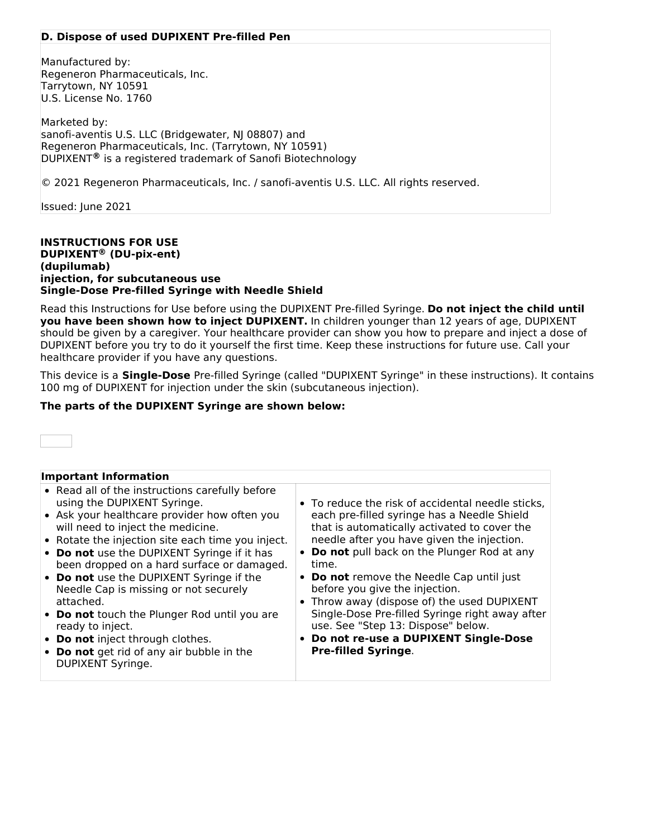### **D. Dispose of used DUPIXENT Pre-filled Pen**

Manufactured by: Regeneron Pharmaceuticals, Inc. Tarrytown, NY 10591 U.S. License No. 1760

Marketed by: sanofi-aventis U.S. LLC (Bridgewater, NJ 08807) and Regeneron Pharmaceuticals, Inc. (Tarrytown, NY 10591) DUPIXENT<sup>®</sup> is a registered trademark of Sanofi Biotechnology

© 2021 Regeneron Pharmaceuticals, Inc. / sanofi-aventis U.S. LLC. All rights reserved.

Issued: June 2021

**INSTRUCTIONS FOR USE DUPIXENT (DU-pix-ent) ®(dupilumab) injection, for subcutaneous use Single-Dose Pre-filled Syringe with Needle Shield**

Read this Instructions for Use before using the DUPIXENT Pre-filled Syringe. **Do not inject the child until you have been shown how to inject DUPIXENT.** In children younger than 12 years of age, DUPIXENT should be given by a caregiver. Your healthcare provider can show you how to prepare and inject a dose of DUPIXENT before you try to do it yourself the first time. Keep these instructions for future use. Call your healthcare provider if you have any questions.

This device is a **Single-Dose** Pre-filled Syringe (called "DUPIXENT Syringe" in these instructions). It contains 100 mg of DUPIXENT for injection under the skin (subcutaneous injection).

### **The parts of the DUPIXENT Syringe are shown below:**



| <b>Important Information</b>                                                                                                                                                                                                                                                                                                                                                                                                                                                                                                                                                                      |                                                                                                                                                                                                                                                                                                                                                                                                                                                                                                                                                               |
|---------------------------------------------------------------------------------------------------------------------------------------------------------------------------------------------------------------------------------------------------------------------------------------------------------------------------------------------------------------------------------------------------------------------------------------------------------------------------------------------------------------------------------------------------------------------------------------------------|---------------------------------------------------------------------------------------------------------------------------------------------------------------------------------------------------------------------------------------------------------------------------------------------------------------------------------------------------------------------------------------------------------------------------------------------------------------------------------------------------------------------------------------------------------------|
| • Read all of the instructions carefully before<br>using the DUPIXENT Syringe.<br>• Ask your healthcare provider how often you<br>will need to inject the medicine.<br>• Rotate the injection site each time you inject.<br>• Do not use the DUPIXENT Syringe if it has<br>been dropped on a hard surface or damaged.<br>• Do not use the DUPIXENT Syringe if the<br>Needle Cap is missing or not securely<br>attached.<br>• Do not touch the Plunger Rod until you are<br>ready to inject.<br>• Do not inject through clothes.<br>• Do not get rid of any air bubble in the<br>DUPIXENT Syringe. | • To reduce the risk of accidental needle sticks,<br>each pre-filled syringe has a Needle Shield<br>that is automatically activated to cover the<br>needle after you have given the injection.<br>Do not pull back on the Plunger Rod at any<br>time.<br>Do not remove the Needle Cap until just<br>$\bullet$<br>before you give the injection.<br>• Throw away (dispose of) the used DUPIXENT<br>Single-Dose Pre-filled Syringe right away after<br>use. See "Step 13: Dispose" below.<br>Do not re-use a DUPIXENT Single-Dose<br><b>Pre-filled Syringe.</b> |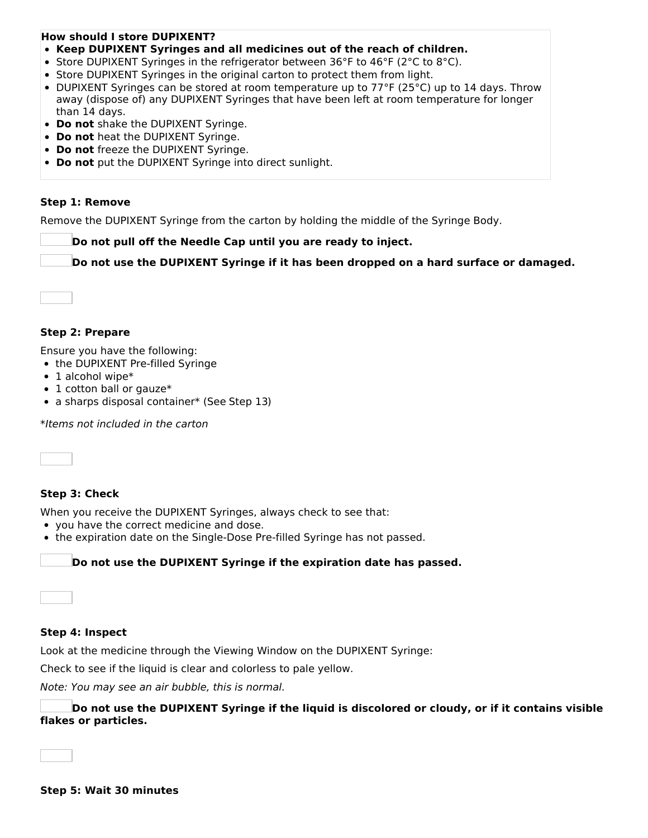# **How should I store DUPIXENT?**

- **Keep DUPIXENT Syringes and all medicines out of the reach of children.**
- Store DUPIXENT Syringes in the refrigerator between 36°F to 46°F (2°C to 8°C).
- Store DUPIXENT Syringes in the original carton to protect them from light.
- DUPIXENT Syringes can be stored at room temperature up to 77°F (25°C) up to 14 days. Throw away (dispose of) any DUPIXENT Syringes that have been left at room temperature for longer than 14 days.
- **Do not** shake the DUPIXENT Syringe.
- **Do not** heat the DUPIXENT Syringe.
- **Do not** freeze the DUPIXENT Syringe.
- **Do not** put the DUPIXENT Syringe into direct sunlight.

### **Step 1: Remove**

Remove the DUPIXENT Syringe from the carton by holding the middle of the Syringe Body.

**Do not pull off the Needle Cap until you are ready to inject.**

**Do not use the DUPIXENT Syringe if it has been dropped on a hard surface or damaged.**



### **Step 2: Prepare**

Ensure you have the following:

- the DUPIXENT Pre-filled Syringe
- $\bullet$  1 alcohol wipe\*
- 1 cotton ball or gauze\*
- a sharps disposal container\* (See Step 13)

\*Items not included in the carton



## **Step 3: Check**

When you receive the DUPIXENT Syringes, always check to see that:

- you have the correct medicine and dose.
- the expiration date on the Single-Dose Pre-filled Syringe has not passed.

### **Do not use the DUPIXENT Syringe if the expiration date has passed.**

### **Step 4: Inspect**

Look at the medicine through the Viewing Window on the DUPIXENT Syringe:

Check to see if the liquid is clear and colorless to pale yellow.

Note: You may see an air bubble, this is normal.

**Do not use the DUPIXENT Syringe if the liquid is discolored or cloudy, or if it contains visible flakes or particles.**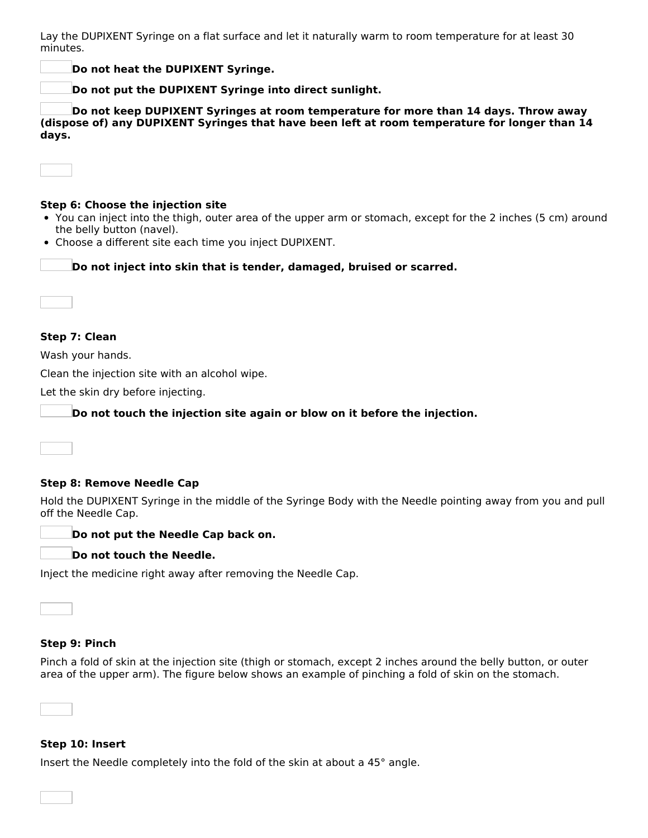Lay the DUPIXENT Syringe on a flat surface and let it naturally warm to room temperature for at least 30 minutes.

**Do not heat the DUPIXENT Syringe.**

**Do not put the DUPIXENT Syringe into direct sunlight.**

**Do not keep DUPIXENT Syringes at room temperature for more than 14 days. Throw away (dispose of) any DUPIXENT Syringes that have been left at room temperature for longer than 14 days.**

### **Step 6: Choose the injection site**

- You can inject into the thigh, outer area of the upper arm or stomach, except for the 2 inches (5 cm) around the belly button (navel).
- Choose a different site each time you inject DUPIXENT.

**Do not inject into skin that is tender, damaged, bruised or scarred.**

### **Step 7: Clean**

Wash your hands.

Clean the injection site with an alcohol wipe.

Let the skin dry before injecting.

**Do not touch the injection site again or blow on it before the injection.**

**Step 8: Remove Needle Cap**

Hold the DUPIXENT Syringe in the middle of the Syringe Body with the Needle pointing away from you and pull off the Needle Cap.



### **Do not touch the Needle.**

Inject the medicine right away after removing the Needle Cap.

### **Step 9: Pinch**

Pinch a fold of skin at the injection site (thigh or stomach, except 2 inches around the belly button, or outer area of the upper arm). The figure below shows an example of pinching a fold of skin on the stomach.

### **Step 10: Insert**

Insert the Needle completely into the fold of the skin at about a 45° angle.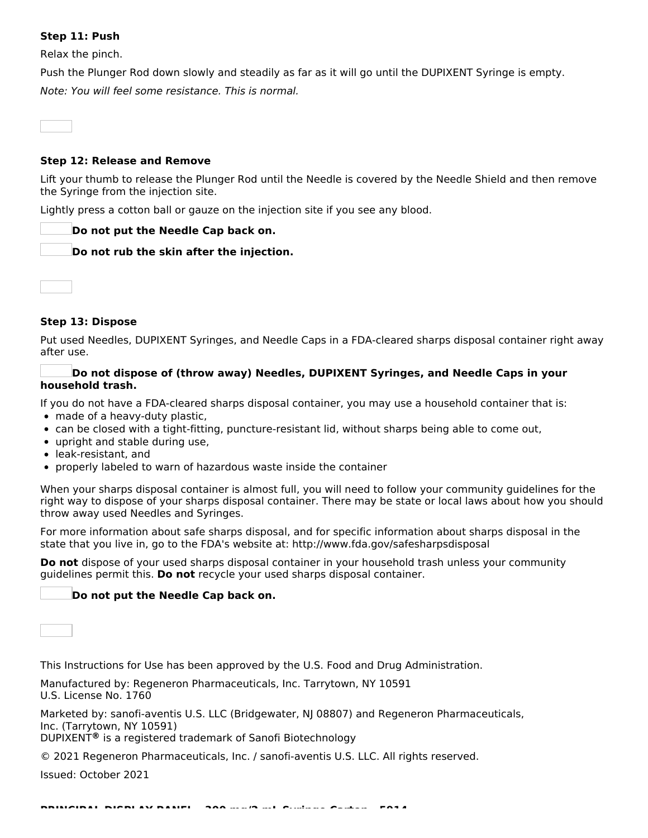### **Step 11: Push**

Relax the pinch.

Push the Plunger Rod down slowly and steadily as far as it will go until the DUPIXENT Syringe is empty. Note: You will feel some resistance. This is normal.

**Step 12: Release and Remove**

Lift your thumb to release the Plunger Rod until the Needle is covered by the Needle Shield and then remove the Syringe from the injection site.

Lightly press a cotton ball or gauze on the injection site if you see any blood.

### **Do not put the Needle Cap back on.**

**Do not rub the skin after the injection.**



### **Step 13: Dispose**

Put used Needles, DUPIXENT Syringes, and Needle Caps in a FDA-cleared sharps disposal container right away after use.

### **Do not dispose of (throw away) Needles, DUPIXENT Syringes, and Needle Caps in your household trash.**

If you do not have a FDA-cleared sharps disposal container, you may use a household container that is:

- made of a heavy-duty plastic,
- can be closed with a tight-fitting, puncture-resistant lid, without sharps being able to come out,
- upright and stable during use.
- leak-resistant, and
- properly labeled to warn of hazardous waste inside the container

When your sharps disposal container is almost full, you will need to follow your community guidelines for the right way to dispose of your sharps disposal container. There may be state or local laws about how you should throw away used Needles and Syringes.

For more information about safe sharps disposal, and for specific information about sharps disposal in the state that you live in, go to the FDA's website at: http://www.fda.gov/safesharpsdisposal

**Do not** dispose of your used sharps disposal container in your household trash unless your community guidelines permit this. **Do not** recycle your used sharps disposal container.

### **Do not put the Needle Cap back on.**

This Instructions for Use has been approved by the U.S. Food and Drug Administration.

Manufactured by: Regeneron Pharmaceuticals, Inc. Tarrytown, NY 10591 U.S. License No. 1760

Marketed by: sanofi-aventis U.S. LLC (Bridgewater, NJ 08807) and Regeneron Pharmaceuticals, Inc. (Tarrytown, NY 10591)

DUPIXENT<sup>®</sup> is a registered trademark of Sanofi Biotechnology

© 2021 Regeneron Pharmaceuticals, Inc. / sanofi-aventis U.S. LLC. All rights reserved.

Issued: October 2021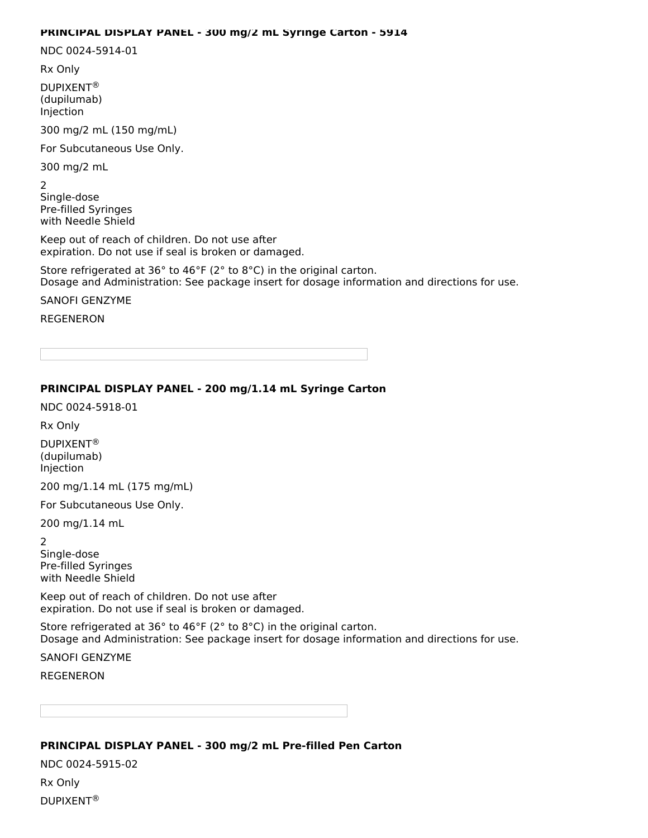#### **PRINCIPAL DISPLAY PANEL - 300 mg/2 mL Syringe Carton - 5914**

NDC 0024-5914-01

Rx Only

DUPIXENT ® (dupilumab) Injection

300 mg/2 mL (150 mg/mL)

For Subcutaneous Use Only.

300 mg/2 mL

2

Single-dose Pre-filled Syringes with Needle Shield

Keep out of reach of children. Do not use after expiration. Do not use if seal is broken or damaged.

Store refrigerated at 36° to 46°F (2° to 8°C) in the original carton. Dosage and Administration: See package insert for dosage information and directions for use.

SANOFI GENZYME

REGENERON

### **PRINCIPAL DISPLAY PANEL - 200 mg/1.14 mL Syringe Carton**

NDC 0024-5918-01

Rx Only

DUPIXENT ® (dupilumab) Injection

200 mg/1.14 mL (175 mg/mL)

For Subcutaneous Use Only.

200 mg/1.14 mL

2 Single-dose

Pre-filled Syringes with Needle Shield

Keep out of reach of children. Do not use after expiration. Do not use if seal is broken or damaged.

Store refrigerated at 36° to 46°F (2° to 8°C) in the original carton. Dosage and Administration: See package insert for dosage information and directions for use.

SANOFI GENZYME

REGENERON

### **PRINCIPAL DISPLAY PANEL - 300 mg/2 mL Pre-filled Pen Carton**

NDC 0024-5915-02 Rx Only DUPIXENT ®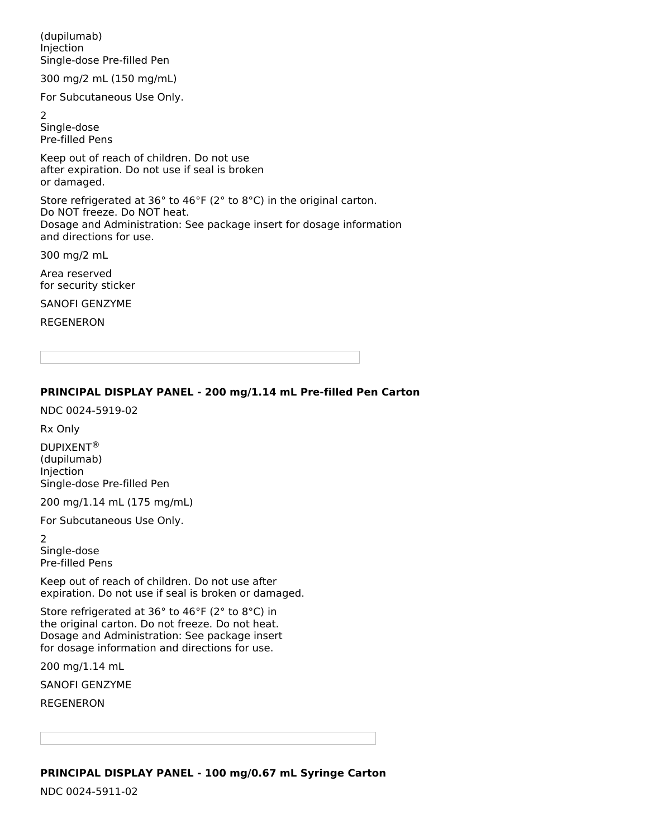(dupilumab) Injection Single-dose Pre-filled Pen

300 mg/2 mL (150 mg/mL)

For Subcutaneous Use Only.

2 Single-dose Pre-filled Pens

Keep out of reach of children. Do not use after expiration. Do not use if seal is broken or damaged.

Store refrigerated at 36° to 46°F (2° to 8°C) in the original carton. Do NOT freeze. Do NOT heat. Dosage and Administration: See package insert for dosage information and directions for use.

300 mg/2 mL

Area reserved for security sticker

SANOFI GENZYME

REGENERON

### **PRINCIPAL DISPLAY PANEL - 200 mg/1.14 mL Pre-filled Pen Carton**

NDC 0024-5919-02

Rx Only

DUPIXENT ®(dupilumab) Injection Single-dose Pre-filled Pen

200 mg/1.14 mL (175 mg/mL)

For Subcutaneous Use Only.

2 Single-dose Pre-filled Pens

Keep out of reach of children. Do not use after expiration. Do not use if seal is broken or damaged.

Store refrigerated at 36° to 46°F (2° to 8°C) in the original carton. Do not freeze. Do not heat. Dosage and Administration: See package insert for dosage information and directions for use.

200 mg/1.14 mL

SANOFI GENZYME

REGENERON

**PRINCIPAL DISPLAY PANEL - 100 mg/0.67 mL Syringe Carton**

NDC 0024-5911-02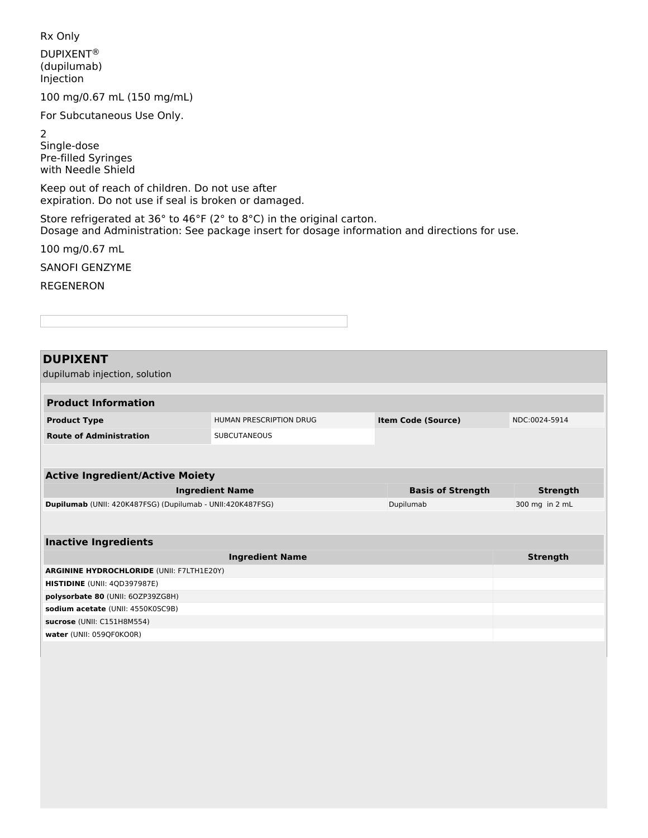Rx Only

DUPIXENT ®(dupilumab) Injection

100 mg/0.67 mL (150 mg/mL)

For Subcutaneous Use Only.

2

Single-dose Pre-filled Syringes with Needle Shield

Keep out of reach of children. Do not use after expiration. Do not use if seal is broken or damaged.

Store refrigerated at 36° to 46°F (2° to 8°C) in the original carton. Dosage and Administration: See package insert for dosage information and directions for use.

100 mg/0.67 mL

SANOFI GENZYME

REGENERON

**DUPIXENT** dupilumab injection, solution **Product Information Product Type ITEM** HUMAN PRESCRIPTION DRUG **Item Code (Source)** NDC:0024-5914 **Route of Administration** SUBCUTANEOUS **Active Ingredient/Active Moiety Ingredient Name Basis of Strength Strength Dupilumab** (UNII: 420K487FSG) (Dupilumab - UNII:420K487FSG) **Dupilumab** 300 mg in 2 mL **Inactive Ingredients Ingredient Name Strength ARGININE HYDROCHLORIDE** (UNII: F7LTH1E20Y) **HISTIDINE** (UNII: 4QD397987E) **polysorbate 80** (UNII: 6OZP39ZG8H) **sodium acetate** (UNII: 4550K0SC9B) **sucrose** (UNII: C151H8M554) **water** (UNII: 059QF0KO0R)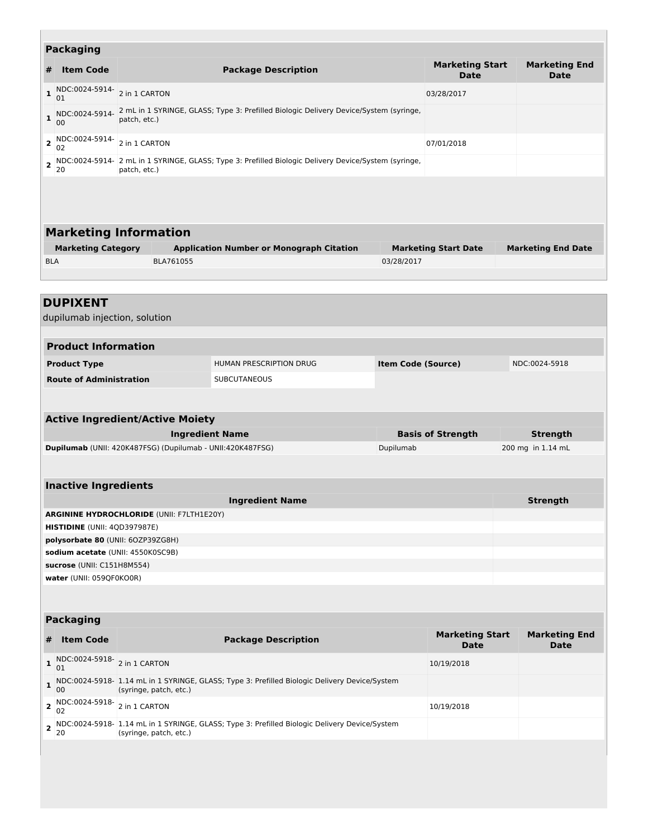|                                        | <b>Packaging</b>                                                               |                                                                                                       |                                                                                                      |                           |                                       |                                     |  |
|----------------------------------------|--------------------------------------------------------------------------------|-------------------------------------------------------------------------------------------------------|------------------------------------------------------------------------------------------------------|---------------------------|---------------------------------------|-------------------------------------|--|
|                                        |                                                                                |                                                                                                       |                                                                                                      |                           | <b>Marketing Start</b>                | <b>Marketing End</b>                |  |
| #                                      | <b>Item Code</b>                                                               | <b>Package Description</b>                                                                            |                                                                                                      |                           | <b>Date</b>                           | <b>Date</b>                         |  |
| $\mathbf{1}$                           | NDC:0024-5914-<br>01                                                           | 2 in 1 CARTON                                                                                         |                                                                                                      |                           | 03/28/2017                            |                                     |  |
| $\mathbf{1}$                           | NDC:0024-5914-<br>00                                                           | 2 mL in 1 SYRINGE, GLASS; Type 3: Prefilled Biologic Delivery Device/System (syringe,<br>patch, etc.) |                                                                                                      |                           |                                       |                                     |  |
| $\mathbf{z}$                           | NDC:0024-5914-<br>02                                                           | 2 in 1 CARTON                                                                                         |                                                                                                      |                           | 07/01/2018                            |                                     |  |
| $\overline{\mathbf{2}}$                | 20                                                                             | patch, etc.)                                                                                          | NDC:0024-5914- 2 mL in 1 SYRINGE, GLASS; Type 3: Prefilled Biologic Delivery Device/System (syringe, |                           |                                       |                                     |  |
|                                        |                                                                                |                                                                                                       |                                                                                                      |                           |                                       |                                     |  |
|                                        |                                                                                | <b>Marketing Information</b>                                                                          |                                                                                                      |                           |                                       |                                     |  |
|                                        | <b>Marketing Category</b>                                                      |                                                                                                       | <b>Application Number or Monograph Citation</b>                                                      |                           | <b>Marketing Start Date</b>           | <b>Marketing End Date</b>           |  |
| <b>BLA</b>                             |                                                                                | BLA761055                                                                                             |                                                                                                      | 03/28/2017                |                                       |                                     |  |
|                                        |                                                                                |                                                                                                       |                                                                                                      |                           |                                       |                                     |  |
|                                        | <b>DUPIXENT</b><br>dupilumab injection, solution<br><b>Product Information</b> |                                                                                                       |                                                                                                      |                           |                                       |                                     |  |
|                                        |                                                                                |                                                                                                       |                                                                                                      |                           |                                       |                                     |  |
|                                        | <b>Product Type</b>                                                            |                                                                                                       | HUMAN PRESCRIPTION DRUG                                                                              | <b>Item Code (Source)</b> |                                       | NDC:0024-5918                       |  |
|                                        | <b>Route of Administration</b>                                                 |                                                                                                       | <b>SUBCUTANEOUS</b>                                                                                  |                           |                                       |                                     |  |
|                                        |                                                                                |                                                                                                       |                                                                                                      |                           |                                       |                                     |  |
|                                        |                                                                                |                                                                                                       |                                                                                                      |                           |                                       |                                     |  |
| <b>Active Ingredient/Active Moiety</b> |                                                                                |                                                                                                       |                                                                                                      |                           |                                       |                                     |  |
|                                        |                                                                                |                                                                                                       |                                                                                                      |                           |                                       |                                     |  |
|                                        |                                                                                | Dupilumab (UNII: 420K487FSG) (Dupilumab - UNII:420K487FSG)                                            | <b>Ingredient Name</b>                                                                               | Dupilumab                 | <b>Basis of Strength</b>              | Strength<br>200 mg in 1.14 mL       |  |
|                                        |                                                                                |                                                                                                       |                                                                                                      |                           |                                       |                                     |  |
|                                        |                                                                                |                                                                                                       |                                                                                                      |                           |                                       |                                     |  |
|                                        | <b>Inactive Ingredients</b>                                                    |                                                                                                       |                                                                                                      |                           |                                       |                                     |  |
|                                        |                                                                                |                                                                                                       | <b>Ingredient Name</b>                                                                               |                           |                                       | <b>Strength</b>                     |  |
|                                        |                                                                                | <b>ARGININE HYDROCHLORIDE (UNII: F7LTH1E20Y)</b>                                                      |                                                                                                      |                           |                                       |                                     |  |
|                                        | HISTIDINE (UNII: 4QD397987E)                                                   |                                                                                                       |                                                                                                      |                           |                                       |                                     |  |
|                                        | polysorbate 80 (UNII: 60ZP39ZG8H)                                              |                                                                                                       |                                                                                                      |                           |                                       |                                     |  |
|                                        | sodium acetate (UNII: 4550K0SC9B)                                              |                                                                                                       |                                                                                                      |                           |                                       |                                     |  |
|                                        | sucrose (UNII: C151H8M554)<br>water (UNII: 059QF0KO0R)                         |                                                                                                       |                                                                                                      |                           |                                       |                                     |  |
|                                        |                                                                                |                                                                                                       |                                                                                                      |                           |                                       |                                     |  |
|                                        | <b>Packaging</b>                                                               |                                                                                                       |                                                                                                      |                           |                                       |                                     |  |
| #                                      | <b>Item Code</b>                                                               |                                                                                                       | <b>Package Description</b>                                                                           |                           | <b>Marketing Start</b><br><b>Date</b> | <b>Marketing End</b><br><b>Date</b> |  |
| $\mathbf 1$                            | NDC:0024-5918- 2 in 1 CARTON<br>01                                             |                                                                                                       |                                                                                                      |                           | 10/19/2018                            |                                     |  |
| $\mathbf{1}$                           | 00                                                                             | (syringe, patch, etc.)                                                                                | NDC:0024-5918- 1.14 mL in 1 SYRINGE, GLASS; Type 3: Prefilled Biologic Delivery Device/System        |                           |                                       |                                     |  |
|                                        | <b>2</b> NDC:0024-5918- 2 in 1 CARTON<br>02                                    |                                                                                                       |                                                                                                      |                           | 10/19/2018                            |                                     |  |
| 2                                      | 20                                                                             | (syringe, patch, etc.)                                                                                | NDC:0024-5918- 1.14 mL in 1 SYRINGE, GLASS; Type 3: Prefilled Biologic Delivery Device/System        |                           |                                       |                                     |  |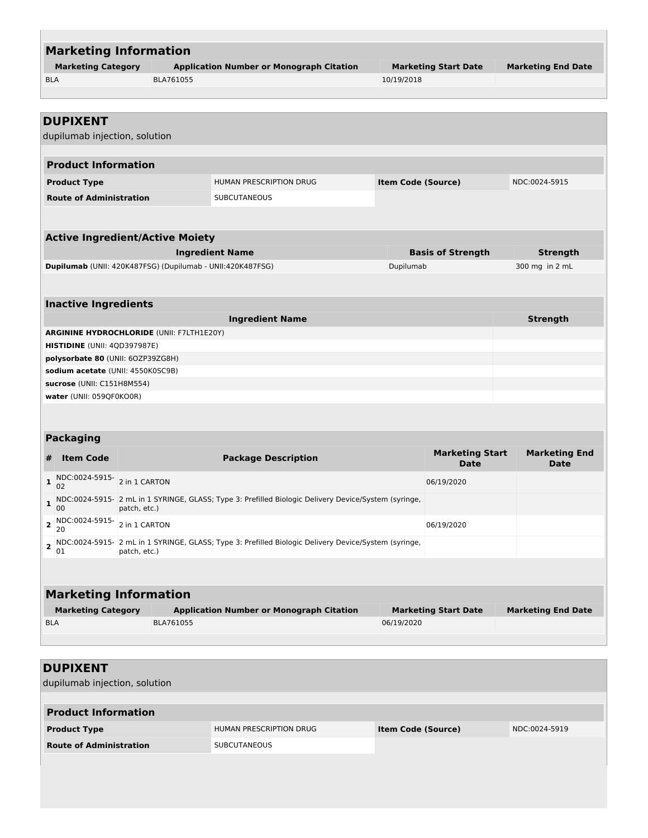| <b>Marketing Information</b>                                                 |              |           |                                                                                                        |                           |                                       |                              |  |
|------------------------------------------------------------------------------|--------------|-----------|--------------------------------------------------------------------------------------------------------|---------------------------|---------------------------------------|------------------------------|--|
| <b>Marketing Category</b><br><b>Application Number or Monograph Citation</b> |              |           |                                                                                                        |                           | <b>Marketing Start Date</b>           | <b>Marketing End Date</b>    |  |
| <b>BLA</b>                                                                   | BLA761055    |           |                                                                                                        | 10/19/2018                |                                       |                              |  |
|                                                                              |              |           |                                                                                                        |                           |                                       |                              |  |
|                                                                              |              |           |                                                                                                        |                           |                                       |                              |  |
| <b>DUPIXENT</b>                                                              |              |           |                                                                                                        |                           |                                       |                              |  |
| dupilumab injection, solution                                                |              |           |                                                                                                        |                           |                                       |                              |  |
| <b>Product Information</b>                                                   |              |           |                                                                                                        |                           |                                       |                              |  |
| <b>Product Type</b>                                                          |              |           | HUMAN PRESCRIPTION DRUG                                                                                | <b>Item Code (Source)</b> |                                       | NDC:0024-5915                |  |
| <b>Route of Administration</b>                                               |              |           | <b>SUBCUTANEOUS</b>                                                                                    |                           |                                       |                              |  |
|                                                                              |              |           |                                                                                                        |                           |                                       |                              |  |
| <b>Active Ingredient/Active Moiety</b>                                       |              |           |                                                                                                        |                           |                                       |                              |  |
|                                                                              |              |           | <b>Ingredient Name</b>                                                                                 |                           | <b>Basis of Strength</b>              | <b>Strength</b>              |  |
| Dupilumab (UNII: 420K487FSG) (Dupilumab - UNII:420K487FSG)                   |              |           |                                                                                                        | Dupilumab                 |                                       | 300 mg in 2 mL               |  |
|                                                                              |              |           |                                                                                                        |                           |                                       |                              |  |
| <b>Inactive Ingredients</b>                                                  |              |           |                                                                                                        |                           |                                       |                              |  |
|                                                                              |              |           | <b>Ingredient Name</b>                                                                                 |                           |                                       | <b>Strength</b>              |  |
| <b>ARGININE HYDROCHLORIDE (UNII: F7LTH1E20Y)</b>                             |              |           |                                                                                                        |                           |                                       |                              |  |
| <b>HISTIDINE</b> (UNII: 4QD397987E)                                          |              |           |                                                                                                        |                           |                                       |                              |  |
| polysorbate 80 (UNII: 60ZP39ZG8H)                                            |              |           |                                                                                                        |                           |                                       |                              |  |
| sodium acetate (UNII: 4550K0SC9B)                                            |              |           |                                                                                                        |                           |                                       |                              |  |
| sucrose (UNII: C151H8M554)                                                   |              |           |                                                                                                        |                           |                                       |                              |  |
| water (UNII: 059QF0KO0R)                                                     |              |           |                                                                                                        |                           |                                       |                              |  |
|                                                                              |              |           |                                                                                                        |                           |                                       |                              |  |
| <b>Packaging</b>                                                             |              |           |                                                                                                        |                           |                                       |                              |  |
| <b>Item Code</b><br>#                                                        |              |           | <b>Package Description</b>                                                                             |                           | <b>Marketing Start</b><br><b>Date</b> | <b>Marketing End</b><br>Date |  |
| NDC:0024-5915- 2 in 1 CARTON<br>1<br>02                                      |              |           |                                                                                                        |                           | 06/19/2020                            |                              |  |
| 00                                                                           | patch, etc.) |           | 1 NDC:0024-5915- 2 mL in 1 SYRINGE, GLASS; Type 3: Prefilled Biologic Delivery Device/System (syringe, |                           |                                       |                              |  |
| <b>2</b> NDC:0024-5915- 2 in 1 CARTON<br>20                                  |              |           |                                                                                                        |                           | 06/19/2020                            |                              |  |
| 01                                                                           | patch, etc.) |           | 2 NDC:0024-5915- 2 mL in 1 SYRINGE, GLASS; Type 3: Prefilled Biologic Delivery Device/System (syringe, |                           |                                       |                              |  |
|                                                                              |              |           |                                                                                                        |                           |                                       |                              |  |
| <b>Marketing Information</b>                                                 |              |           |                                                                                                        |                           |                                       |                              |  |
| <b>Marketing Category</b>                                                    |              |           | <b>Application Number or Monograph Citation</b>                                                        |                           | <b>Marketing Start Date</b>           | <b>Marketing End Date</b>    |  |
| <b>BLA</b>                                                                   |              | BLA761055 |                                                                                                        | 06/19/2020                |                                       |                              |  |
|                                                                              |              |           |                                                                                                        |                           |                                       |                              |  |
|                                                                              |              |           |                                                                                                        |                           |                                       |                              |  |
|                                                                              |              |           |                                                                                                        |                           |                                       |                              |  |
| <b>DUPIXENT</b>                                                              |              |           |                                                                                                        |                           |                                       |                              |  |
| dupilumab injection, solution                                                |              |           |                                                                                                        |                           |                                       |                              |  |

г

| <b>Product Information</b>     |                         |                           |               |  |
|--------------------------------|-------------------------|---------------------------|---------------|--|
| <b>Product Type</b>            | HUMAN PRESCRIPTION DRUG | <b>Item Code (Source)</b> | NDC:0024-5919 |  |
| <b>Route of Administration</b> | <b>SUBCUTANEOUS</b>     |                           |               |  |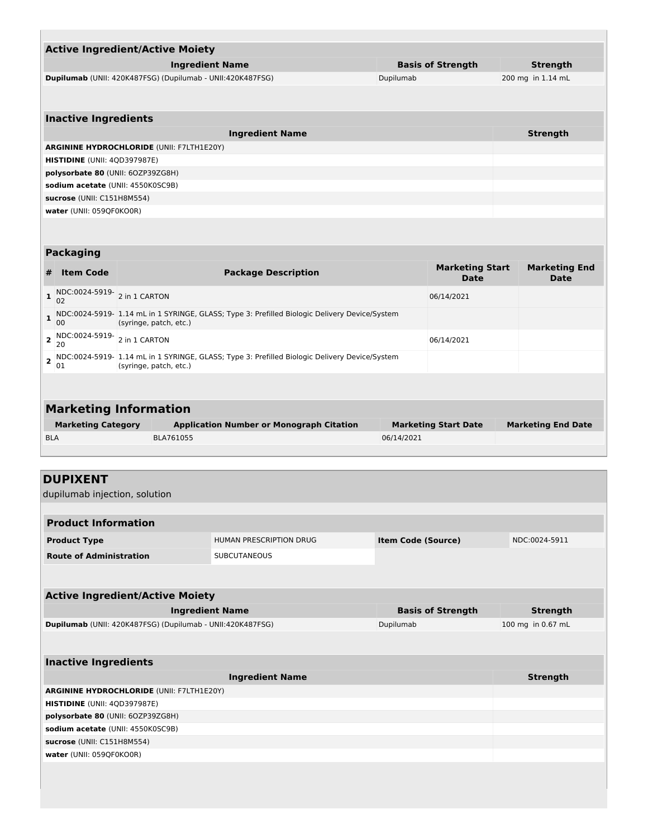| <b>Active Ingredient/Active Moiety</b>                     |                          |                   |  |  |  |
|------------------------------------------------------------|--------------------------|-------------------|--|--|--|
| <b>Ingredient Name</b>                                     | <b>Basis of Strength</b> | Strength          |  |  |  |
| Dupilumab (UNII: 420K487FSG) (Dupilumab - UNII:420K487FSG) | Dupilumab                | 200 mg in 1.14 mL |  |  |  |
|                                                            |                          |                   |  |  |  |
|                                                            |                          |                   |  |  |  |
| <b>Inactive Ingredients</b>                                |                          |                   |  |  |  |

| <b>Ingredient Name</b>                           | <b>Strength</b> |
|--------------------------------------------------|-----------------|
| <b>ARGININE HYDROCHLORIDE (UNII: F7LTH1E20Y)</b> |                 |
| <b>HISTIDINE</b> (UNII: 4QD397987E)              |                 |
| polysorbate 80 (UNII: 60ZP39ZG8H)                |                 |
| sodium acetate (UNII: 4550K0SC9B)                |                 |
| sucrose (UNII: C151H8M554)                       |                 |
| water (UNII: 059QF0KO0R)                         |                 |

### **Packaging**

L

| # | <b>Item Code</b>                            | <b>Package Description</b>                                                                                                | <b>Marketing Start</b><br>Date | <b>Marketing End</b><br>Date |
|---|---------------------------------------------|---------------------------------------------------------------------------------------------------------------------------|--------------------------------|------------------------------|
|   | 1 NDC:0024-5919- 2 in 1 CARTON<br>02        |                                                                                                                           | 06/14/2021                     |                              |
| 1 | 00                                          | NDC:0024-5919- 1.14 mL in 1 SYRINGE, GLASS; Type 3: Prefilled Biologic Delivery Device/System<br>(syringe, patch, etc.)   |                                |                              |
|   | <b>2</b> NDC:0024-5919- 2 in 1 CARTON<br>20 |                                                                                                                           | 06/14/2021                     |                              |
|   | 01                                          | 2 NDC:0024-5919- 1.14 mL in 1 SYRINGE, GLASS; Type 3: Prefilled Biologic Delivery Device/System<br>(syringe, patch, etc.) |                                |                              |
|   |                                             |                                                                                                                           |                                |                              |
|   |                                             | <b>Marketing Information</b>                                                                                              |                                |                              |

| <b>Marketing Category</b> | <b>Application Number or Monograph Citation</b> | <b>Marketing Start Date</b> | <b>Marketing End Date</b> |
|---------------------------|-------------------------------------------------|-----------------------------|---------------------------|
| <b>BLA</b>                | BLA761055                                       | 06/14/2021                  |                           |

# **DUPIXENT**

dupilumab injection, solution

| <b>Product Information</b>     |                                |                           |               |  |
|--------------------------------|--------------------------------|---------------------------|---------------|--|
| <b>Product Type</b>            | <b>HUMAN PRESCRIPTION DRUG</b> | <b>Item Code (Source)</b> | NDC:0024-5911 |  |
| <b>Route of Administration</b> | SUBCUTANEOUS                   |                           |               |  |

| <b>Active Ingredient/Active Moiety</b>                     |                          |                   |  |
|------------------------------------------------------------|--------------------------|-------------------|--|
| <b>Ingredient Name</b>                                     | <b>Basis of Strength</b> | Strength          |  |
| Dupilumab (UNII: 420K487FSG) (Dupilumab - UNII:420K487FSG) | Dupilumab                | 100 mg in 0.67 mL |  |

| <b>Inactive Ingredients</b>                      |                 |  |  |
|--------------------------------------------------|-----------------|--|--|
| <b>Ingredient Name</b>                           | <b>Strength</b> |  |  |
| <b>ARGININE HYDROCHLORIDE (UNII: F7LTH1E20Y)</b> |                 |  |  |
| <b>HISTIDINE</b> (UNII: 4QD397987E)              |                 |  |  |
| polysorbate 80 (UNII: 60ZP39ZG8H)                |                 |  |  |
| sodium acetate (UNII: 4550K0SC9B)                |                 |  |  |
| sucrose (UNII: C151H8M554)                       |                 |  |  |
| water (UNII: 059QF0KO0R)                         |                 |  |  |
|                                                  |                 |  |  |